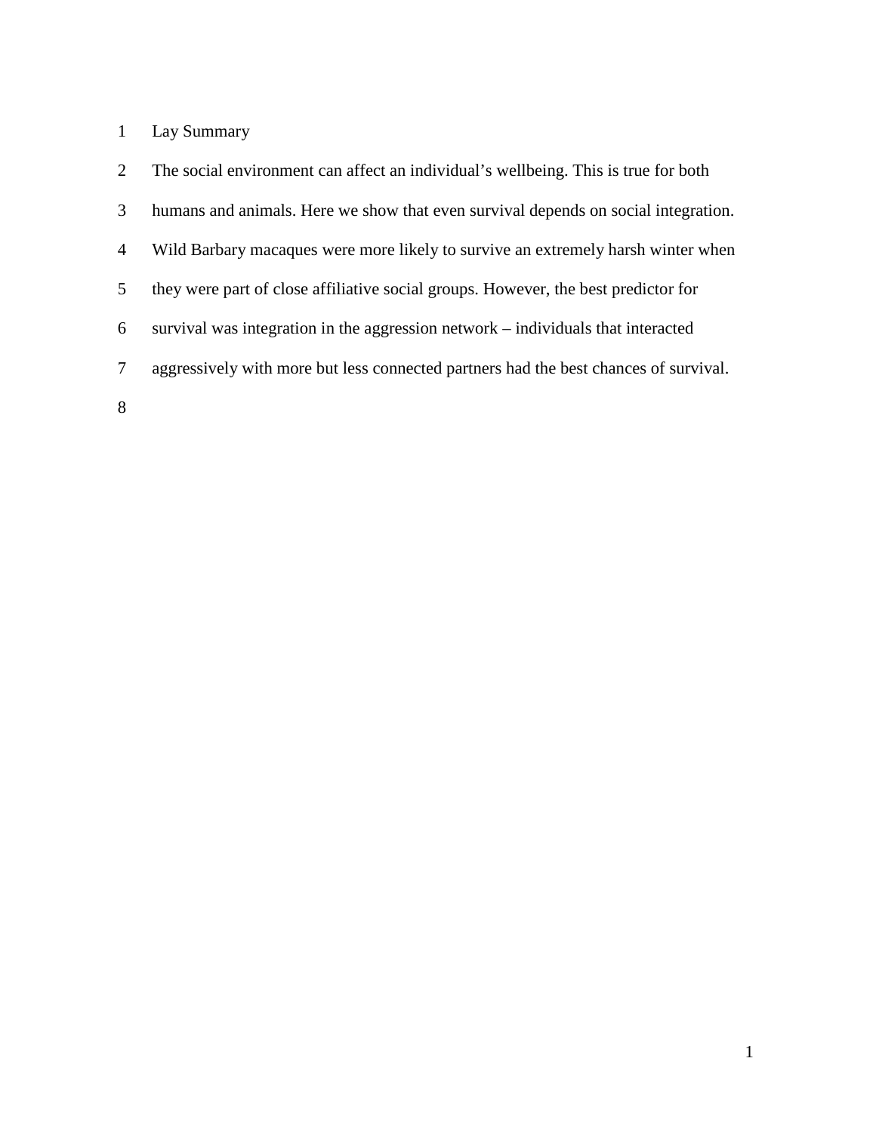# Lay Summary

| $\mathfrak{2}$ | The social environment can affect an individual's wellbeing. This is true for both   |
|----------------|--------------------------------------------------------------------------------------|
| 3              | humans and animals. Here we show that even survival depends on social integration.   |
| 4              | Wild Barbary macaques were more likely to survive an extremely harsh winter when     |
| 5              | they were part of close affiliative social groups. However, the best predictor for   |
| 6              | survival was integration in the aggression network – individuals that interacted     |
| 7              | aggressively with more but less connected partners had the best chances of survival. |
| 8              |                                                                                      |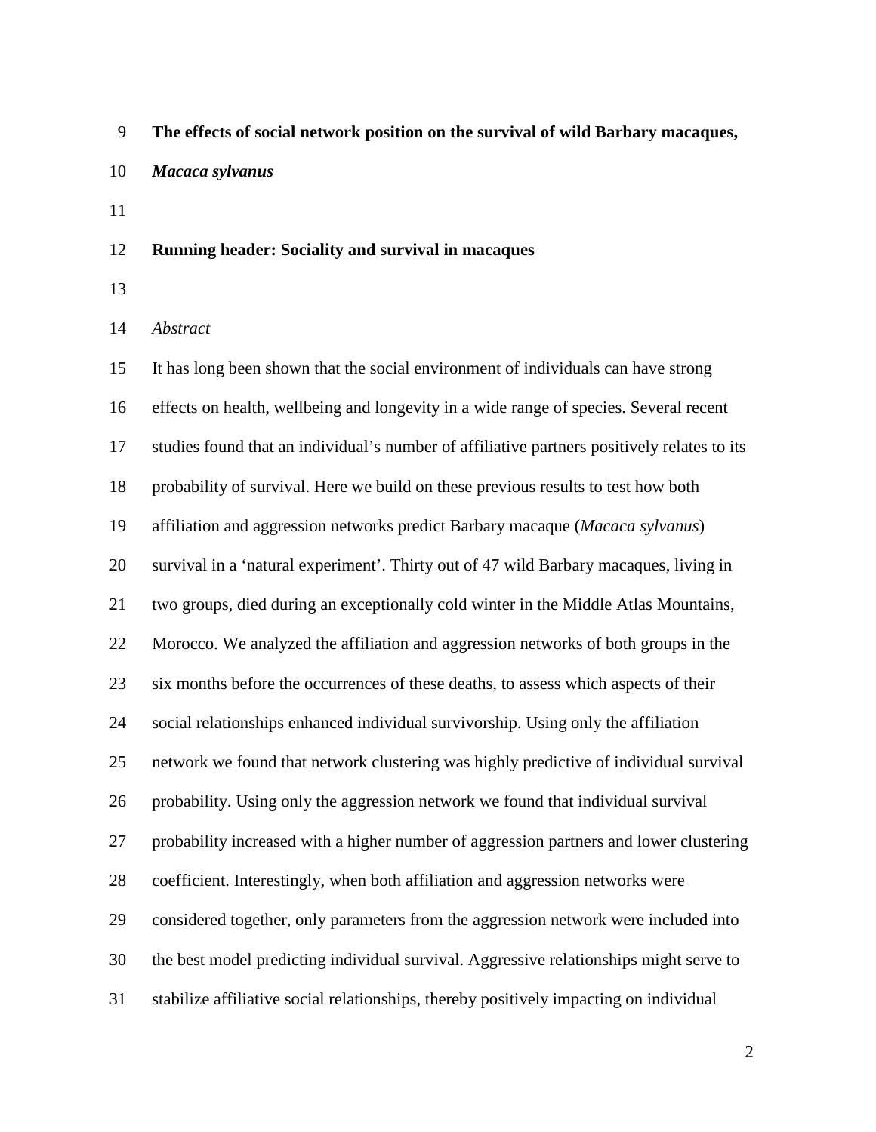- **The effects of social network position on the survival of wild Barbary macaques,**
- *Macaca sylvanus*
- 

### **Running header: Sociality and survival in macaques**

### *Abstract*

 It has long been shown that the social environment of individuals can have strong effects on health, wellbeing and longevity in a wide range of species. Several recent studies found that an individual's number of affiliative partners positively relates to its probability of survival. Here we build on these previous results to test how both affiliation and aggression networks predict Barbary macaque (*Macaca sylvanus*) survival in a 'natural experiment'. Thirty out of 47 wild Barbary macaques, living in two groups, died during an exceptionally cold winter in the Middle Atlas Mountains, Morocco. We analyzed the affiliation and aggression networks of both groups in the six months before the occurrences of these deaths, to assess which aspects of their social relationships enhanced individual survivorship. Using only the affiliation network we found that network clustering was highly predictive of individual survival probability. Using only the aggression network we found that individual survival probability increased with a higher number of aggression partners and lower clustering coefficient. Interestingly, when both affiliation and aggression networks were considered together, only parameters from the aggression network were included into the best model predicting individual survival. Aggressive relationships might serve to stabilize affiliative social relationships, thereby positively impacting on individual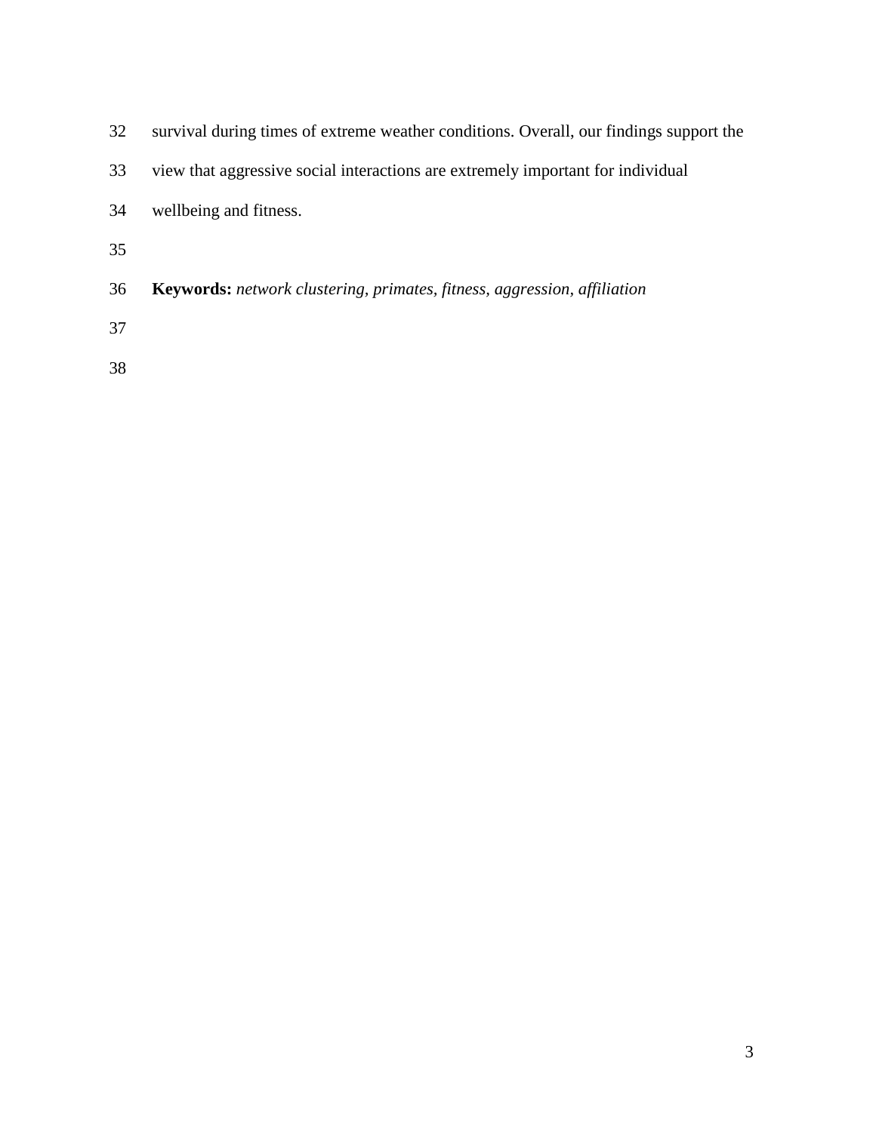| 32 | survival during times of extreme weather conditions. Overall, our findings support the |
|----|----------------------------------------------------------------------------------------|
| 33 | view that aggressive social interactions are extremely important for individual        |
| 34 | wellbeing and fitness.                                                                 |
| 35 |                                                                                        |
| 36 | <b>Keywords:</b> network clustering, primates, fitness, aggression, affiliation        |
| 37 |                                                                                        |
|    |                                                                                        |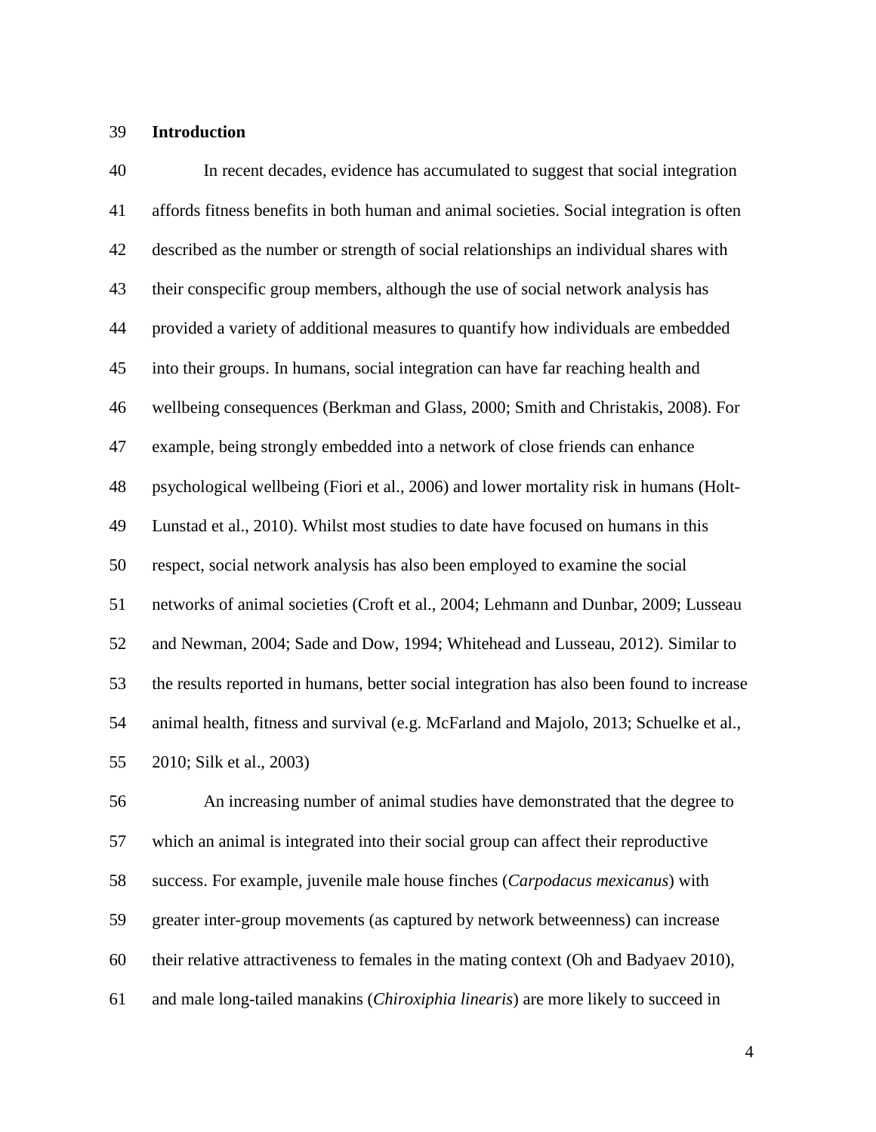### **Introduction**

 In recent decades, evidence has accumulated to suggest that social integration affords fitness benefits in both human and animal societies. Social integration is often described as the number or strength of social relationships an individual shares with their conspecific group members, although the use of social network analysis has provided a variety of additional measures to quantify how individuals are embedded into their groups. In humans, social integration can have far reaching health and wellbeing consequences [\(Berkman and Glass, 2000;](#page-24-0) [Smith and Christakis, 2008\)](#page-29-0). For example, being strongly embedded into a network of close friends can enhance psychological wellbeing [\(Fiori et al., 2006\)](#page-25-0) and lower mortality risk in humans [\(Holt-](#page-26-0) [Lunstad et al., 2010\)](#page-26-0). Whilst most studies to date have focused on humans in this respect, social network analysis has also been employed to examine the social networks of animal societies [\(Croft et al., 2004;](#page-25-1) [Lehmann and Dunbar, 2009;](#page-26-1) [Lusseau](#page-27-0)  [and Newman, 2004;](#page-27-0) [Sade and Dow, 1994;](#page-28-0) [Whitehead and Lusseau, 2012\)](#page-30-0). Similar to the results reported in humans, better social integration has also been found to increase animal health, fitness and survival (e.g. [McFarland and Majolo, 2013;](#page-27-1) [Schuelke et al.,](#page-28-1)  [2010;](#page-28-1) [Silk et al., 2003\)](#page-29-1)

 An increasing number of animal studies have demonstrated that the degree to which an animal is integrated into their social group can affect their reproductive success. For example, juvenile male house finches (*Carpodacus mexicanus*) with greater inter-group movements (as captured by network betweenness) can increase their relative attractiveness to females in the mating context [\(Oh and Badyaev 2010\)](#page-25-0), and male long-tailed manakins (*Chiroxiphia linearis*) are more likely to succeed in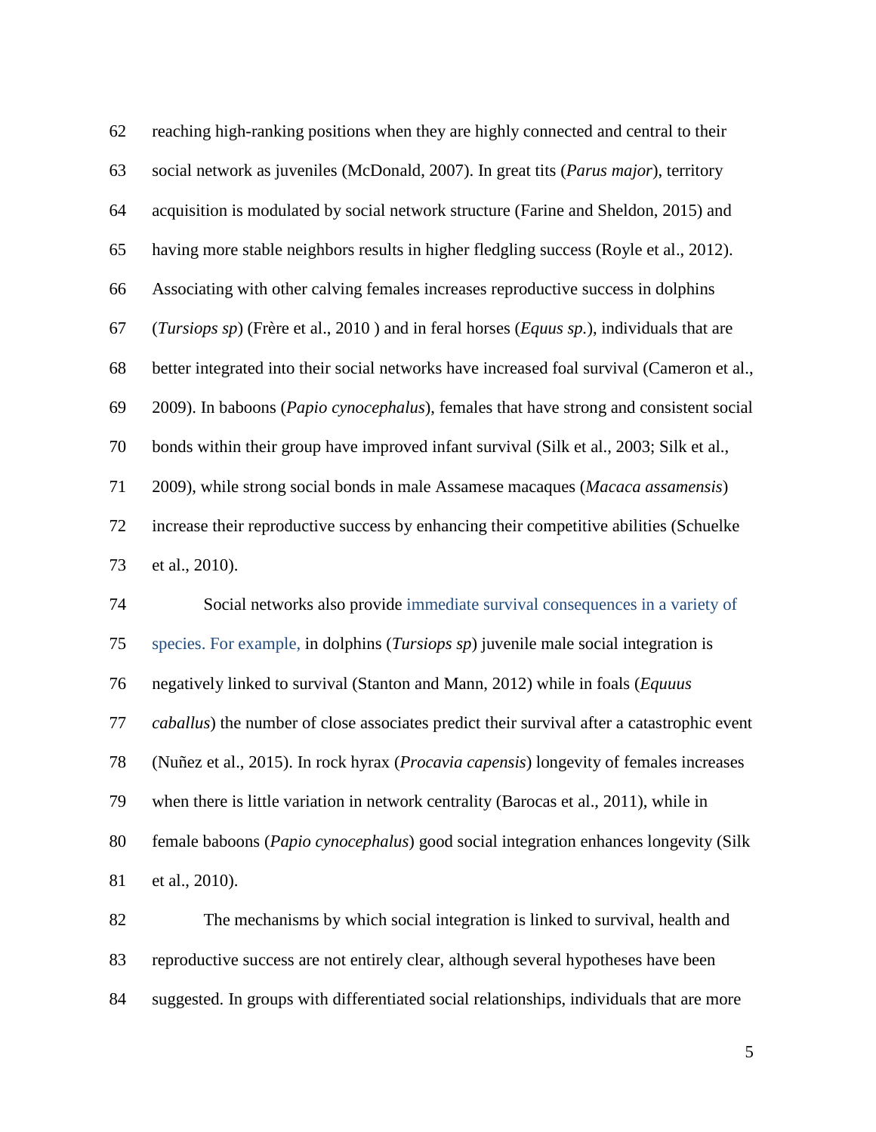| 62 | reaching high-ranking positions when they are highly connected and central to their          |
|----|----------------------------------------------------------------------------------------------|
| 63 | social network as juveniles (McDonald, 2007). In great tits (Parus major), territory         |
| 64 | acquisition is modulated by social network structure (Farine and Sheldon, 2015) and          |
| 65 | having more stable neighbors results in higher fledgling success (Royle et al., 2012).       |
| 66 | Associating with other calving females increases reproductive success in dolphins            |
| 67 | (Tursiops sp) (Frère et al., 2010) and in feral horses (Equas sp.), individuals that are     |
| 68 | better integrated into their social networks have increased foal survival (Cameron et al.,   |
| 69 | 2009). In baboons (Papio cynocephalus), females that have strong and consistent social       |
| 70 | bonds within their group have improved infant survival (Silk et al., 2003; Silk et al.,      |
| 71 | 2009), while strong social bonds in male Assamese macaques (Macaca assamensis)               |
| 72 | increase their reproductive success by enhancing their competitive abilities (Schuelke       |
| 73 | et al., 2010).                                                                               |
| 74 | Social networks also provide immediate survival consequences in a variety of                 |
| 75 | species. For example, in dolphins ( <i>Tursiops sp</i> ) juvenile male social integration is |
| 76 | negatively linked to survival (Stanton and Mann, 2012) while in foals (Equaus                |
| 77 | caballus) the number of close associates predict their survival after a catastrophic event   |
| 78 | (Nuñez et al., 2015). In rock hyrax (Procavia capensis) longevity of females increases       |
| 79 | when there is little variation in network centrality (Barocas et al., 2011), while in        |
| 80 | female baboons (Papio cynocephalus) good social integration enhances longevity (Silk         |
| 81 | et al., 2010).                                                                               |
| 82 | The mechanisms by which social integration is linked to survival, health and                 |
| 83 | reproductive success are not entirely clear, although several hypotheses have been           |
| 84 | suggested. In groups with differentiated social relationships, individuals that are more     |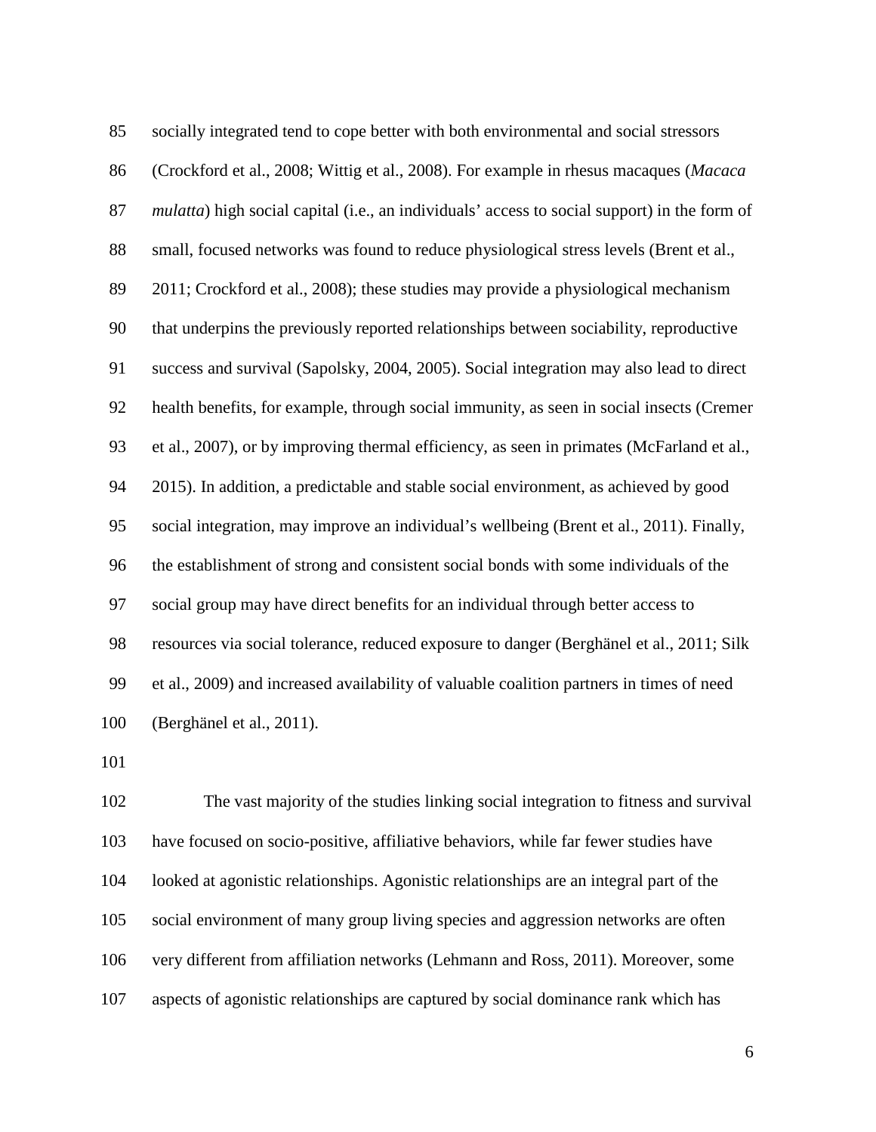| 85  | socially integrated tend to cope better with both environmental and social stressors                 |
|-----|------------------------------------------------------------------------------------------------------|
| 86  | (Crockford et al., 2008; Wittig et al., 2008). For example in rhesus macaques (Macaca                |
| 87  | <i>mulatta</i> ) high social capital (i.e., an individuals' access to social support) in the form of |
| 88  | small, focused networks was found to reduce physiological stress levels (Brent et al.,               |
| 89  | 2011; Crockford et al., 2008); these studies may provide a physiological mechanism                   |
| 90  | that underpins the previously reported relationships between sociability, reproductive               |
| 91  | success and survival (Sapolsky, 2004, 2005). Social integration may also lead to direct              |
| 92  | health benefits, for example, through social immunity, as seen in social insects (Cremer             |
| 93  | et al., 2007), or by improving thermal efficiency, as seen in primates (McFarland et al.,            |
| 94  | 2015). In addition, a predictable and stable social environment, as achieved by good                 |
| 95  | social integration, may improve an individual's wellbeing (Brent et al., 2011). Finally,             |
| 96  | the establishment of strong and consistent social bonds with some individuals of the                 |
| 97  | social group may have direct benefits for an individual through better access to                     |
| 98  | resources via social tolerance, reduced exposure to danger (Berghänel et al., 2011; Silk             |
| 99  | et al., 2009) and increased availability of valuable coalition partners in times of need             |
| 100 | (Berghänel et al., 2011).                                                                            |

 The vast majority of the studies linking social integration to fitness and survival have focused on socio-positive, affiliative behaviors, while far fewer studies have looked at agonistic relationships. Agonistic relationships are an integral part of the social environment of many group living species and aggression networks are often very different from affiliation networks [\(Lehmann and Ross, 2011\)](#page-26-3). Moreover, some aspects of agonistic relationships are captured by social dominance rank which has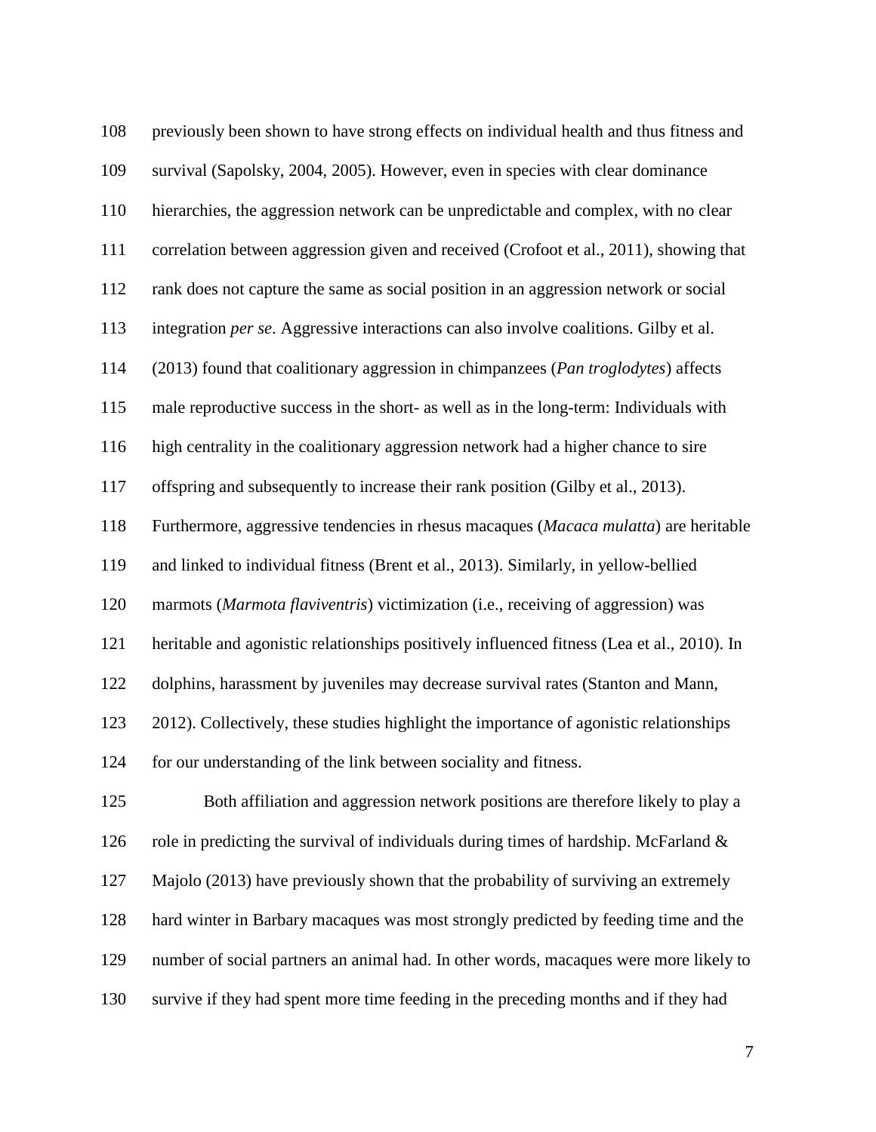previously been shown to have strong effects on individual health and thus fitness and survival [\(Sapolsky, 2004,](#page-28-3) [2005\)](#page-28-4). However, even in species with clear dominance hierarchies, the aggression network can be unpredictable and complex, with no clear correlation between aggression given and received [\(Crofoot et al., 2011\)](#page-24-5), showing that rank does not capture the same as social position in an aggression network or social integration *per se*. Aggressive interactions can also involve coalitions. Gilby et al. (2013) found that coalitionary aggression in chimpanzees (*Pan troglodytes*) affects male reproductive success in the short- as well as in the long-term: Individuals with high centrality in the coalitionary aggression network had a higher chance to sire offspring and subsequently to increase their rank position [\(Gilby et al., 2013\)](#page-26-4). Furthermore, aggressive tendencies in rhesus macaques (*Macaca mulatta*) are heritable and linked to individual fitness [\(Brent et al., 2013\)](#page-24-6). Similarly, in yellow-bellied marmots (*Marmota flaviventris*) victimization (i.e., receiving of aggression) was heritable and agonistic relationships positively influenced fitness [\(Lea et al., 2010\)](#page-26-5). In dolphins, harassment by juveniles may decrease survival rates [\(Stanton and Mann,](#page-29-3)  [2012\)](#page-29-3). Collectively, these studies highlight the importance of agonistic relationships for our understanding of the link between sociality and fitness. Both affiliation and aggression network positions are therefore likely to play a 126 role in predicting the survival of individuals during times of hardship. McFarland  $\&$  Majolo (2013) have previously shown that the probability of surviving an extremely hard winter in Barbary macaques was most strongly predicted by feeding time and the number of social partners an animal had. In other words, macaques were more likely to survive if they had spent more time feeding in the preceding months and if they had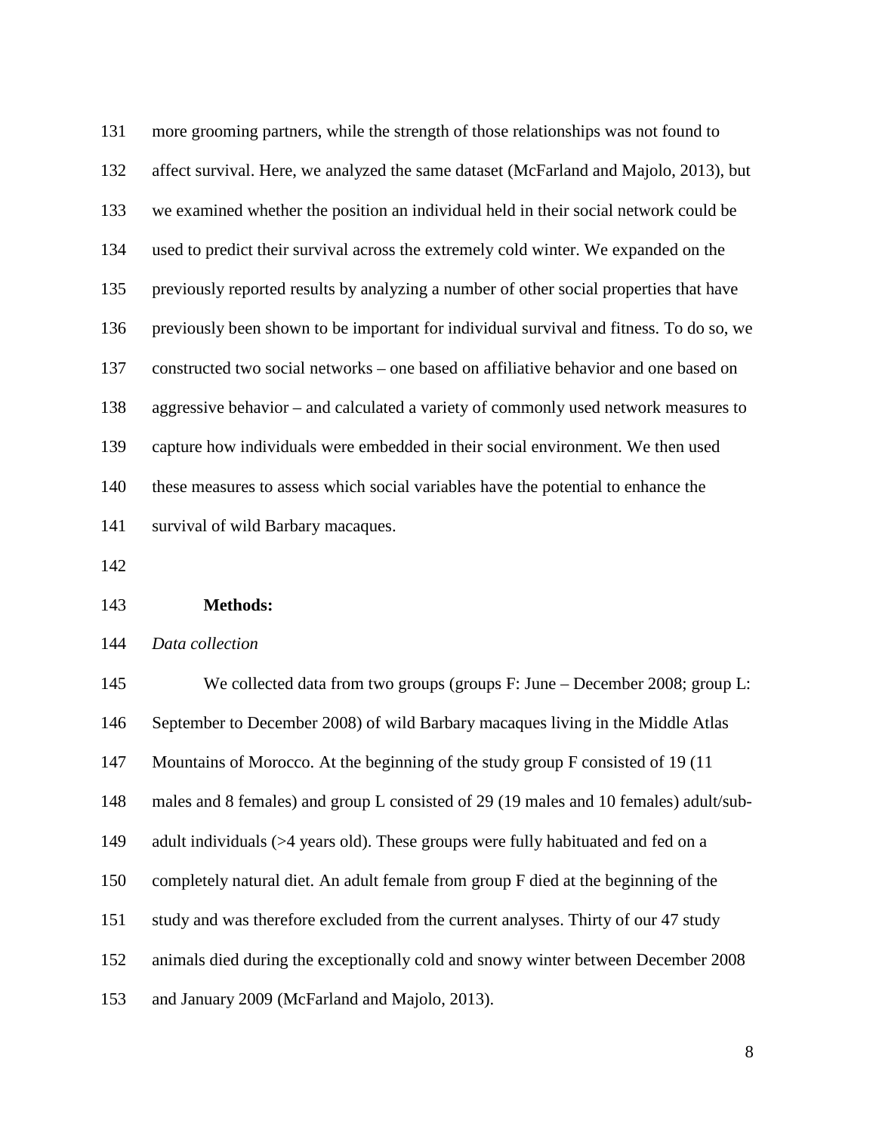more grooming partners, while the strength of those relationships was not found to affect survival. Here, we analyzed the same dataset [\(McFarland and Majolo, 2013\)](#page-27-1), but we examined whether the position an individual held in their social network could be used to predict their survival across the extremely cold winter. We expanded on the previously reported results by analyzing a number of other social properties that have previously been shown to be important for individual survival and fitness. To do so, we constructed two social networks – one based on affiliative behavior and one based on aggressive behavior – and calculated a variety of commonly used network measures to capture how individuals were embedded in their social environment. We then used these measures to assess which social variables have the potential to enhance the survival of wild Barbary macaques.

### **Methods:**

### *Data collection*

145 We collected data from two groups (groups F: June – December 2008; group L: September to December 2008) of wild Barbary macaques living in the Middle Atlas Mountains of Morocco. At the beginning of the study group F consisted of 19 (11 males and 8 females) and group L consisted of 29 (19 males and 10 females) adult/sub-149 adult individuals (>4 years old). These groups were fully habituated and fed on a completely natural diet. An adult female from group F died at the beginning of the study and was therefore excluded from the current analyses. Thirty of our 47 study animals died during the exceptionally cold and snowy winter between December 2008 and January 2009 [\(McFarland and Majolo, 2013\)](#page-27-1).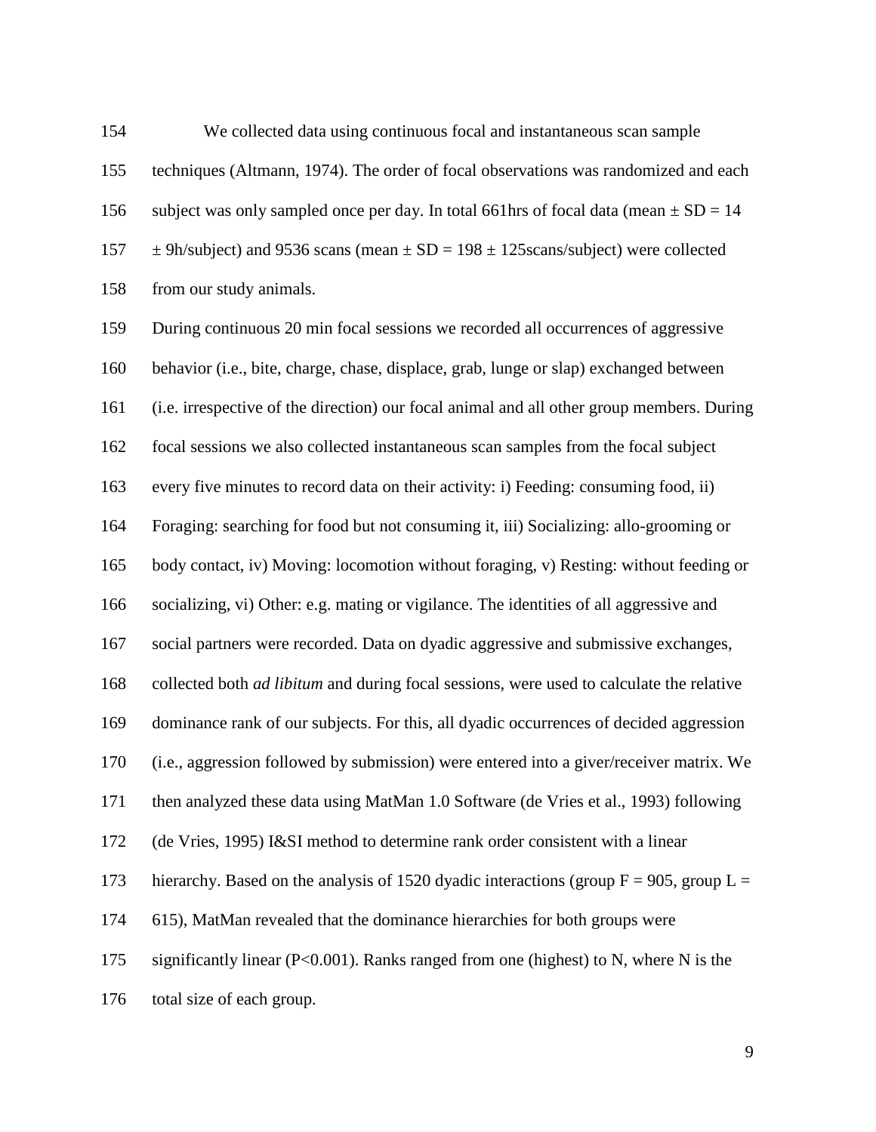We collected data using continuous focal and instantaneous scan sample techniques [\(Altmann, 1974\)](#page-23-2). The order of focal observations was randomized and each 156 subject was only sampled once per day. In total 661hrs of focal data (mean  $\pm$  SD = 14  $\pm$  9h/subject) and 9536 scans (mean  $\pm$  SD = 198  $\pm$  125 scans/subject) were collected from our study animals.

 During continuous 20 min focal sessions we recorded all occurrences of aggressive behavior (i.e., bite, charge, chase, displace, grab, lunge or slap) exchanged between (i.e. irrespective of the direction) our focal animal and all other group members. During focal sessions we also collected instantaneous scan samples from the focal subject every five minutes to record data on their activity: i) Feeding: consuming food, ii) Foraging: searching for food but not consuming it, iii) Socializing: allo-grooming or body contact, iv) Moving: locomotion without foraging, v) Resting: without feeding or socializing, vi) Other: e.g. mating or vigilance. The identities of all aggressive and social partners were recorded. Data on dyadic aggressive and submissive exchanges, collected both *ad libitum* and during focal sessions, were used to calculate the relative dominance rank of our subjects. For this, all dyadic occurrences of decided aggression (i.e., aggression followed by submission) were entered into a giver/receiver matrix. We then analyzed these data using MatMan 1.0 Software [\(de Vries et al., 1993\)](#page-25-3) following [\(de Vries, 1995\)](#page-25-4) I&SI method to determine rank order consistent with a linear 173 hierarchy. Based on the analysis of 1520 dyadic interactions (group  $F = 905$ , group  $L =$  615), MatMan revealed that the dominance hierarchies for both groups were 175 significantly linear (P<0.001). Ranks ranged from one (highest) to N, where N is the total size of each group.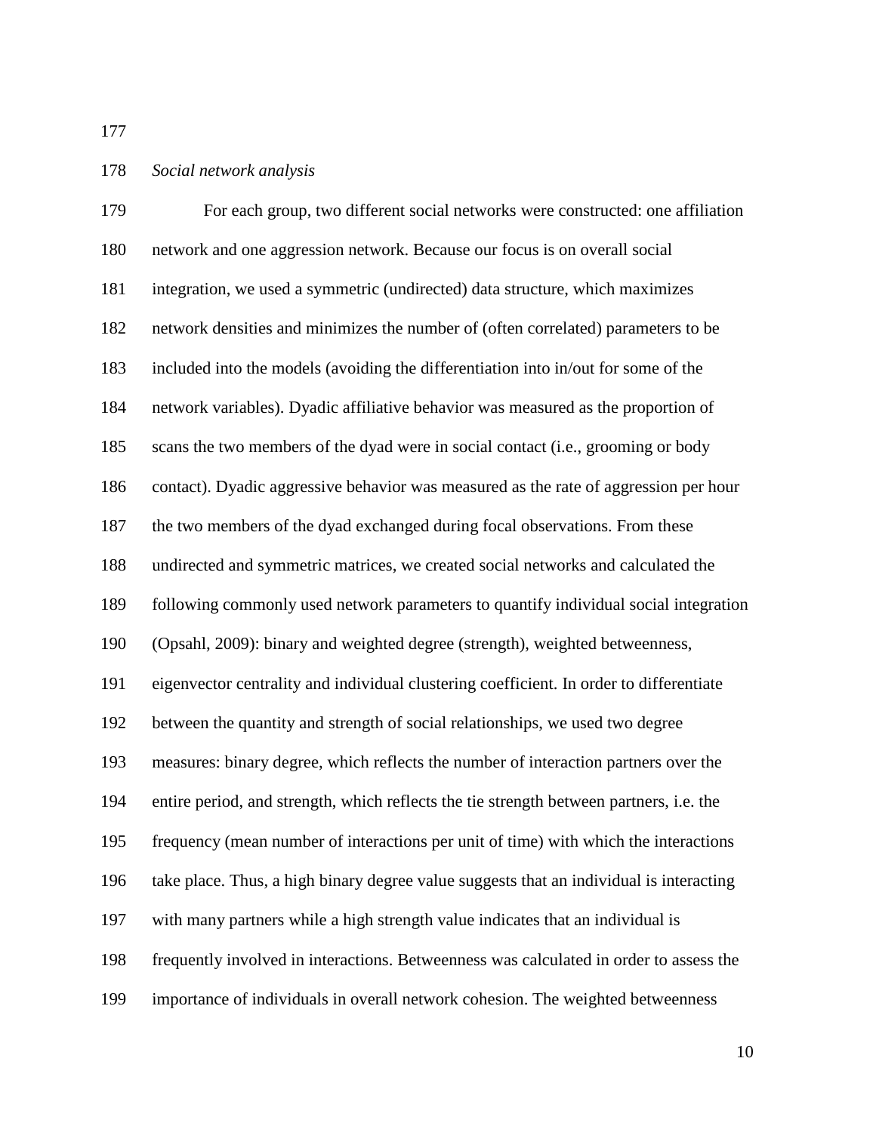### *Social network analysis*

 For each group, two different social networks were constructed: one affiliation network and one aggression network. Because our focus is on overall social integration, we used a symmetric (undirected) data structure, which maximizes network densities and minimizes the number of (often correlated) parameters to be included into the models (avoiding the differentiation into in/out for some of the network variables). Dyadic affiliative behavior was measured as the proportion of scans the two members of the dyad were in social contact (i.e., grooming or body contact). Dyadic aggressive behavior was measured as the rate of aggression per hour the two members of the dyad exchanged during focal observations. From these undirected and symmetric matrices, we created social networks and calculated the following commonly used network parameters to quantify individual social integration [\(Opsahl, 2009\)](#page-28-5): binary and weighted degree (strength), weighted betweenness, eigenvector centrality and individual clustering coefficient. In order to differentiate between the quantity and strength of social relationships, we used two degree measures: binary degree, which reflects the number of interaction partners over the entire period, and strength, which reflects the tie strength between partners, i.e. the frequency (mean number of interactions per unit of time) with which the interactions take place. Thus, a high binary degree value suggests that an individual is interacting with many partners while a high strength value indicates that an individual is frequently involved in interactions. Betweenness was calculated in order to assess the importance of individuals in overall network cohesion. The weighted betweenness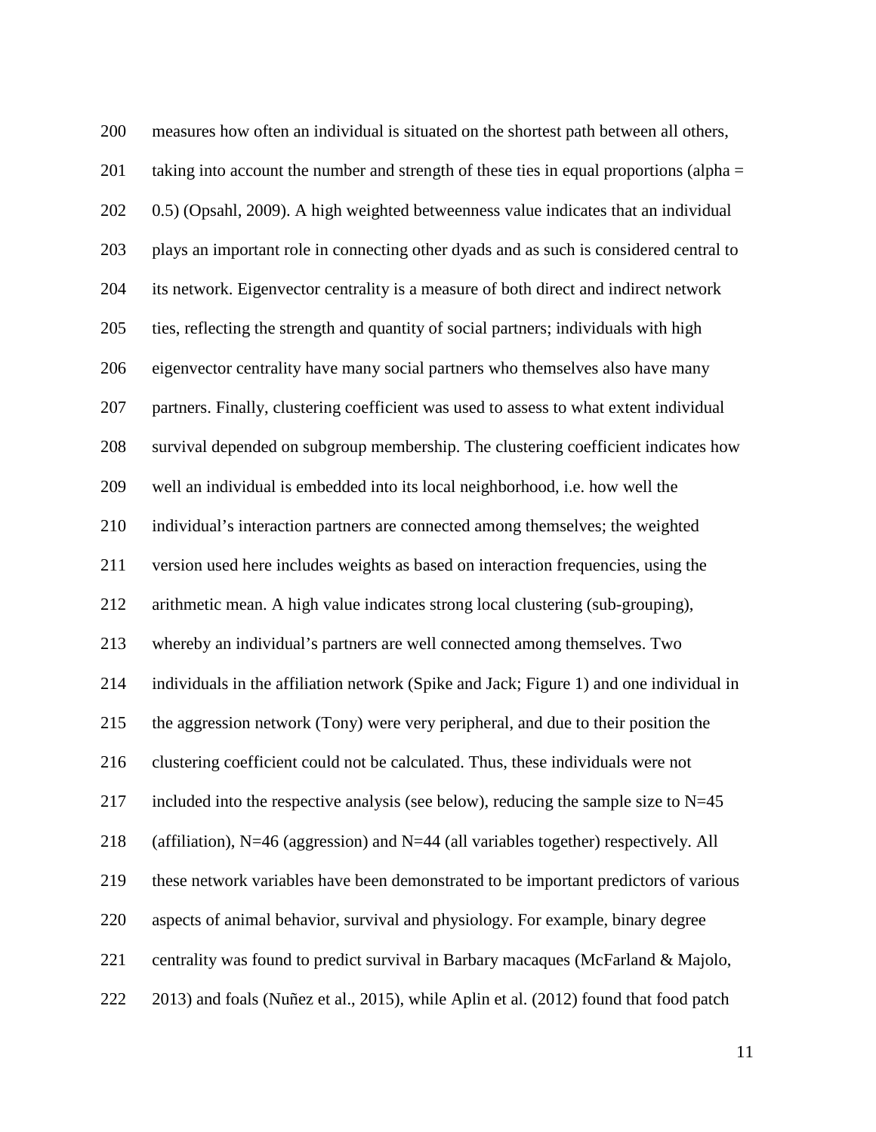measures how often an individual is situated on the shortest path between all others, 201 taking into account the number and strength of these ties in equal proportions (alpha = 0.5) [\(Opsahl, 2009\)](#page-28-5). A high weighted betweenness value indicates that an individual plays an important role in connecting other dyads and as such is considered central to its network. Eigenvector centrality is a measure of both direct and indirect network ties, reflecting the strength and quantity of social partners; individuals with high eigenvector centrality have many social partners who themselves also have many partners. Finally, clustering coefficient was used to assess to what extent individual survival depended on subgroup membership. The clustering coefficient indicates how well an individual is embedded into its local neighborhood, i.e. how well the individual's interaction partners are connected among themselves; the weighted version used here includes weights as based on interaction frequencies, using the arithmetic mean. A high value indicates strong local clustering (sub-grouping), whereby an individual's partners are well connected among themselves. Two individuals in the affiliation network (Spike and Jack; Figure 1) and one individual in the aggression network (Tony) were very peripheral, and due to their position the clustering coefficient could not be calculated. Thus, these individuals were not 217 included into the respective analysis (see below), reducing the sample size to  $N=45$  (affiliation), N=46 (aggression) and N=44 (all variables together) respectively. All these network variables have been demonstrated to be important predictors of various aspects of animal behavior, survival and physiology. For example, binary degree centrality was found to predict survival in Barbary macaques (McFarland & Majolo, 2013) and foals [\(Nuñez et al., 2015\)](#page-27-3), while Aplin et al. (2012) found that food patch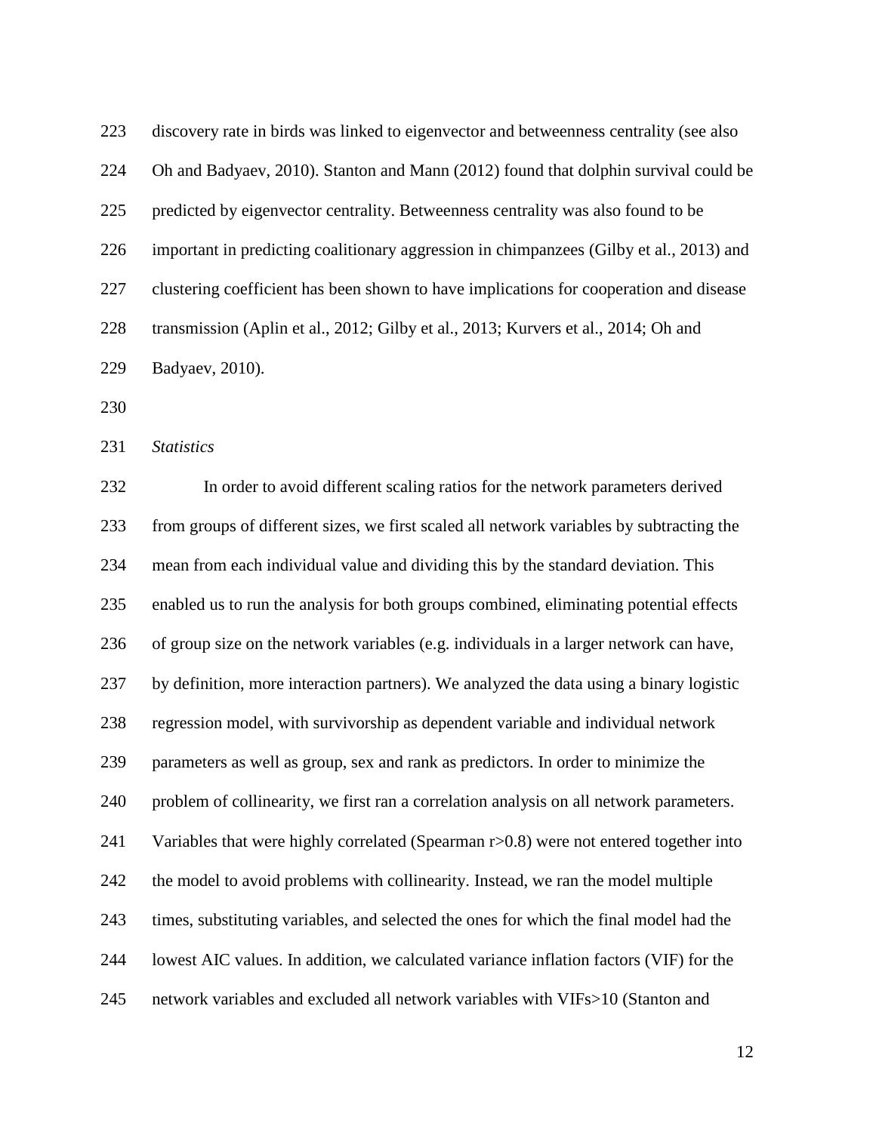discovery rate in birds was linked to eigenvector and betweenness centrality (see also [Oh and Badyaev, 2010\)](#page-26-1). Stanton and Mann (2012) found that dolphin survival could be predicted by eigenvector centrality. Betweenness centrality was also found to be important in predicting coalitionary aggression in chimpanzees [\(Gilby et al., 2013\)](#page-25-0) and clustering coefficient has been shown to have implications for cooperation and disease transmission [\(Aplin et al., 2012;](#page-23-3) [Gilby et al., 2013;](#page-26-4) [Kurvers et al., 2014;](#page-26-6) [Oh and](#page-27-5)  [Badyaev, 2010\)](#page-27-5).

*Statistics*

 In order to avoid different scaling ratios for the network parameters derived from groups of different sizes, we first scaled all network variables by subtracting the mean from each individual value and dividing this by the standard deviation. This enabled us to run the analysis for both groups combined, eliminating potential effects of group size on the network variables (e.g. individuals in a larger network can have, by definition, more interaction partners). We analyzed the data using a binary logistic regression model, with survivorship as dependent variable and individual network parameters as well as group, sex and rank as predictors. In order to minimize the problem of collinearity, we first ran a correlation analysis on all network parameters. 241 Variables that were highly correlated (Spearman r>0.8) were not entered together into the model to avoid problems with collinearity. Instead, we ran the model multiple times, substituting variables, and selected the ones for which the final model had the lowest AIC values. In addition, we calculated variance inflation factors (VIF) for the network variables and excluded all network variables with VIFs>10 [\(Stanton and](#page-29-3)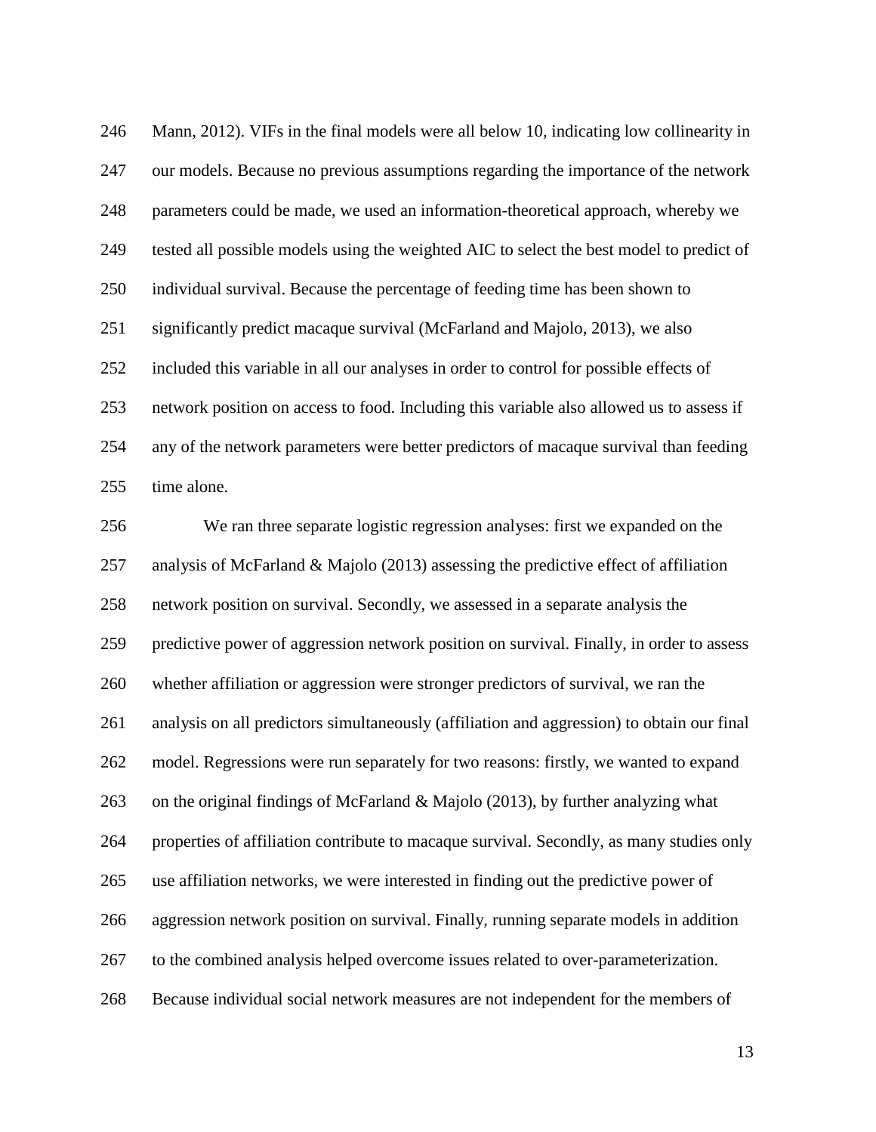[Mann, 2012\)](#page-29-3). VIFs in the final models were all below 10, indicating low collinearity in our models. Because no previous assumptions regarding the importance of the network parameters could be made, we used an information-theoretical approach, whereby we tested all possible models using the weighted AIC to select the best model to predict of individual survival. Because the percentage of feeding time has been shown to significantly predict macaque survival [\(McFarland and Majolo, 2013\)](#page-27-1), we also included this variable in all our analyses in order to control for possible effects of network position on access to food. Including this variable also allowed us to assess if any of the network parameters were better predictors of macaque survival than feeding time alone.

 We ran three separate logistic regression analyses: first we expanded on the analysis of McFarland & Majolo (2013) assessing the predictive effect of affiliation network position on survival. Secondly, we assessed in a separate analysis the predictive power of aggression network position on survival. Finally, in order to assess whether affiliation or aggression were stronger predictors of survival, we ran the analysis on all predictors simultaneously (affiliation and aggression) to obtain our final model. Regressions were run separately for two reasons: firstly, we wanted to expand on the original findings of McFarland & Majolo (2013), by further analyzing what properties of affiliation contribute to macaque survival. Secondly, as many studies only use affiliation networks, we were interested in finding out the predictive power of aggression network position on survival. Finally, running separate models in addition to the combined analysis helped overcome issues related to over-parameterization. Because individual social network measures are not independent for the members of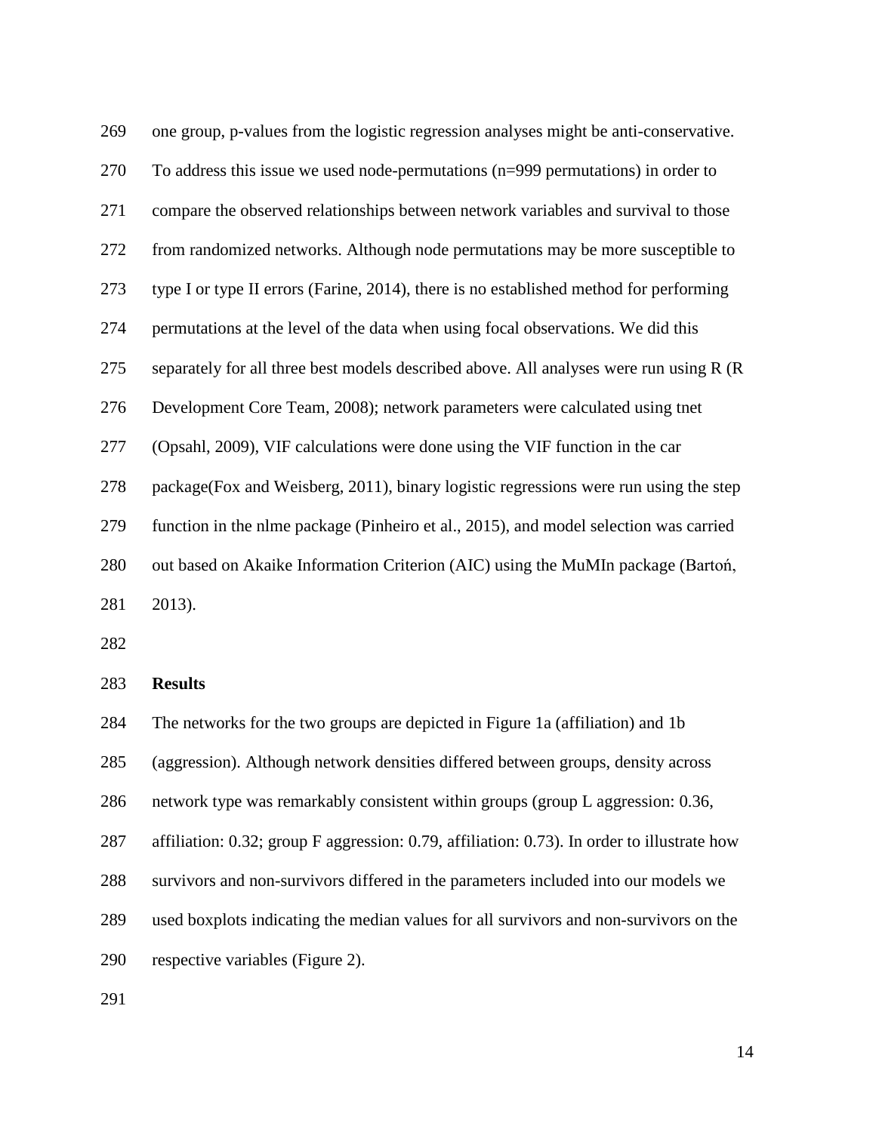| 269 | one group, p-values from the logistic regression analyses might be anti-conservative.  |
|-----|----------------------------------------------------------------------------------------|
| 270 | To address this issue we used node-permutations $(n=999)$ permutations) in order to    |
| 271 | compare the observed relationships between network variables and survival to those     |
| 272 | from randomized networks. Although node permutations may be more susceptible to        |
| 273 | type I or type II errors (Farine, 2014), there is no established method for performing |
| 274 | permutations at the level of the data when using focal observations. We did this       |
| 275 | separately for all three best models described above. All analyses were run using R (R |
| 276 | Development Core Team, 2008); network parameters were calculated using thet            |
| 277 | (Opsahl, 2009), VIF calculations were done using the VIF function in the car           |
| 278 | package (Fox and Weisberg, 2011), binary logistic regressions were run using the step  |
| 279 | function in the nlme package (Pinheiro et al., 2015), and model selection was carried  |
| 280 | out based on Akaike Information Criterion (AIC) using the MuMIn package (Barton,       |
| 281 | 2013).                                                                                 |

### **Results**

 The networks for the two groups are depicted in Figure 1a (affiliation) and 1b (aggression). Although network densities differed between groups, density across network type was remarkably consistent within groups (group L aggression: 0.36, affiliation: 0.32; group F aggression: 0.79, affiliation: 0.73). In order to illustrate how survivors and non-survivors differed in the parameters included into our models we used boxplots indicating the median values for all survivors and non-survivors on the respective variables (Figure 2).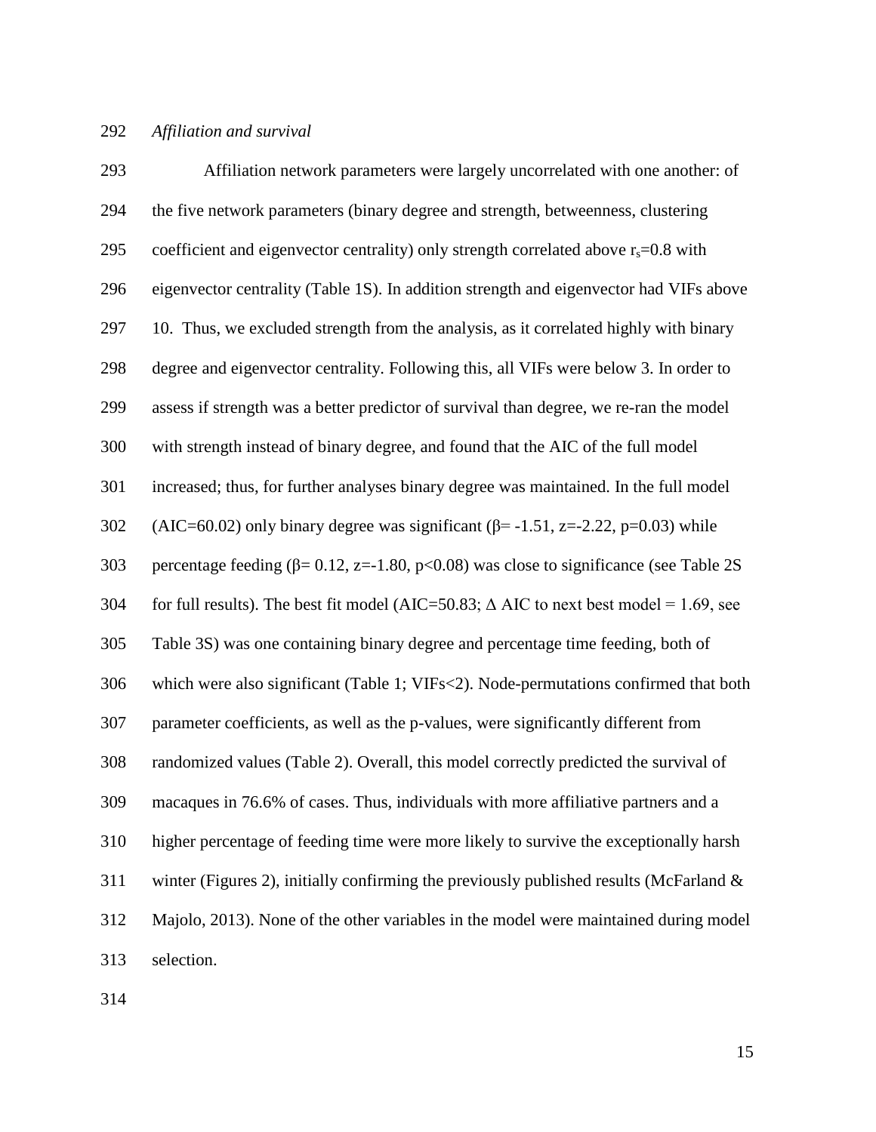## *Affiliation and survival*

| 293 | Affiliation network parameters were largely uncorrelated with one another: of                 |
|-----|-----------------------------------------------------------------------------------------------|
| 294 | the five network parameters (binary degree and strength, betweenness, clustering              |
| 295 | coefficient and eigenvector centrality) only strength correlated above $r_s = 0.8$ with       |
| 296 | eigenvector centrality (Table 1S). In addition strength and eigenvector had VIFs above        |
| 297 | 10. Thus, we excluded strength from the analysis, as it correlated highly with binary         |
| 298 | degree and eigenvector centrality. Following this, all VIFs were below 3. In order to         |
| 299 | assess if strength was a better predictor of survival than degree, we re-ran the model        |
| 300 | with strength instead of binary degree, and found that the AIC of the full model              |
| 301 | increased; thus, for further analyses binary degree was maintained. In the full model         |
| 302 | (AIC=60.02) only binary degree was significant ( $\beta$ = -1.51, z=-2.22, p=0.03) while      |
| 303 | percentage feeding ( $\beta$ = 0.12, z=-1.80, p<0.08) was close to significance (see Table 2S |
| 304 | for full results). The best fit model (AIC=50.83; $\Delta$ AIC to next best model = 1.69, see |
| 305 | Table 3S) was one containing binary degree and percentage time feeding, both of               |
| 306 | which were also significant (Table 1; VIFs<2). Node-permutations confirmed that both          |
| 307 | parameter coefficients, as well as the p-values, were significantly different from            |
| 308 | randomized values (Table 2). Overall, this model correctly predicted the survival of          |
| 309 | macaques in 76.6% of cases. Thus, individuals with more affiliative partners and a            |
| 310 | higher percentage of feeding time were more likely to survive the exceptionally harsh         |
| 311 | winter (Figures 2), initially confirming the previously published results (McFarland $\&$     |
| 312 | Majolo, 2013). None of the other variables in the model were maintained during model          |
| 313 | selection.                                                                                    |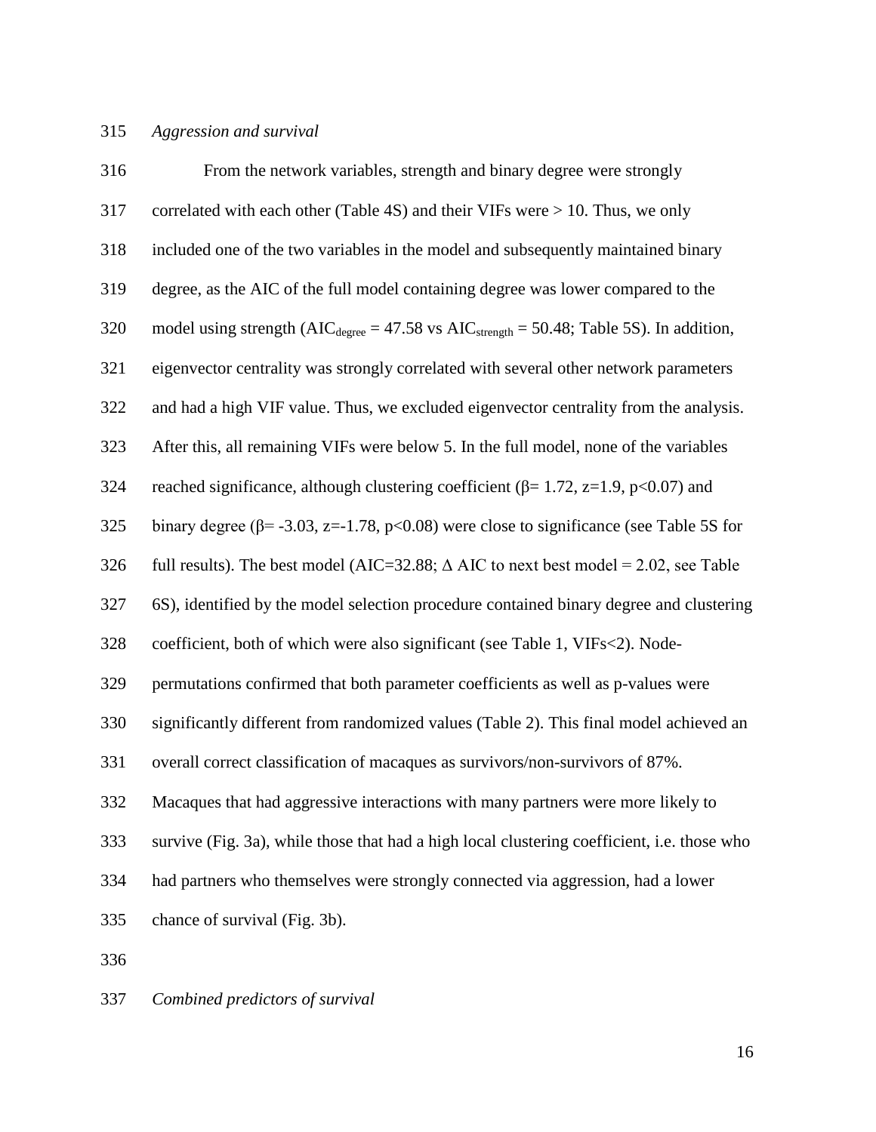## *Aggression and survival*

| 316 | From the network variables, strength and binary degree were strongly                                |
|-----|-----------------------------------------------------------------------------------------------------|
| 317 | correlated with each other (Table 4S) and their VIFs were $> 10$ . Thus, we only                    |
| 318 | included one of the two variables in the model and subsequently maintained binary                   |
| 319 | degree, as the AIC of the full model containing degree was lower compared to the                    |
| 320 | model using strength ( $AIC_{degree} = 47.58$ vs $AIC_{strength} = 50.48$ ; Table 5S). In addition, |
| 321 | eigenvector centrality was strongly correlated with several other network parameters                |
| 322 | and had a high VIF value. Thus, we excluded eigenvector centrality from the analysis.               |
| 323 | After this, all remaining VIFs were below 5. In the full model, none of the variables               |
| 324 | reached significance, although clustering coefficient ( $\beta$ = 1.72, z=1.9, p<0.07) and          |
| 325 | binary degree ( $\beta$ = -3.03, z=-1.78, p<0.08) were close to significance (see Table 5S for      |
| 326 | full results). The best model (AIC=32.88; $\triangle$ AIC to next best model = 2.02, see Table      |
| 327 | 6S), identified by the model selection procedure contained binary degree and clustering             |
| 328 | coefficient, both of which were also significant (see Table 1, VIFs<2). Node-                       |
| 329 | permutations confirmed that both parameter coefficients as well as p-values were                    |
| 330 | significantly different from randomized values (Table 2). This final model achieved an              |
| 331 | overall correct classification of macaques as survivors/non-survivors of 87%.                       |
| 332 | Macaques that had aggressive interactions with many partners were more likely to                    |
| 333 | survive (Fig. 3a), while those that had a high local clustering coefficient, i.e. those who         |
| 334 | had partners who themselves were strongly connected via aggression, had a lower                     |
| 335 | chance of survival (Fig. 3b).                                                                       |
| 336 |                                                                                                     |

*Combined predictors of survival*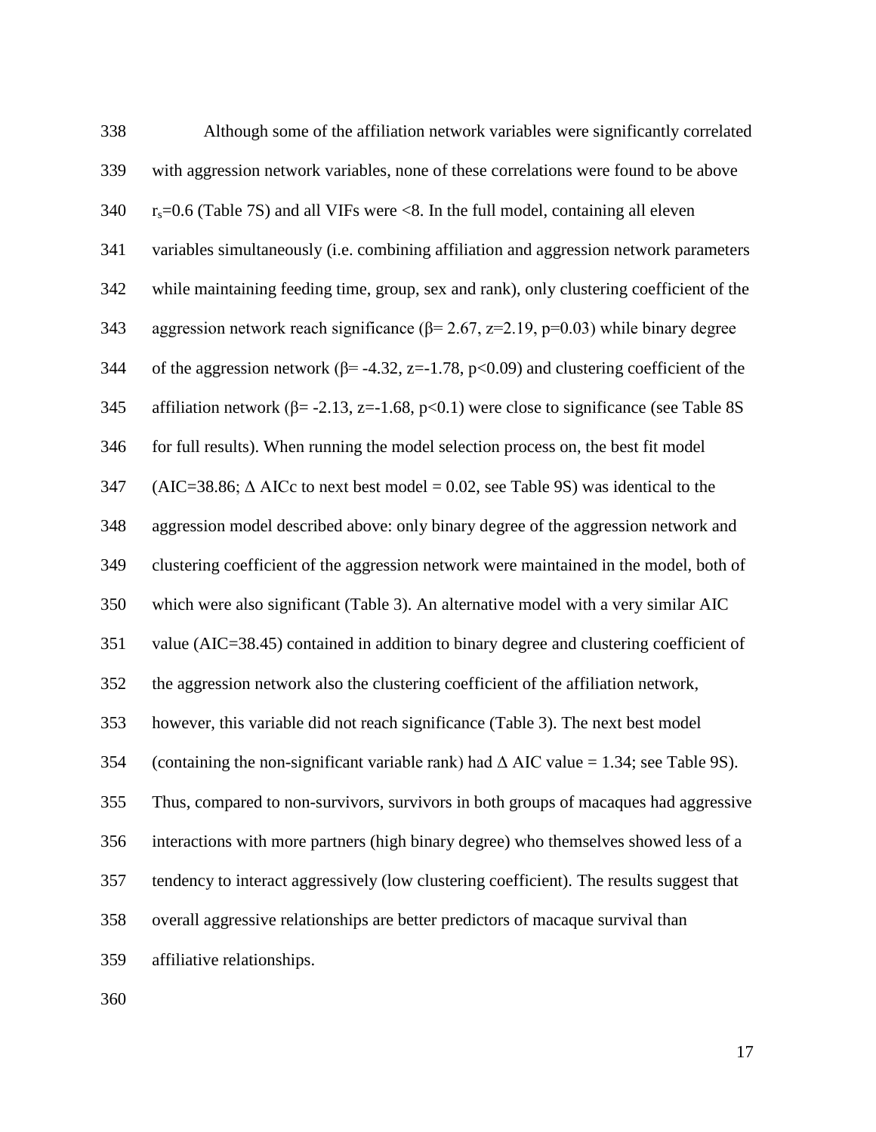| 338 | Although some of the affiliation network variables were significantly correlated                |
|-----|-------------------------------------------------------------------------------------------------|
| 339 | with aggression network variables, none of these correlations were found to be above            |
| 340 | $r_s$ =0.6 (Table 7S) and all VIFs were <8. In the full model, containing all eleven            |
| 341 | variables simultaneously (i.e. combining affiliation and aggression network parameters          |
| 342 | while maintaining feeding time, group, sex and rank), only clustering coefficient of the        |
| 343 | aggression network reach significance ( $\beta$ = 2.67, z=2.19, p=0.03) while binary degree     |
| 344 | of the aggression network ( $\beta$ = -4.32, z=-1.78, p<0.09) and clustering coefficient of the |
| 345 | affiliation network ( $\beta$ = -2.13, z=-1.68, p<0.1) were close to significance (see Table 8S |
| 346 | for full results). When running the model selection process on, the best fit model              |
| 347 | $(AIC=38.86; \Delta AICc$ to next best model = 0.02, see Table 9S) was identical to the         |
| 348 | aggression model described above: only binary degree of the aggression network and              |
| 349 | clustering coefficient of the aggression network were maintained in the model, both of          |
| 350 | which were also significant (Table 3). An alternative model with a very similar AIC             |
| 351 | value (AIC=38.45) contained in addition to binary degree and clustering coefficient of          |
| 352 | the aggression network also the clustering coefficient of the affiliation network,              |
| 353 | however, this variable did not reach significance (Table 3). The next best model                |
| 354 | (containing the non-significant variable rank) had $\triangle$ AIC value = 1.34; see Table 9S). |
| 355 | Thus, compared to non-survivors, survivors in both groups of macaques had aggressive            |
| 356 | interactions with more partners (high binary degree) who themselves showed less of a            |
| 357 | tendency to interact aggressively (low clustering coefficient). The results suggest that        |
| 358 | overall aggressive relationships are better predictors of macaque survival than                 |
| 359 | affiliative relationships.                                                                      |
|     |                                                                                                 |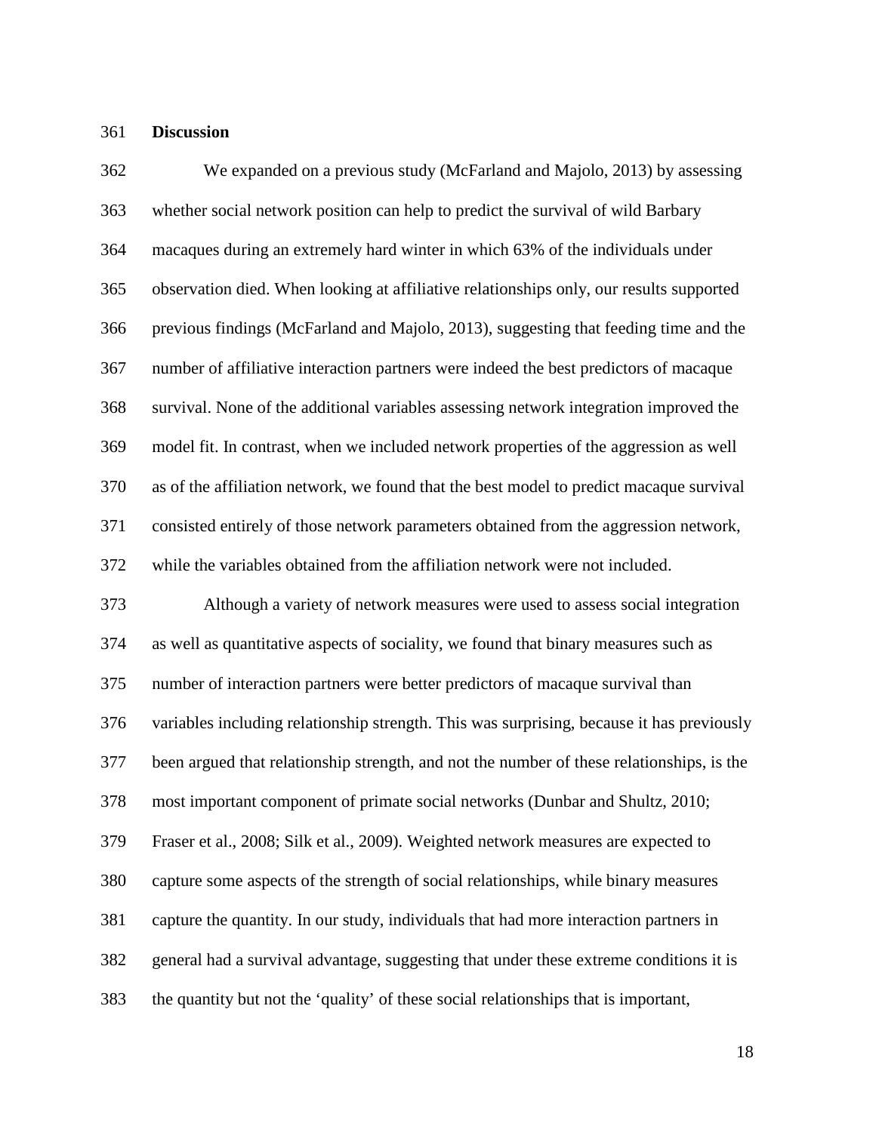### **Discussion**

 We expanded on a previous study [\(McFarland and Majolo, 2013\)](#page-27-1) by assessing whether social network position can help to predict the survival of wild Barbary macaques during an extremely hard winter in which 63% of the individuals under observation died. When looking at affiliative relationships only, our results supported previous findings [\(McFarland and Majolo, 2013\)](#page-27-1), suggesting that feeding time and the number of affiliative interaction partners were indeed the best predictors of macaque survival. None of the additional variables assessing network integration improved the model fit. In contrast, when we included network properties of the aggression as well as of the affiliation network, we found that the best model to predict macaque survival consisted entirely of those network parameters obtained from the aggression network, while the variables obtained from the affiliation network were not included. Although a variety of network measures were used to assess social integration as well as quantitative aspects of sociality, we found that binary measures such as number of interaction partners were better predictors of macaque survival than variables including relationship strength. This was surprising, because it has previously been argued that relationship strength, and not the number of these relationships, is the most important component of primate social networks [\(Dunbar and Shultz, 2010;](#page-25-7) [Fraser et al., 2008;](#page-25-8) [Silk et al., 2009\)](#page-29-2). Weighted network measures are expected to capture some aspects of the strength of social relationships, while binary measures capture the quantity. In our study, individuals that had more interaction partners in general had a survival advantage, suggesting that under these extreme conditions it is the quantity but not the 'quality' of these social relationships that is important,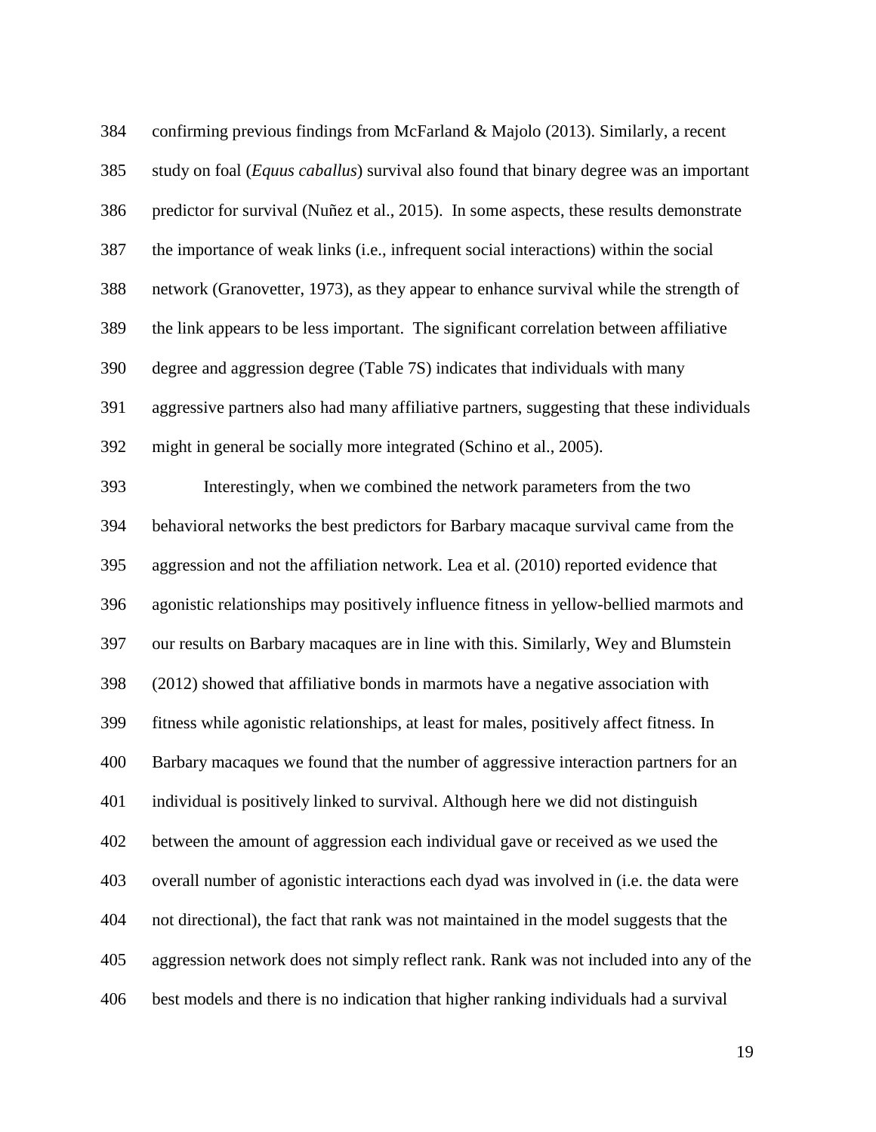| 384 | confirming previous findings from McFarland & Majolo (2013). Similarly, a recent          |
|-----|-------------------------------------------------------------------------------------------|
| 385 | study on foal (Equus caballus) survival also found that binary degree was an important    |
| 386 | predictor for survival (Nuñez et al., 2015). In some aspects, these results demonstrate   |
| 387 | the importance of weak links (i.e., infrequent social interactions) within the social     |
| 388 | network (Granovetter, 1973), as they appear to enhance survival while the strength of     |
| 389 | the link appears to be less important. The significant correlation between affiliative    |
| 390 | degree and aggression degree (Table 7S) indicates that individuals with many              |
| 391 | aggressive partners also had many affiliative partners, suggesting that these individuals |
| 392 | might in general be socially more integrated (Schino et al., 2005).                       |
| 393 | Interestingly, when we combined the network parameters from the two                       |
| 394 | behavioral networks the best predictors for Barbary macaque survival came from the        |
| 395 | aggression and not the affiliation network. Lea et al. (2010) reported evidence that      |
| 396 | agonistic relationships may positively influence fitness in yellow-bellied marmots and    |
| 397 | our results on Barbary macaques are in line with this. Similarly, Wey and Blumstein       |
| 398 | (2012) showed that affiliative bonds in marmots have a negative association with          |
| 399 | fitness while agonistic relationships, at least for males, positively affect fitness. In  |
| 400 | Barbary macaques we found that the number of aggressive interaction partners for an       |
| 401 | individual is positively linked to survival. Although here we did not distinguish         |
| 402 | between the amount of aggression each individual gave or received as we used the          |
| 403 | overall number of agonistic interactions each dyad was involved in (i.e. the data were    |
| 404 | not directional), the fact that rank was not maintained in the model suggests that the    |
| 405 | aggression network does not simply reflect rank. Rank was not included into any of the    |
| 406 | best models and there is no indication that higher ranking individuals had a survival     |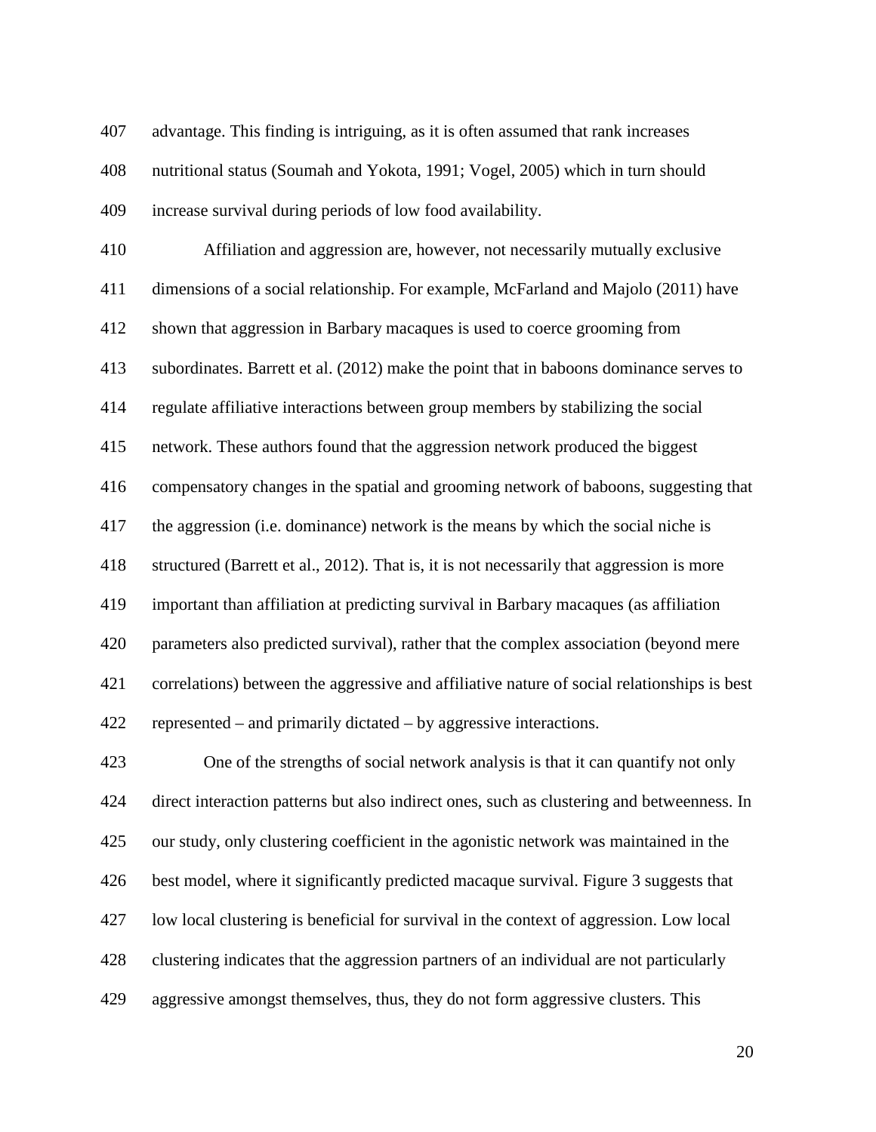advantage. This finding is intriguing, as it is often assumed that rank increases nutritional status [\(Soumah and Yokota, 1991;](#page-29-5) [Vogel, 2005\)](#page-30-3) which in turn should

increase survival during periods of low food availability.

 Affiliation and aggression are, however, not necessarily mutually exclusive dimensions of a social relationship. For example, McFarland and Majolo [\(2011\)](#page-27-6) have shown that aggression in Barbary macaques is used to coerce grooming from subordinates. Barrett et al. (2012) make the point that in baboons dominance serves to regulate affiliative interactions between group members by stabilizing the social network. These authors found that the aggression network produced the biggest compensatory changes in the spatial and grooming network of baboons, suggesting that the aggression (i.e. dominance) network is the means by which the social niche is structured [\(Barrett et al., 2012\)](#page-23-5). That is, it is not necessarily that aggression is more important than affiliation at predicting survival in Barbary macaques (as affiliation parameters also predicted survival), rather that the complex association (beyond mere correlations) between the aggressive and affiliative nature of social relationships is best represented – and primarily dictated – by aggressive interactions.

 One of the strengths of social network analysis is that it can quantify not only direct interaction patterns but also indirect ones, such as clustering and betweenness. In our study, only clustering coefficient in the agonistic network was maintained in the best model, where it significantly predicted macaque survival. Figure 3 suggests that low local clustering is beneficial for survival in the context of aggression. Low local clustering indicates that the aggression partners of an individual are not particularly aggressive amongst themselves, thus, they do not form aggressive clusters. This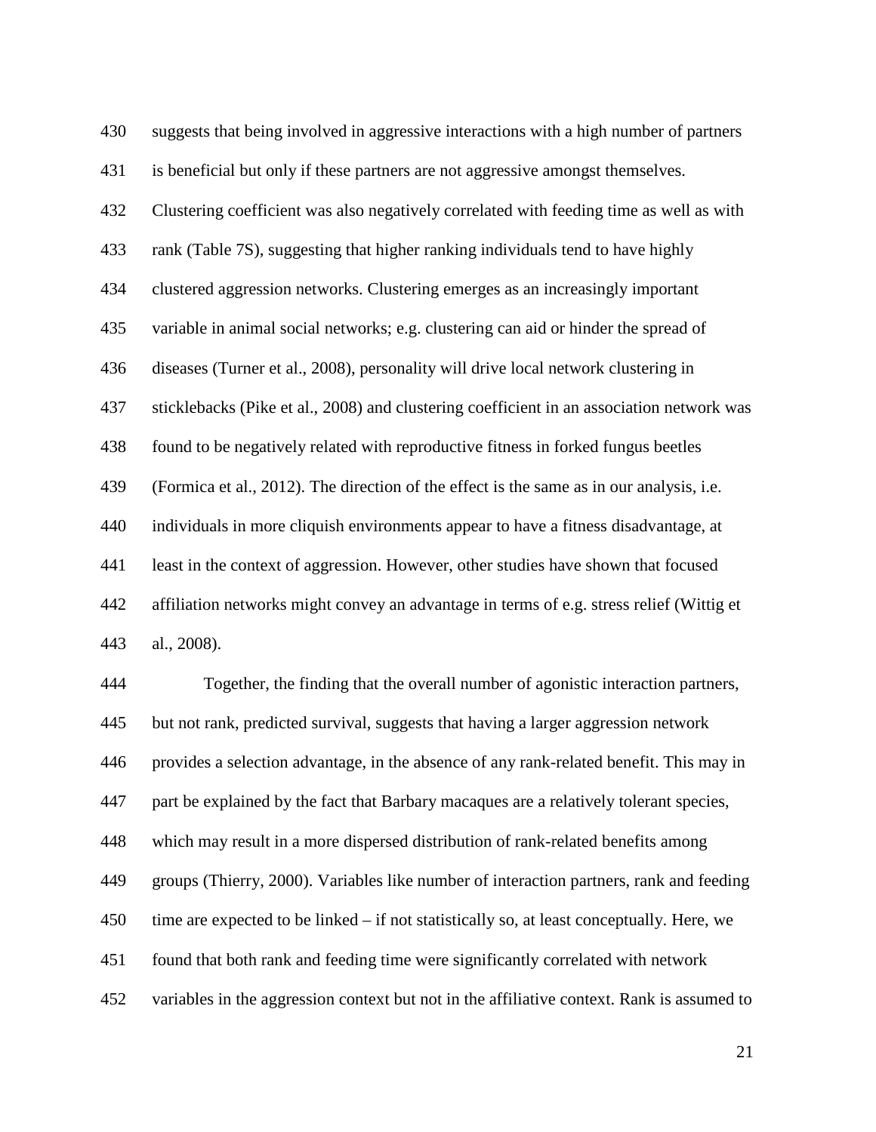suggests that being involved in aggressive interactions with a high number of partners is beneficial but only if these partners are not aggressive amongst themselves. Clustering coefficient was also negatively correlated with feeding time as well as with rank (Table 7S), suggesting that higher ranking individuals tend to have highly clustered aggression networks. Clustering emerges as an increasingly important variable in animal social networks; e.g. clustering can aid or hinder the spread of diseases [\(Turner et al., 2008\)](#page-29-6), personality will drive local network clustering in sticklebacks [\(Pike et al., 2008\)](#page-28-9) and clustering coefficient in an association network was found to be negatively related with reproductive fitness in forked fungus beetles [\(Formica et al., 2012\)](#page-25-9). The direction of the effect is the same as in our analysis, i.e. individuals in more cliquish environments appear to have a fitness disadvantage, at least in the context of aggression. However, other studies have shown that focused affiliation networks might convey an advantage in terms of e.g. stress relief [\(Wittig et](#page-30-1)  [al., 2008\)](#page-30-1). Together, the finding that the overall number of agonistic interaction partners, but not rank, predicted survival, suggests that having a larger aggression network

provides a selection advantage, in the absence of any rank-related benefit. This may in

part be explained by the fact that Barbary macaques are a relatively tolerant species,

which may result in a more dispersed distribution of rank-related benefits among

groups [\(Thierry, 2000\)](#page-29-7). Variables like number of interaction partners, rank and feeding

time are expected to be linked – if not statistically so, at least conceptually. Here, we

found that both rank and feeding time were significantly correlated with network

variables in the aggression context but not in the affiliative context. Rank is assumed to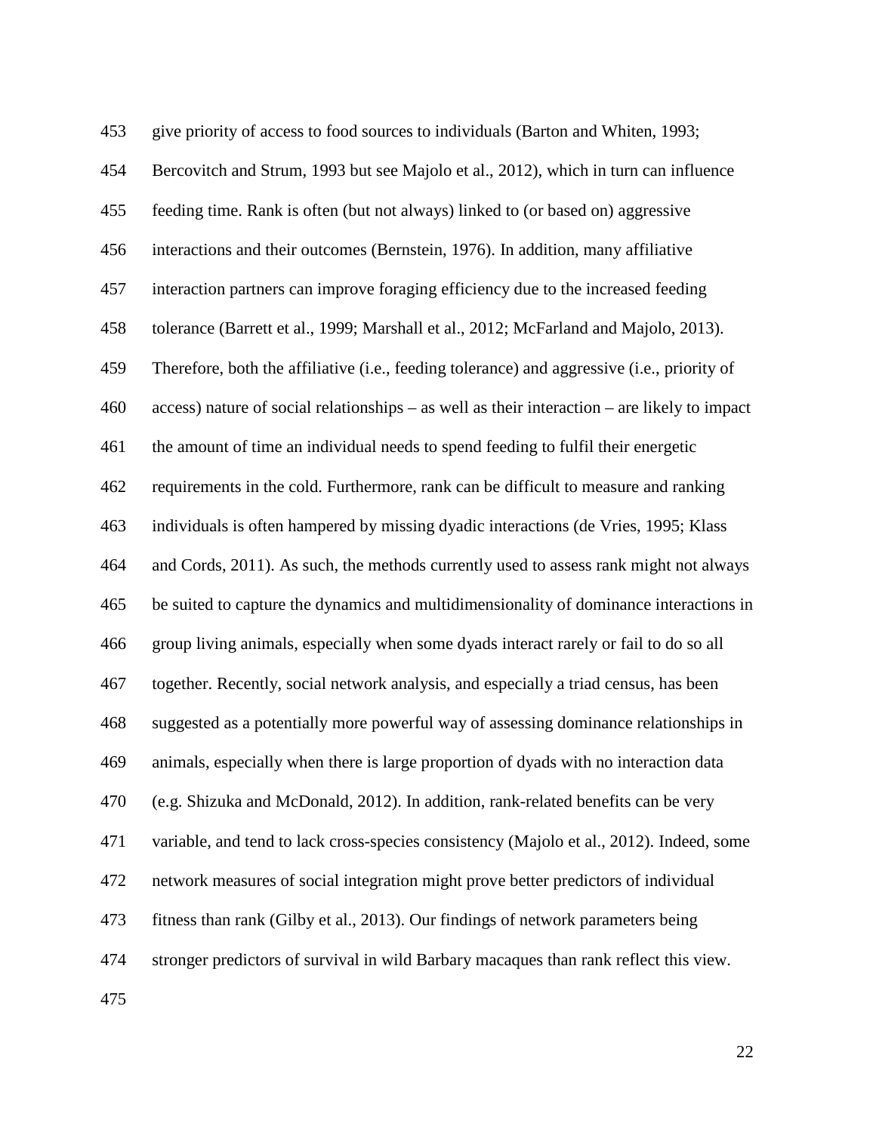| 453 | give priority of access to food sources to individuals (Barton and Whiten, 1993;               |
|-----|------------------------------------------------------------------------------------------------|
| 454 | Bercovitch and Strum, 1993 but see Majolo et al., 2012), which in turn can influence           |
| 455 | feeding time. Rank is often (but not always) linked to (or based on) aggressive                |
| 456 | interactions and their outcomes (Bernstein, 1976). In addition, many affiliative               |
| 457 | interaction partners can improve foraging efficiency due to the increased feeding              |
| 458 | tolerance (Barrett et al., 1999; Marshall et al., 2012; McFarland and Majolo, 2013).           |
| 459 | Therefore, both the affiliative (i.e., feeding tolerance) and aggressive (i.e., priority of    |
| 460 | $access)$ nature of social relationships – as well as their interaction – are likely to impact |
| 461 | the amount of time an individual needs to spend feeding to fulfil their energetic              |
| 462 | requirements in the cold. Furthermore, rank can be difficult to measure and ranking            |
| 463 | individuals is often hampered by missing dyadic interactions (de Vries, 1995; Klass            |
| 464 | and Cords, 2011). As such, the methods currently used to assess rank might not always          |
| 465 | be suited to capture the dynamics and multidimensionality of dominance interactions in         |
| 466 | group living animals, especially when some dyads interact rarely or fail to do so all          |
| 467 | together. Recently, social network analysis, and especially a triad census, has been           |
| 468 | suggested as a potentially more powerful way of assessing dominance relationships in           |
| 469 | animals, especially when there is large proportion of dyads with no interaction data           |
| 470 | (e.g. Shizuka and McDonald, 2012). In addition, rank-related benefits can be very              |
| 471 | variable, and tend to lack cross-species consistency (Majolo et al., 2012). Indeed, some       |
| 472 | network measures of social integration might prove better predictors of individual             |
| 473 | fitness than rank (Gilby et al., 2013). Our findings of network parameters being               |
| 474 | stronger predictors of survival in wild Barbary macaques than rank reflect this view.          |
|     |                                                                                                |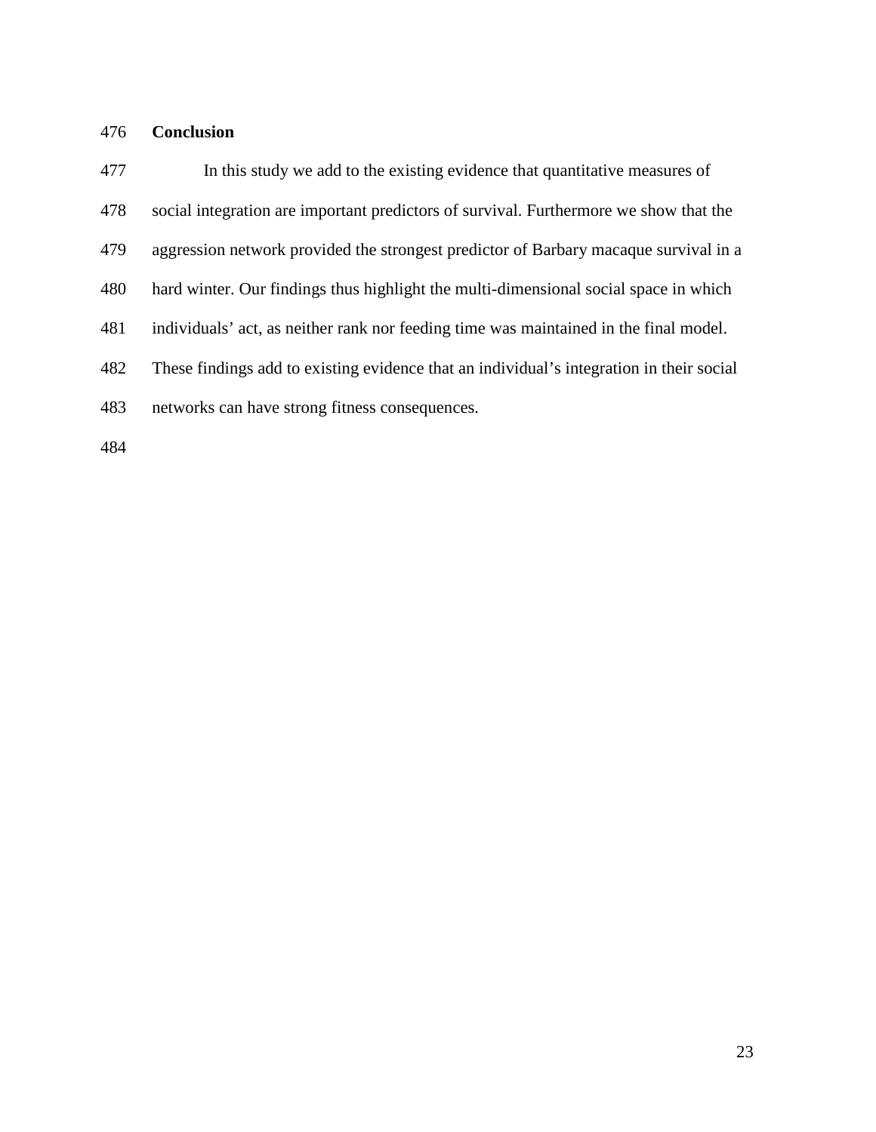## **Conclusion**

 In this study we add to the existing evidence that quantitative measures of social integration are important predictors of survival. Furthermore we show that the aggression network provided the strongest predictor of Barbary macaque survival in a hard winter. Our findings thus highlight the multi-dimensional social space in which individuals' act, as neither rank nor feeding time was maintained in the final model. These findings add to existing evidence that an individual's integration in their social networks can have strong fitness consequences.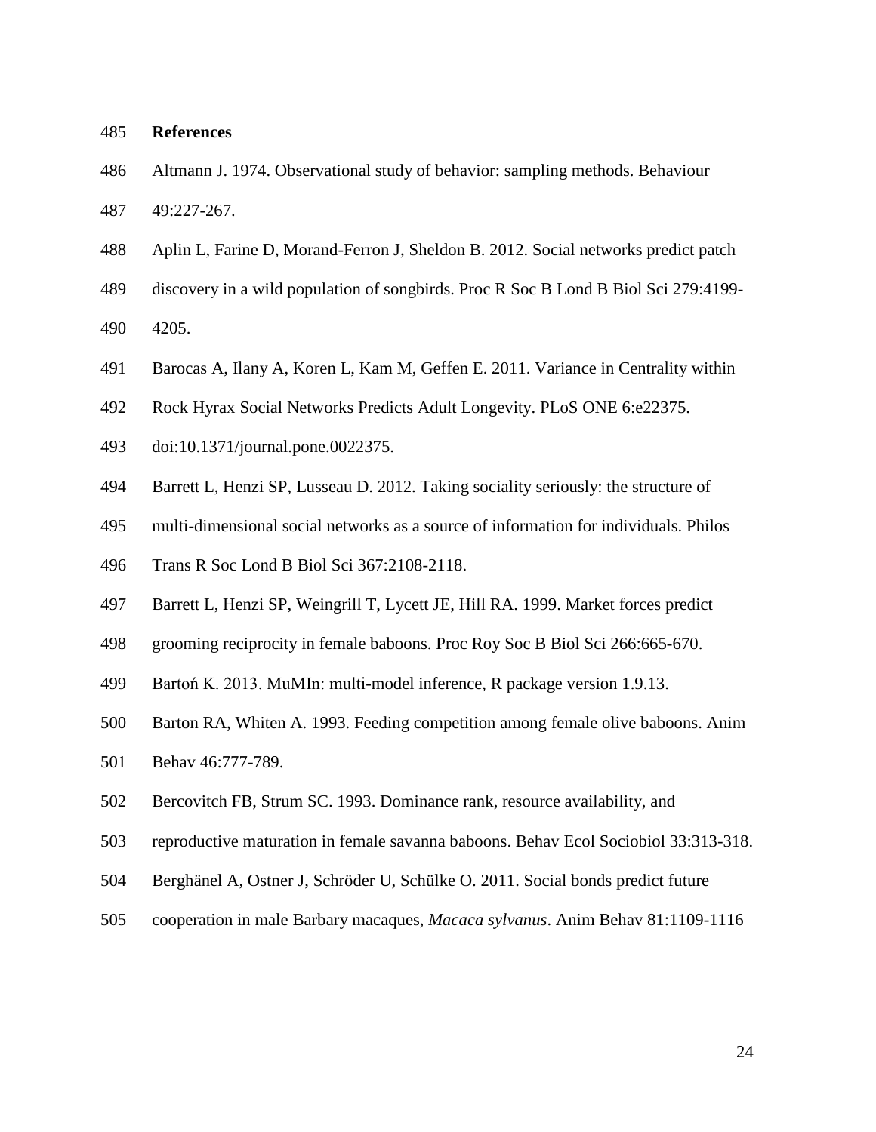### **References**

<span id="page-23-2"></span>Altmann J. 1974. Observational study of behavior: sampling methods. Behaviour

49:227-267.

- <span id="page-23-3"></span>Aplin L, Farine D, Morand-Ferron J, Sheldon B. 2012. Social networks predict patch
- discovery in a wild population of songbirds. Proc R Soc B Lond B Biol Sci 279:4199-
- 4205.
- <span id="page-23-0"></span>Barocas A, Ilany A, Koren L, Kam M, Geffen E. 2011. Variance in Centrality within
- Rock Hyrax Social Networks Predicts Adult Longevity. PLoS ONE 6:e22375.
- doi:10.1371/journal.pone.0022375.
- <span id="page-23-5"></span>Barrett L, Henzi SP, Lusseau D. 2012. Taking sociality seriously: the structure of
- multi-dimensional social networks as a source of information for individuals. Philos
- Trans R Soc Lond B Biol Sci 367:2108-2118.
- <span id="page-23-8"></span>Barrett L, Henzi SP, Weingrill T, Lycett JE, Hill RA. 1999. Market forces predict
- grooming reciprocity in female baboons. Proc Roy Soc B Biol Sci 266:665-670.
- <span id="page-23-4"></span>Bartoń K. 2013. MuMIn: multi-model inference, R package version 1.9.13.
- <span id="page-23-6"></span>Barton RA, Whiten A. 1993. Feeding competition among female olive baboons. Anim
- Behav 46:777-789.
- <span id="page-23-7"></span>Bercovitch FB, Strum SC. 1993. Dominance rank, resource availability, and
- reproductive maturation in female savanna baboons. Behav Ecol Sociobiol 33:313-318.
- <span id="page-23-1"></span>Berghänel A, Ostner J, Schröder U, Schülke O. 2011. Social bonds predict future
- cooperation in male Barbary macaques, *Macaca sylvanus*. Anim Behav 81:1109-1116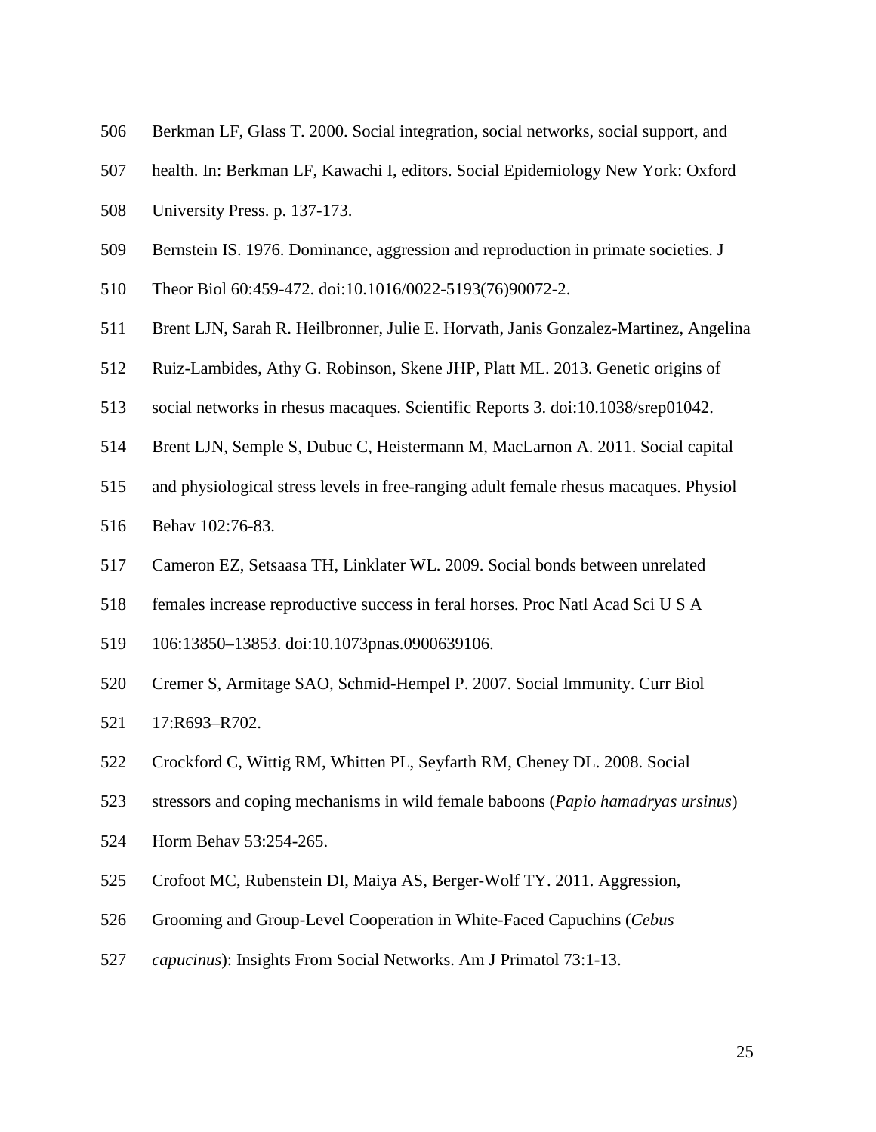- <span id="page-24-0"></span>Berkman LF, Glass T. 2000. Social integration, social networks, social support, and
- health. In: Berkman LF, Kawachi I, editors. Social Epidemiology New York: Oxford
- University Press. p. 137-173.
- <span id="page-24-7"></span>Bernstein IS. 1976. Dominance, aggression and reproduction in primate societies. J
- Theor Biol 60:459-472. doi:10.1016/0022-5193(76)90072-2.
- <span id="page-24-6"></span>Brent LJN, Sarah R. Heilbronner, Julie E. Horvath, Janis Gonzalez-Martinez, Angelina
- Ruiz-Lambides, Athy G. Robinson, Skene JHP, Platt ML. 2013. Genetic origins of
- social networks in rhesus macaques. Scientific Reports 3. doi:10.1038/srep01042.
- <span id="page-24-3"></span>Brent LJN, Semple S, Dubuc C, Heistermann M, MacLarnon A. 2011. Social capital
- and physiological stress levels in free-ranging adult female rhesus macaques. Physiol
- Behav 102:76-83.
- <span id="page-24-1"></span>Cameron EZ, Setsaasa TH, Linklater WL. 2009. Social bonds between unrelated
- females increase reproductive success in feral horses. Proc Natl Acad Sci U S A
- 106:13850–13853. doi:10.1073pnas.0900639106.
- <span id="page-24-4"></span>Cremer S, Armitage SAO, Schmid-Hempel P. 2007. Social Immunity. Curr Biol
- 17:R693–R702.
- <span id="page-24-2"></span>Crockford C, Wittig RM, Whitten PL, Seyfarth RM, Cheney DL. 2008. Social
- stressors and coping mechanisms in wild female baboons (*Papio hamadryas ursinus*)
- Horm Behav 53:254-265.
- <span id="page-24-5"></span>Crofoot MC, Rubenstein DI, Maiya AS, Berger-Wolf TY. 2011. Aggression,
- Grooming and Group-Level Cooperation in White-Faced Capuchins (*Cebus*
- *capucinus*): Insights From Social Networks. Am J Primatol 73:1-13.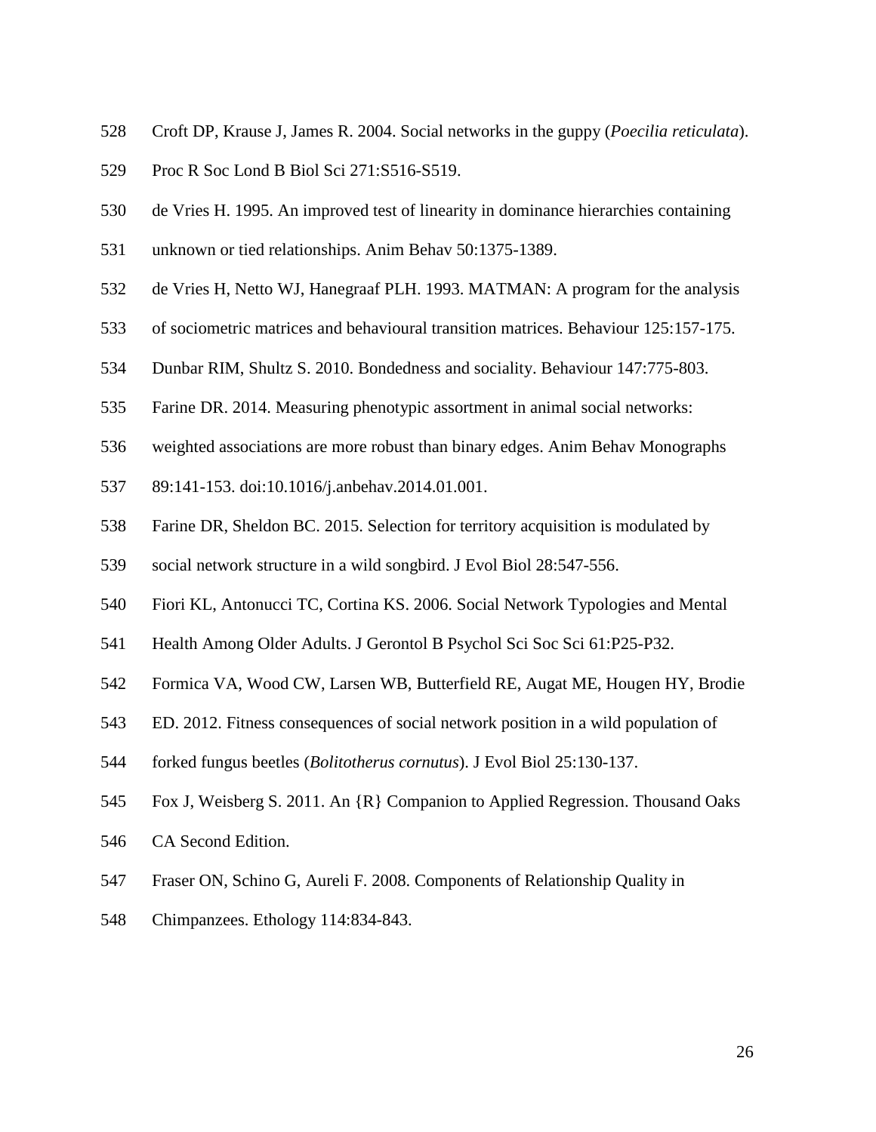- <span id="page-25-1"></span>Croft DP, Krause J, James R. 2004. Social networks in the guppy (*Poecilia reticulata*).
- Proc R Soc Lond B Biol Sci 271:S516-S519.
- <span id="page-25-4"></span>de Vries H. 1995. An improved test of linearity in dominance hierarchies containing
- unknown or tied relationships. Anim Behav 50:1375-1389.
- <span id="page-25-3"></span>de Vries H, Netto WJ, Hanegraaf PLH. 1993. MATMAN: A program for the analysis
- of sociometric matrices and behavioural transition matrices. Behaviour 125:157-175.
- <span id="page-25-7"></span>Dunbar RIM, Shultz S. 2010. Bondedness and sociality. Behaviour 147:775-803.
- <span id="page-25-5"></span>Farine DR. 2014. Measuring phenotypic assortment in animal social networks:
- weighted associations are more robust than binary edges. Anim Behav Monographs
- 89:141-153. doi:10.1016/j.anbehav.2014.01.001.
- <span id="page-25-2"></span>Farine DR, Sheldon BC. 2015. Selection for territory acquisition is modulated by
- social network structure in a wild songbird. J Evol Biol 28:547-556.
- <span id="page-25-0"></span>Fiori KL, Antonucci TC, Cortina KS. 2006. Social Network Typologies and Mental
- Health Among Older Adults. J Gerontol B Psychol Sci Soc Sci 61:P25-P32.
- <span id="page-25-9"></span>Formica VA, Wood CW, Larsen WB, Butterfield RE, Augat ME, Hougen HY, Brodie
- ED. 2012. Fitness consequences of social network position in a wild population of
- forked fungus beetles (*Bolitotherus cornutus*). J Evol Biol 25:130-137.
- <span id="page-25-6"></span>Fox J, Weisberg S. 2011. An {R} Companion to Applied Regression. Thousand Oaks
- CA Second Edition.
- <span id="page-25-8"></span>Fraser ON, Schino G, Aureli F. 2008. Components of Relationship Quality in
- Chimpanzees. Ethology 114:834-843.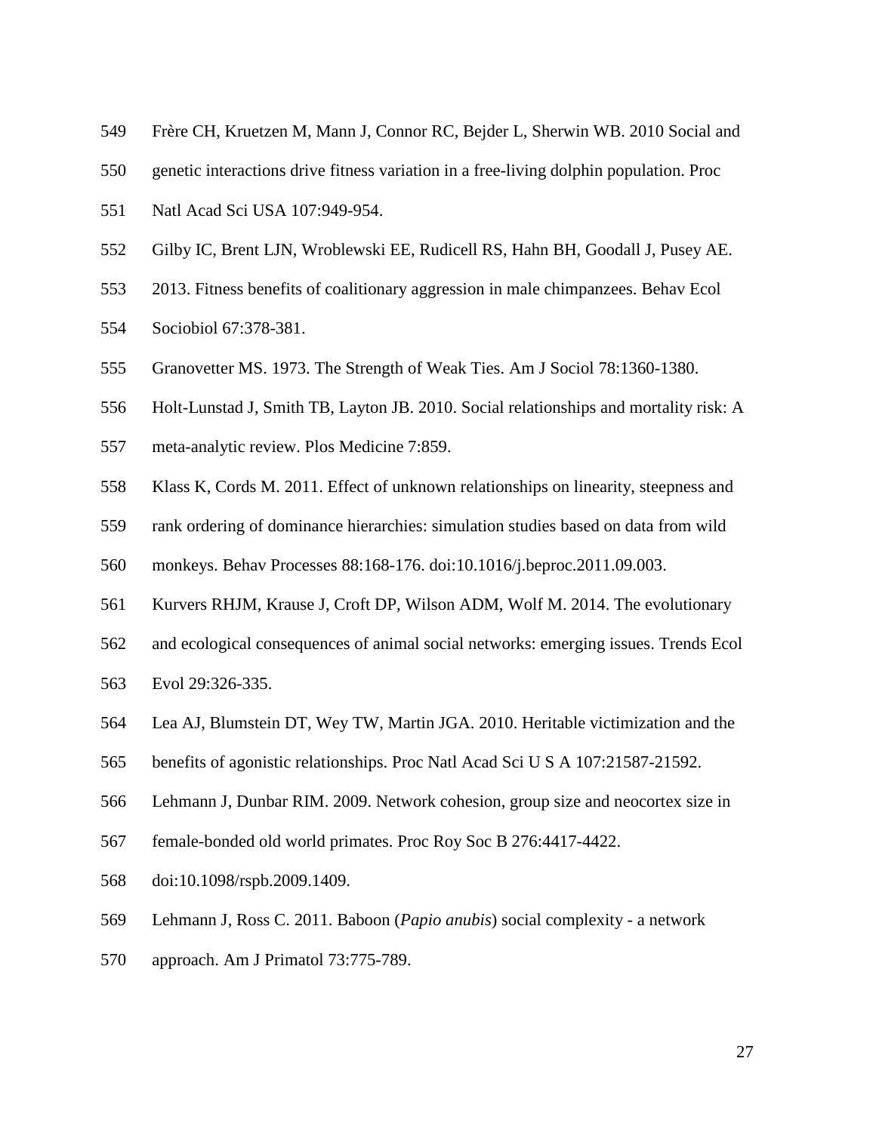- <span id="page-26-2"></span>Frère CH, Kruetzen M, Mann J, Connor RC, Bejder L, Sherwin WB. 2010 Social and
- genetic interactions drive fitness variation in a free-living dolphin population. Proc
- Natl Acad Sci USA 107:949-954.
- <span id="page-26-4"></span>Gilby IC, Brent LJN, Wroblewski EE, Rudicell RS, Hahn BH, Goodall J, Pusey AE.
- 2013. Fitness benefits of coalitionary aggression in male chimpanzees. Behav Ecol
- Sociobiol 67:378-381.
- <span id="page-26-7"></span>Granovetter MS. 1973. The Strength of Weak Ties. Am J Sociol 78:1360-1380.
- <span id="page-26-0"></span>Holt-Lunstad J, Smith TB, Layton JB. 2010. Social relationships and mortality risk: A
- meta-analytic review. Plos Medicine 7:859.
- <span id="page-26-8"></span>Klass K, Cords M. 2011. Effect of unknown relationships on linearity, steepness and
- rank ordering of dominance hierarchies: simulation studies based on data from wild
- monkeys. Behav Processes 88:168-176. doi:10.1016/j.beproc.2011.09.003.
- <span id="page-26-6"></span>Kurvers RHJM, Krause J, Croft DP, Wilson ADM, Wolf M. 2014. The evolutionary
- and ecological consequences of animal social networks: emerging issues. Trends Ecol
- Evol 29:326-335.
- <span id="page-26-5"></span>Lea AJ, Blumstein DT, Wey TW, Martin JGA. 2010. Heritable victimization and the
- benefits of agonistic relationships. Proc Natl Acad Sci U S A 107:21587-21592.
- <span id="page-26-1"></span>Lehmann J, Dunbar RIM. 2009. Network cohesion, group size and neocortex size in
- female-bonded old world primates. Proc Roy Soc B 276:4417-4422.
- doi:10.1098/rspb.2009.1409.
- <span id="page-26-3"></span>Lehmann J, Ross C. 2011. Baboon (*Papio anubis*) social complexity - a network
- approach. Am J Primatol 73:775-789.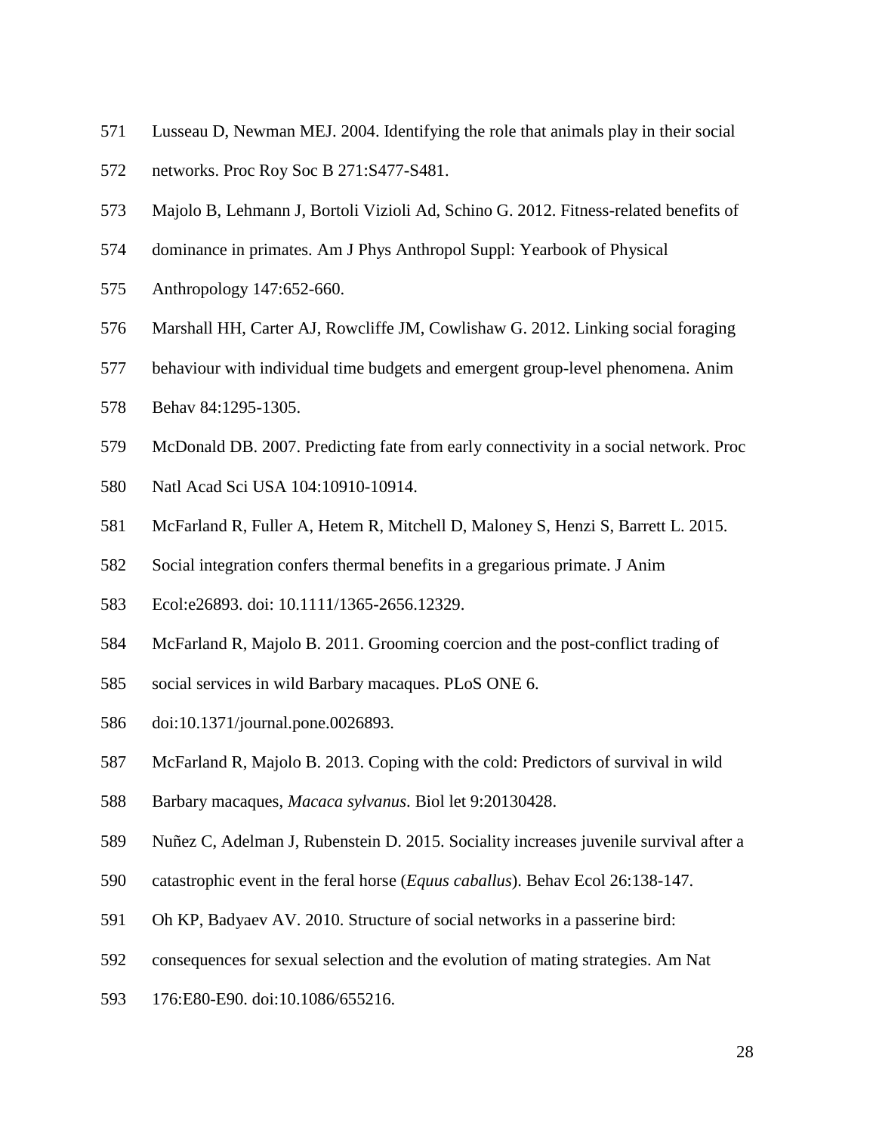- <span id="page-27-0"></span>Lusseau D, Newman MEJ. 2004. Identifying the role that animals play in their social
- networks. Proc Roy Soc B 271:S477-S481.
- <span id="page-27-7"></span>Majolo B, Lehmann J, Bortoli Vizioli Ad, Schino G. 2012. Fitness-related benefits of
- dominance in primates. Am J Phys Anthropol Suppl: Yearbook of Physical
- Anthropology 147:652-660.
- <span id="page-27-8"></span>Marshall HH, Carter AJ, Rowcliffe JM, Cowlishaw G. 2012. Linking social foraging
- behaviour with individual time budgets and emergent group-level phenomena. Anim
- Behav 84:1295-1305.
- <span id="page-27-2"></span>McDonald DB. 2007. Predicting fate from early connectivity in a social network. Proc
- Natl Acad Sci USA 104:10910-10914.
- <span id="page-27-4"></span>McFarland R, Fuller A, Hetem R, Mitchell D, Maloney S, Henzi S, Barrett L. 2015.
- Social integration confers thermal benefits in a gregarious primate. J Anim
- Ecol:e26893. doi: 10.1111/1365-2656.12329.
- <span id="page-27-6"></span>McFarland R, Majolo B. 2011. Grooming coercion and the post-conflict trading of
- social services in wild Barbary macaques. PLoS ONE 6.
- doi:10.1371/journal.pone.0026893.
- <span id="page-27-1"></span>McFarland R, Majolo B. 2013. Coping with the cold: Predictors of survival in wild
- Barbary macaques, *Macaca sylvanus*. Biol let 9:20130428.
- <span id="page-27-3"></span>Nuñez C, Adelman J, Rubenstein D. 2015. Sociality increases juvenile survival after a
- catastrophic event in the feral horse (*Equus caballus*). Behav Ecol 26:138-147.
- <span id="page-27-5"></span>Oh KP, Badyaev AV. 2010. Structure of social networks in a passerine bird:
- consequences for sexual selection and the evolution of mating strategies. Am Nat
- 176:E80-E90. doi:10.1086/655216.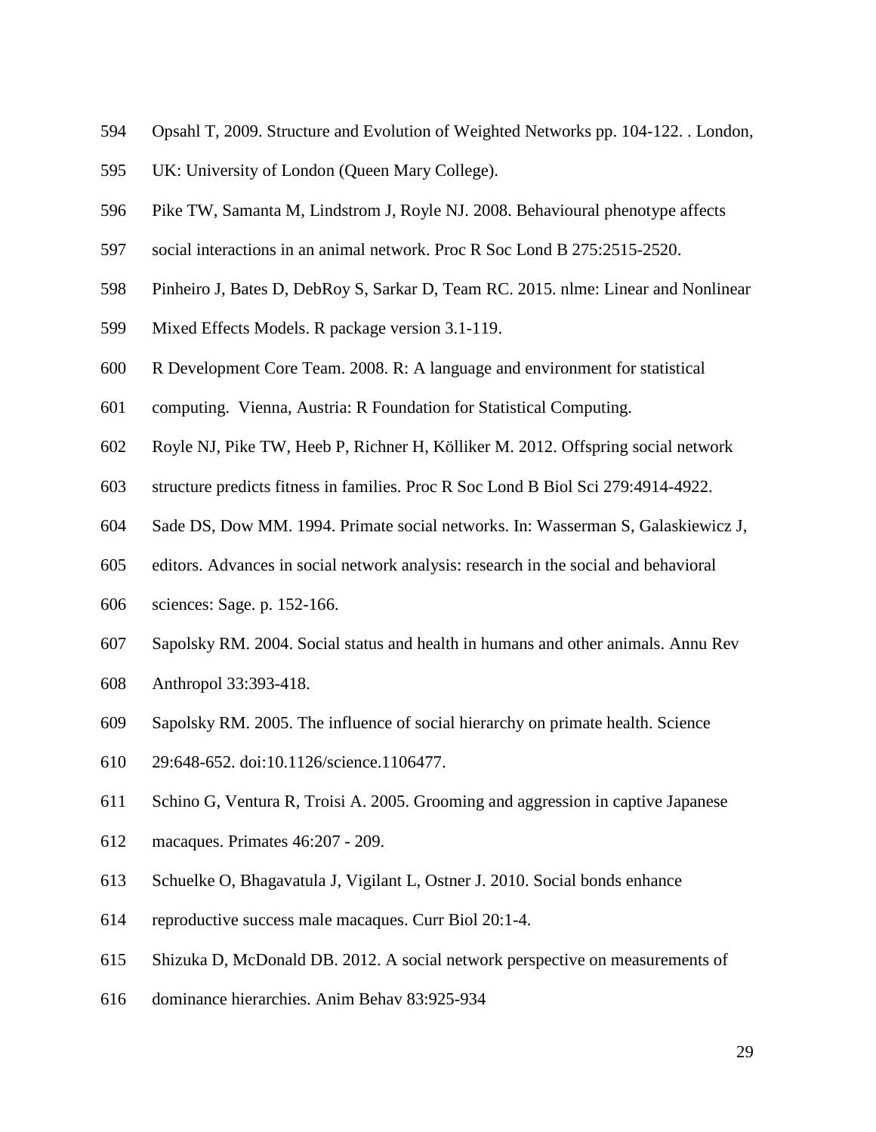- <span id="page-28-5"></span>Opsahl T, 2009. Structure and Evolution of Weighted Networks pp. 104-122. . London,
- UK: University of London (Queen Mary College).
- <span id="page-28-9"></span>Pike TW, Samanta M, Lindstrom J, Royle NJ. 2008. Behavioural phenotype affects
- social interactions in an animal network. Proc R Soc Lond B 275:2515-2520.
- <span id="page-28-7"></span>Pinheiro J, Bates D, DebRoy S, Sarkar D, Team RC. 2015. nlme: Linear and Nonlinear
- Mixed Effects Models. R package version 3.1-119.
- <span id="page-28-6"></span>R Development Core Team. 2008. R: A language and environment for statistical
- computing. Vienna, Austria: R Foundation for Statistical Computing.
- <span id="page-28-2"></span>Royle NJ, Pike TW, Heeb P, Richner H, Kölliker M. 2012. Offspring social network
- structure predicts fitness in families. Proc R Soc Lond B Biol Sci 279:4914-4922.
- <span id="page-28-0"></span>Sade DS, Dow MM. 1994. Primate social networks. In: Wasserman S, Galaskiewicz J,
- editors. Advances in social network analysis: research in the social and behavioral
- sciences: Sage. p. 152-166.
- <span id="page-28-3"></span>Sapolsky RM. 2004. Social status and health in humans and other animals. Annu Rev
- Anthropol 33:393-418.
- <span id="page-28-4"></span>Sapolsky RM. 2005. The influence of social hierarchy on primate health. Science
- 29:648-652. doi:10.1126/science.1106477.
- <span id="page-28-8"></span>Schino G, Ventura R, Troisi A. 2005. Grooming and aggression in captive Japanese
- macaques. Primates 46:207 209.
- <span id="page-28-1"></span>Schuelke O, Bhagavatula J, Vigilant L, Ostner J. 2010. Social bonds enhance
- reproductive success male macaques. Curr Biol 20:1-4.
- <span id="page-28-10"></span>Shizuka D, McDonald DB. 2012. A social network perspective on measurements of
- dominance hierarchies. Anim Behav 83:925-934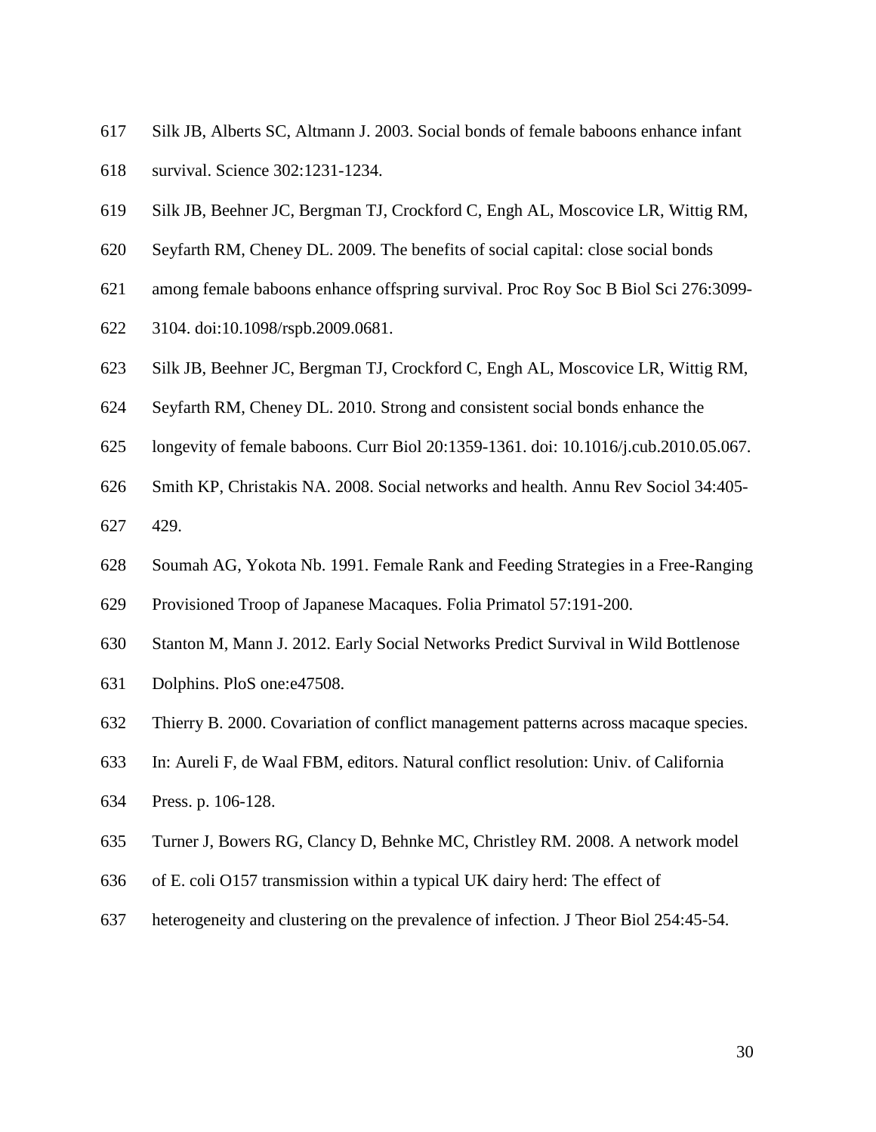- <span id="page-29-1"></span>Silk JB, Alberts SC, Altmann J. 2003. Social bonds of female baboons enhance infant
- survival. Science 302:1231-1234.
- <span id="page-29-2"></span>Silk JB, Beehner JC, Bergman TJ, Crockford C, Engh AL, Moscovice LR, Wittig RM,
- Seyfarth RM, Cheney DL. 2009. The benefits of social capital: close social bonds
- among female baboons enhance offspring survival. Proc Roy Soc B Biol Sci 276:3099-
- 3104. doi:10.1098/rspb.2009.0681.
- <span id="page-29-4"></span>Silk JB, Beehner JC, Bergman TJ, Crockford C, Engh AL, Moscovice LR, Wittig RM,
- Seyfarth RM, Cheney DL. 2010. Strong and consistent social bonds enhance the
- longevity of female baboons. Curr Biol 20:1359-1361. doi: 10.1016/j.cub.2010.05.067.
- <span id="page-29-0"></span>Smith KP, Christakis NA. 2008. Social networks and health. Annu Rev Sociol 34:405-
- 429.
- <span id="page-29-5"></span>Soumah AG, Yokota Nb. 1991. Female Rank and Feeding Strategies in a Free-Ranging
- Provisioned Troop of Japanese Macaques. Folia Primatol 57:191-200.
- <span id="page-29-3"></span>Stanton M, Mann J. 2012. Early Social Networks Predict Survival in Wild Bottlenose
- Dolphins. PloS one:e47508.
- <span id="page-29-7"></span>Thierry B. 2000. Covariation of conflict management patterns across macaque species.
- In: Aureli F, de Waal FBM, editors. Natural conflict resolution: Univ. of California
- Press. p. 106-128.
- <span id="page-29-6"></span>Turner J, Bowers RG, Clancy D, Behnke MC, Christley RM. 2008. A network model
- of E. coli O157 transmission within a typical UK dairy herd: The effect of
- heterogeneity and clustering on the prevalence of infection. J Theor Biol 254:45-54.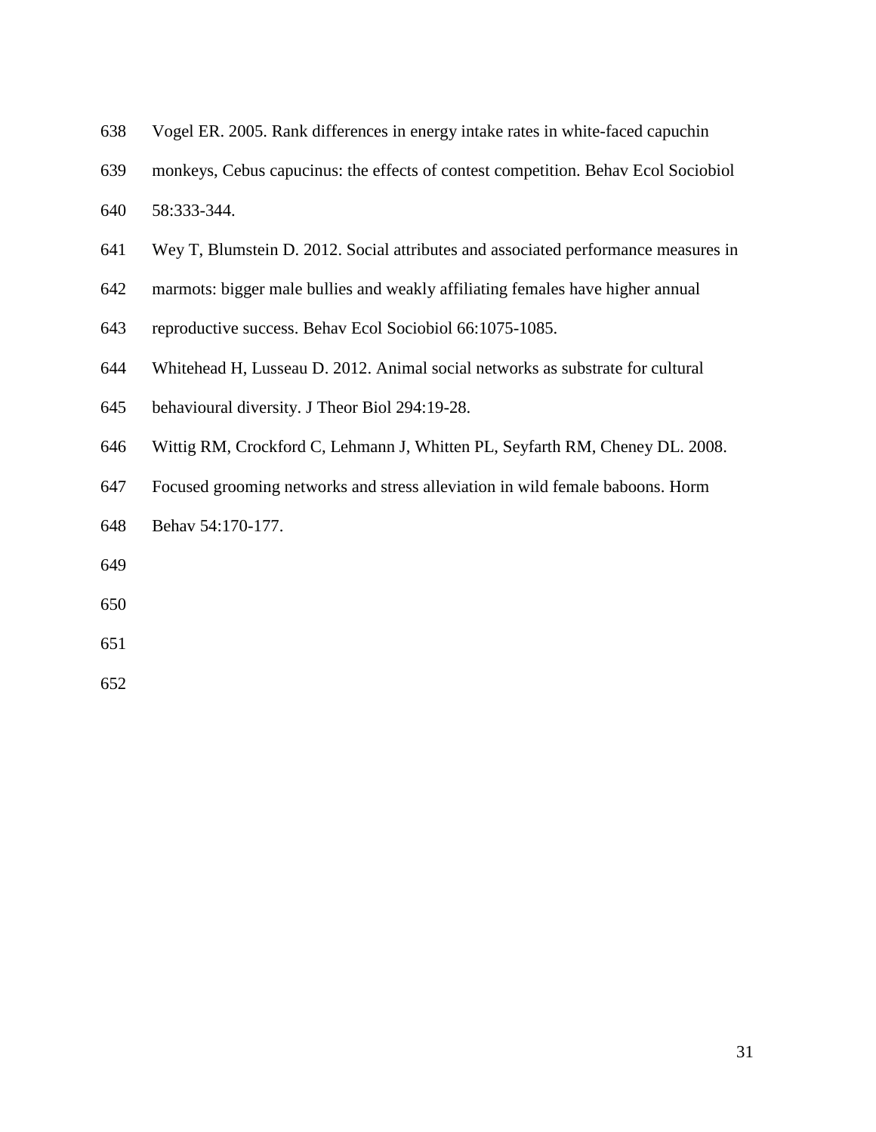- <span id="page-30-3"></span>Vogel ER. 2005. Rank differences in energy intake rates in white-faced capuchin
- monkeys, Cebus capucinus: the effects of contest competition. Behav Ecol Sociobiol
- 58:333-344.
- <span id="page-30-2"></span>Wey T, Blumstein D. 2012. Social attributes and associated performance measures in
- marmots: bigger male bullies and weakly affiliating females have higher annual
- reproductive success. Behav Ecol Sociobiol 66:1075-1085.
- <span id="page-30-0"></span>Whitehead H, Lusseau D. 2012. Animal social networks as substrate for cultural
- behavioural diversity. J Theor Biol 294:19-28.
- <span id="page-30-1"></span>Wittig RM, Crockford C, Lehmann J, Whitten PL, Seyfarth RM, Cheney DL. 2008.
- Focused grooming networks and stress alleviation in wild female baboons. Horm
- Behav 54:170-177.
- 
- 
- 
-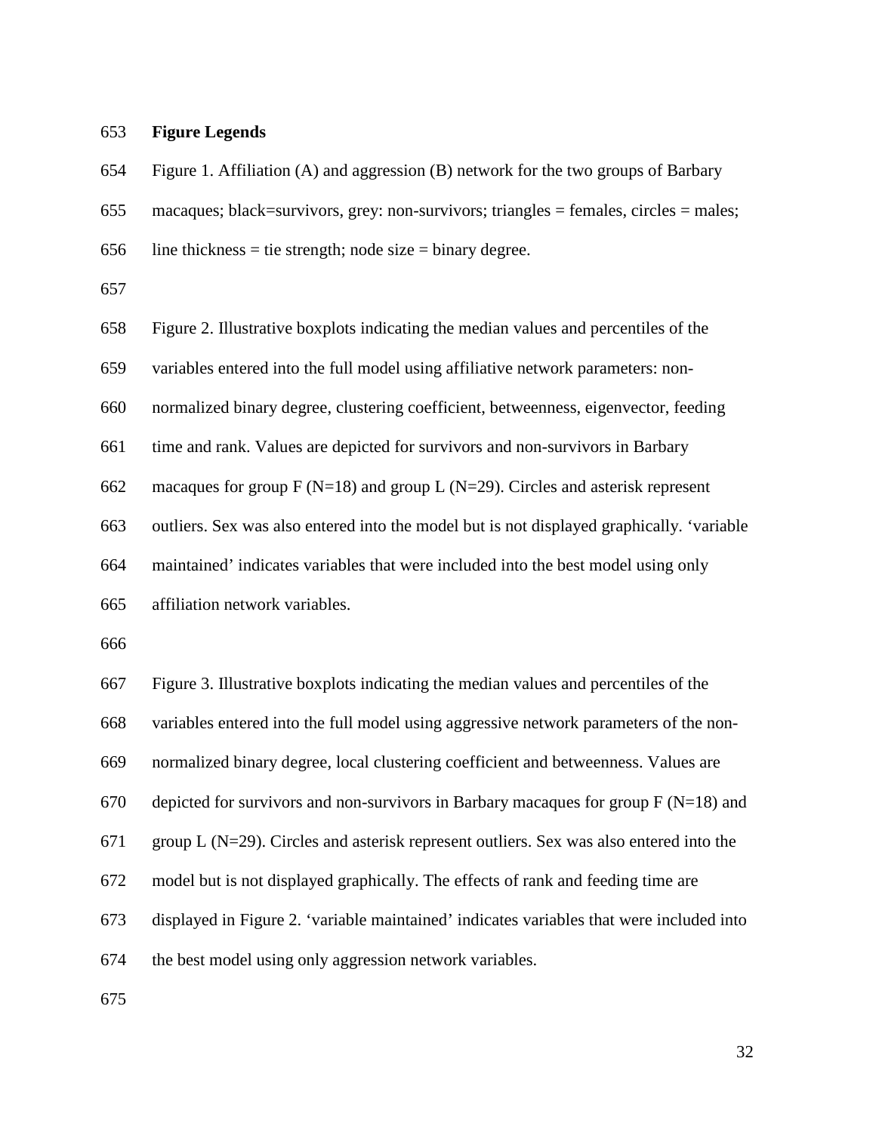### **Figure Legends**

 Figure 1. Affiliation (A) and aggression (B) network for the two groups of Barbary macaques; black=survivors, grey: non-survivors; triangles = females, circles = males; 656 line thickness = tie strength; node size = binary degree. Figure 2. Illustrative boxplots indicating the median values and percentiles of the variables entered into the full model using affiliative network parameters: non- normalized binary degree, clustering coefficient, betweenness, eigenvector, feeding time and rank. Values are depicted for survivors and non-survivors in Barbary 662 macaques for group  $F(N=18)$  and group L (N=29). Circles and asterisk represent outliers. Sex was also entered into the model but is not displayed graphically. 'variable maintained' indicates variables that were included into the best model using only affiliation network variables. Figure 3. Illustrative boxplots indicating the median values and percentiles of the variables entered into the full model using aggressive network parameters of the non- normalized binary degree, local clustering coefficient and betweenness. Values are 670 depicted for survivors and non-survivors in Barbary macaques for group  $F(N=18)$  and

group L (N=29). Circles and asterisk represent outliers. Sex was also entered into the

- model but is not displayed graphically. The effects of rank and feeding time are
- displayed in Figure 2. 'variable maintained' indicates variables that were included into

the best model using only aggression network variables.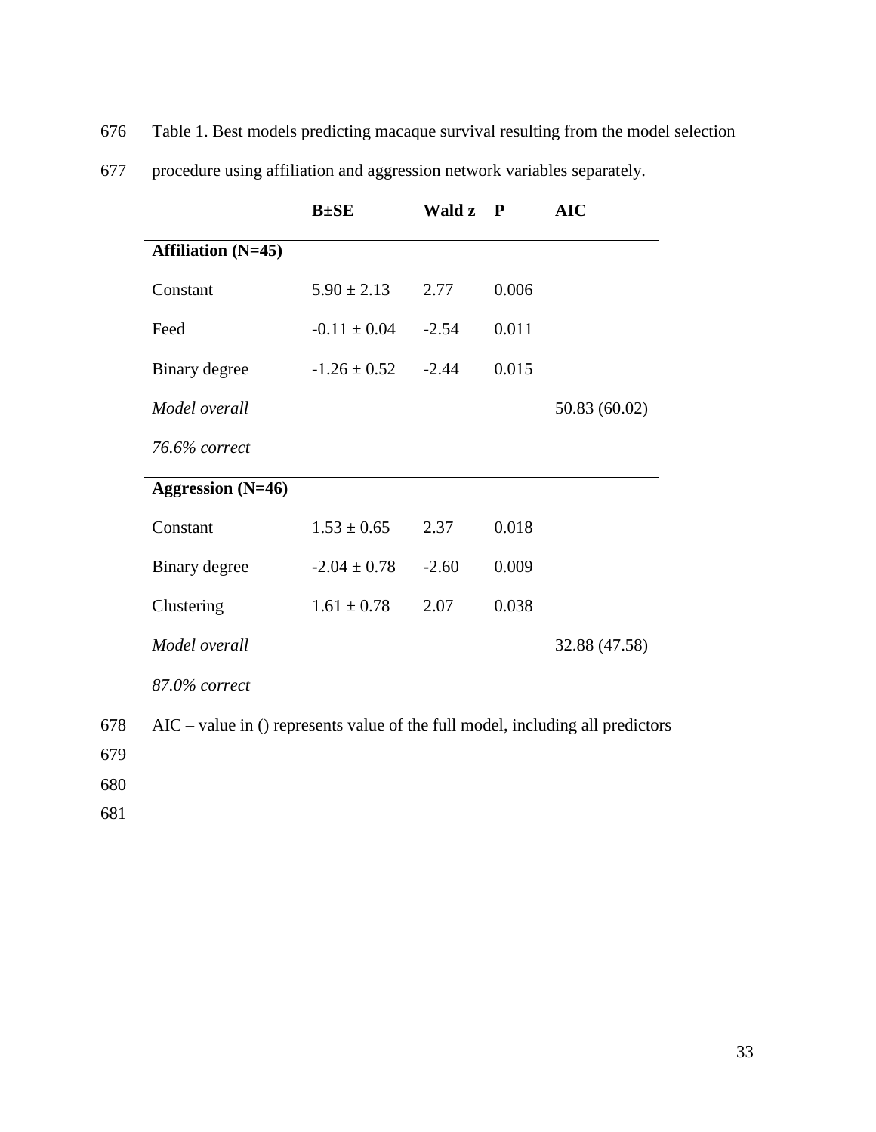676 Table 1. Best models predicting macaque survival resulting from the model selection

|                           | $B \pm SE$       | Wald z  | P     | <b>AIC</b>    |
|---------------------------|------------------|---------|-------|---------------|
| <b>Affiliation</b> (N=45) |                  |         |       |               |
| Constant                  | $5.90 \pm 2.13$  | 2.77    | 0.006 |               |
| Feed                      | $-0.11 \pm 0.04$ | $-2.54$ | 0.011 |               |
| Binary degree             | $-1.26 \pm 0.52$ | $-2.44$ | 0.015 |               |
| Model overall             |                  |         |       | 50.83 (60.02) |
| 76.6% correct             |                  |         |       |               |
| <b>Aggression</b> (N=46)  |                  |         |       |               |
| Constant                  | $1.53 \pm 0.65$  | 2.37    | 0.018 |               |
| Binary degree             | $-2.04 \pm 0.78$ | $-2.60$ | 0.009 |               |
| Clustering                | $1.61 \pm 0.78$  | 2.07    | 0.038 |               |
| Model overall             |                  |         |       | 32.88 (47.58) |
| 87.0% correct             |                  |         |       |               |

| 677 |  |  |  |  | procedure using affiliation and aggression network variables separately. |  |  |  |  |
|-----|--|--|--|--|--------------------------------------------------------------------------|--|--|--|--|
|-----|--|--|--|--|--------------------------------------------------------------------------|--|--|--|--|

678 AIC – value in () represents value of the full model, including all predictors

679

680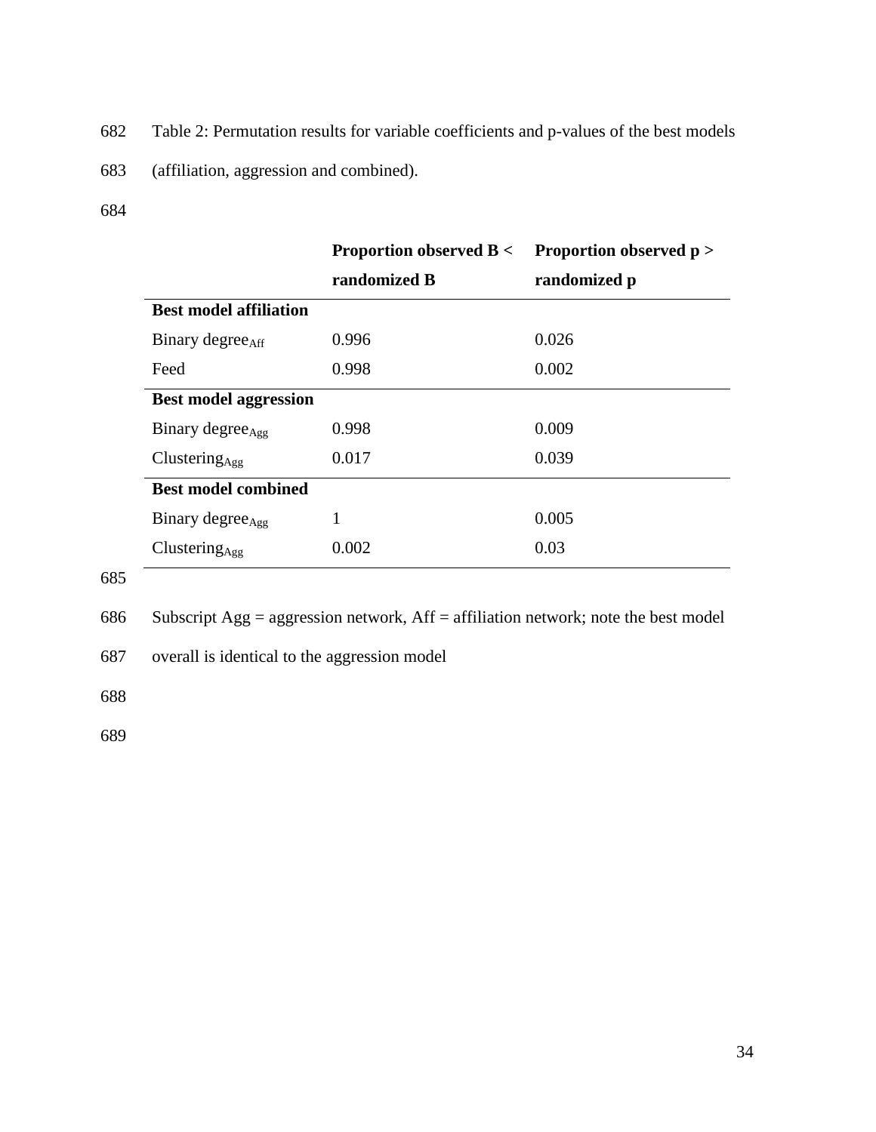- 682 Table 2: Permutation results for variable coefficients and p-values of the best models
- 683 (affiliation, aggression and combined).
- 684

|                               | <b>Proportion observed B</b> < Proportion observed $p$ > |              |
|-------------------------------|----------------------------------------------------------|--------------|
|                               | randomized B                                             | randomized p |
| <b>Best model affiliation</b> |                                                          |              |
| Binary degree <sub>Aff</sub>  | 0.996                                                    | 0.026        |
| Feed                          | 0.998                                                    | 0.002        |
| <b>Best model aggression</b>  |                                                          |              |
| Binary degree <sub>Agg</sub>  | 0.998                                                    | 0.009        |
| $Clustering_{Age}$            | 0.017                                                    | 0.039        |
| <b>Best model combined</b>    |                                                          |              |
| Binary degree <sub>Agg</sub>  | 1                                                        | 0.005        |
| $Clustering_{Age}$            | 0.002                                                    | 0.03         |

686 Subscript Agg = aggression network, Aff = affiliation network; note the best model

687 overall is identical to the aggression model

688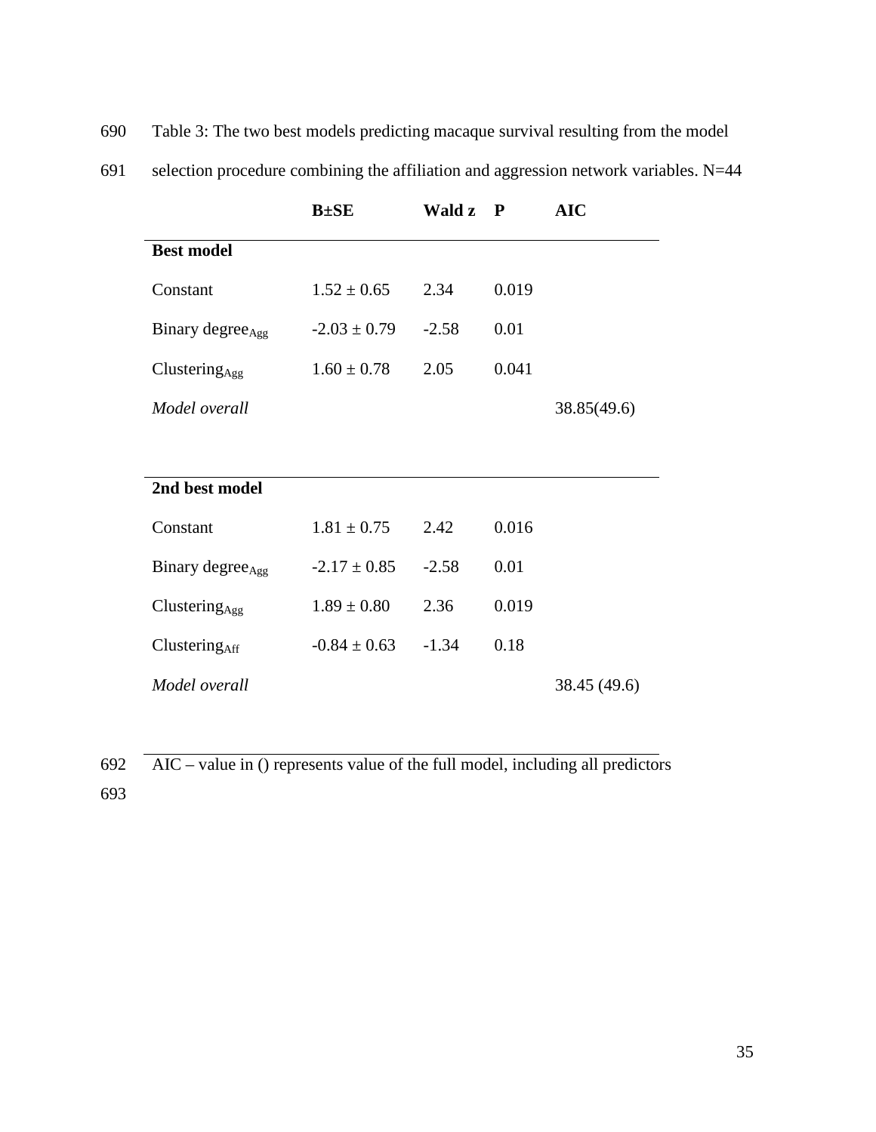690 Table 3: The two best models predicting macaque survival resulting from the model

| 691 |  |  |  |  |  | selection procedure combining the affiliation and aggression network variables. N=44 |  |
|-----|--|--|--|--|--|--------------------------------------------------------------------------------------|--|
|-----|--|--|--|--|--|--------------------------------------------------------------------------------------|--|

|                              | $B \pm SE$       | Wald z  | P     | <b>AIC</b>   |
|------------------------------|------------------|---------|-------|--------------|
| <b>Best model</b>            |                  |         |       |              |
| Constant                     | $1.52 \pm 0.65$  | 2.34    | 0.019 |              |
| Binary degree <sub>Agg</sub> | $-2.03 \pm 0.79$ | $-2.58$ | 0.01  |              |
| Clustering <sub>Agg</sub>    | $1.60 \pm 0.78$  | 2.05    | 0.041 |              |
| Model overall                |                  |         |       | 38.85(49.6)  |
|                              |                  |         |       |              |
| 2nd best model               |                  |         |       |              |
| Constant                     | $1.81 \pm 0.75$  | 2.42    | 0.016 |              |
| Binary degree <sub>Agg</sub> | $-2.17 \pm 0.85$ | $-2.58$ | 0.01  |              |
| Clustering $_{\text{Agg}}$   | $1.89 \pm 0.80$  | 2.36    | 0.019 |              |
| ClusteringAff                | $-0.84 \pm 0.63$ | $-1.34$ | 0.18  |              |
| Model overall                |                  |         |       | 38.45 (49.6) |

692 AIC – value in () represents value of the full model, including all predictors 693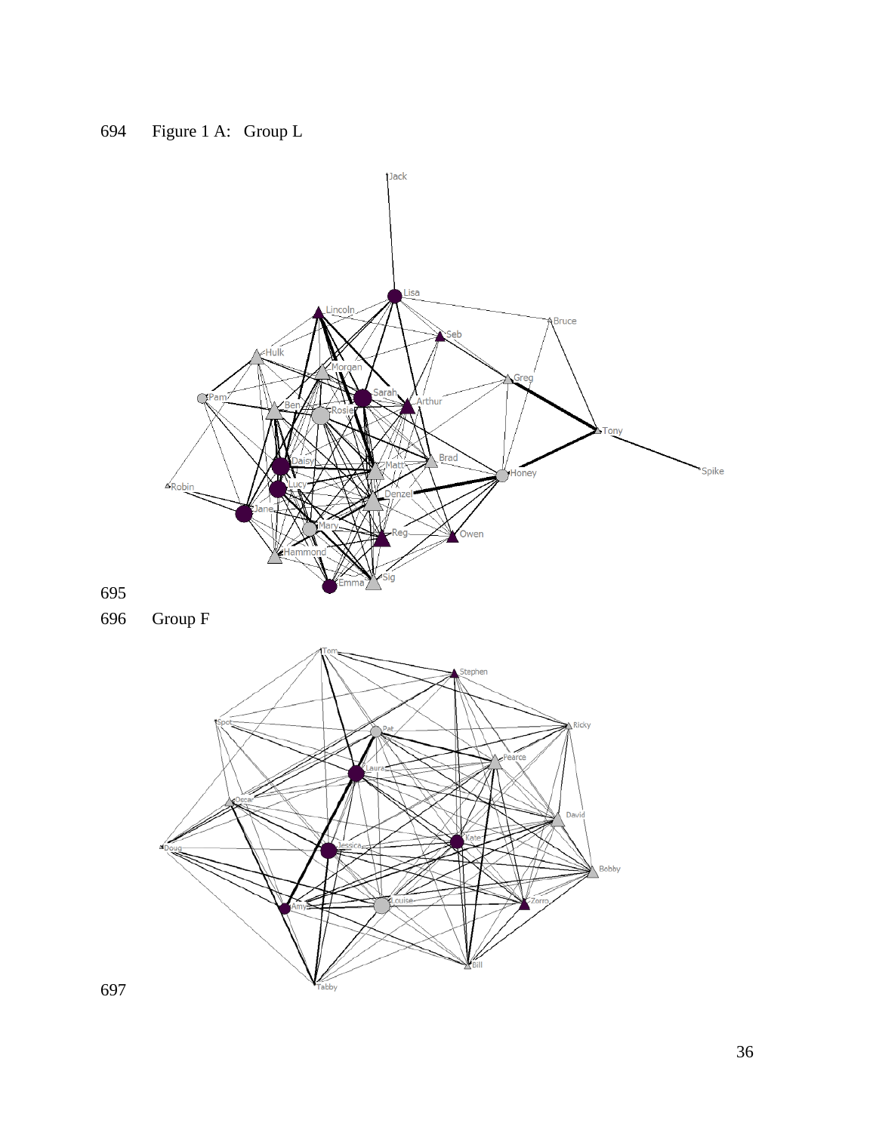

 Group F

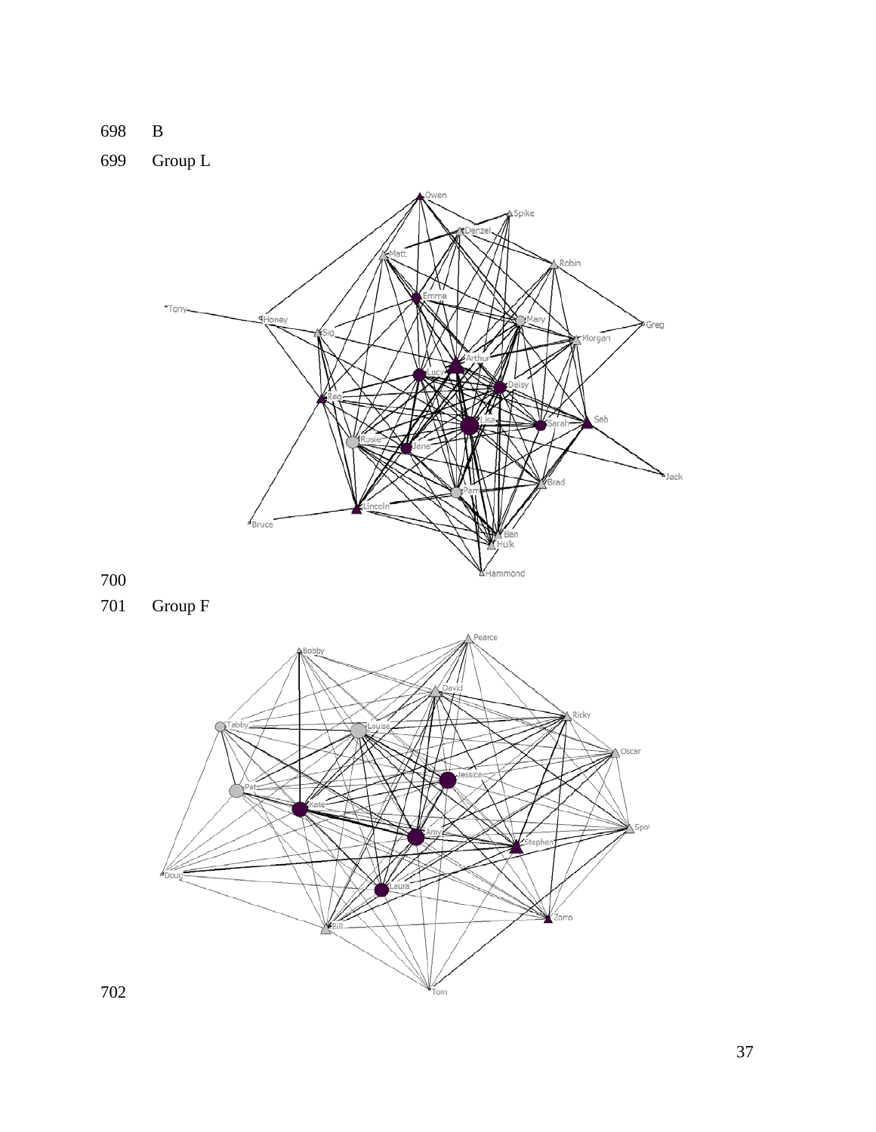B

Group L



Group F

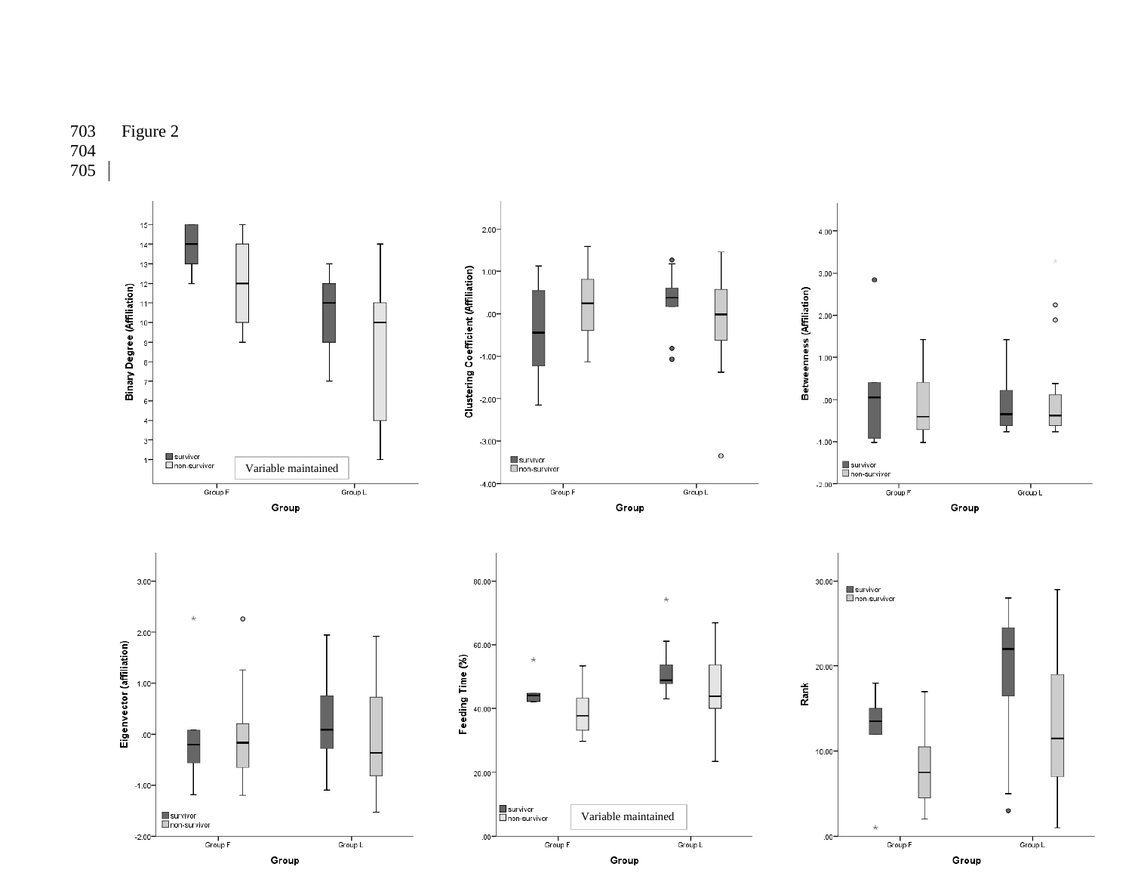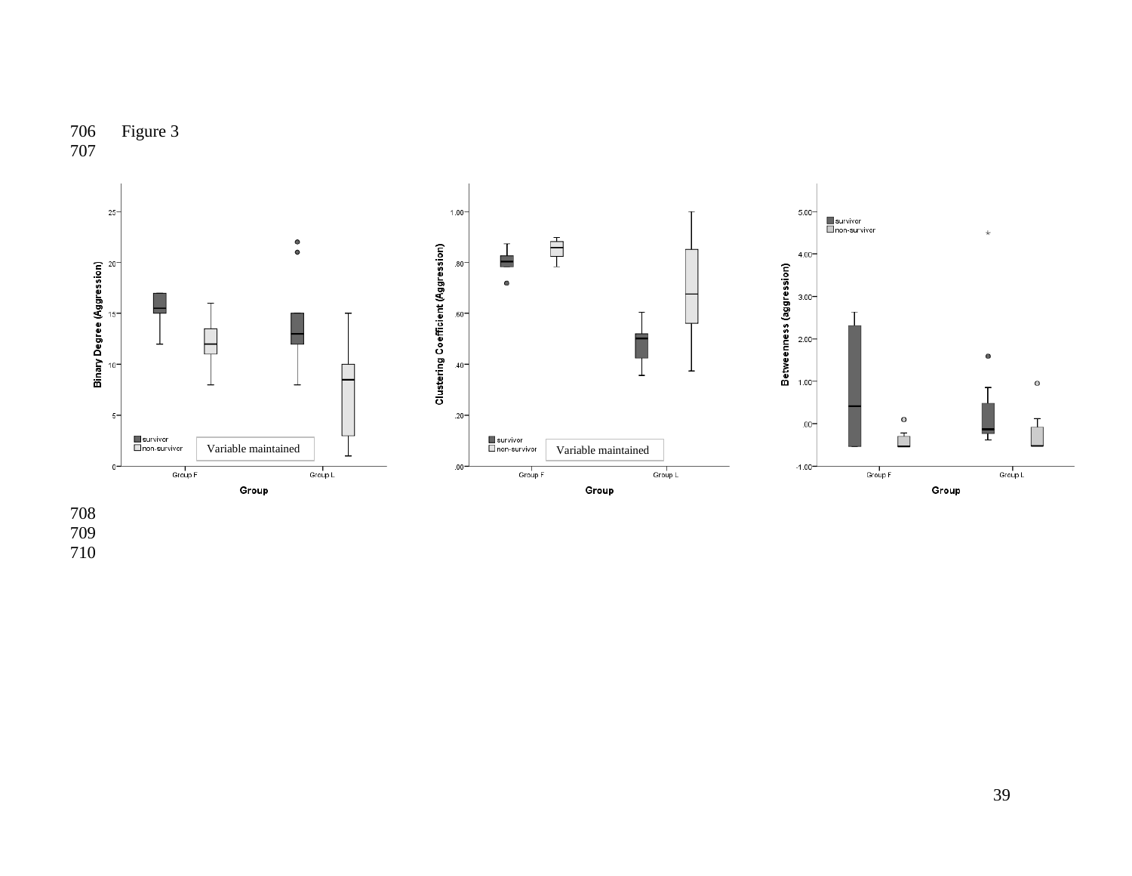

Figure 3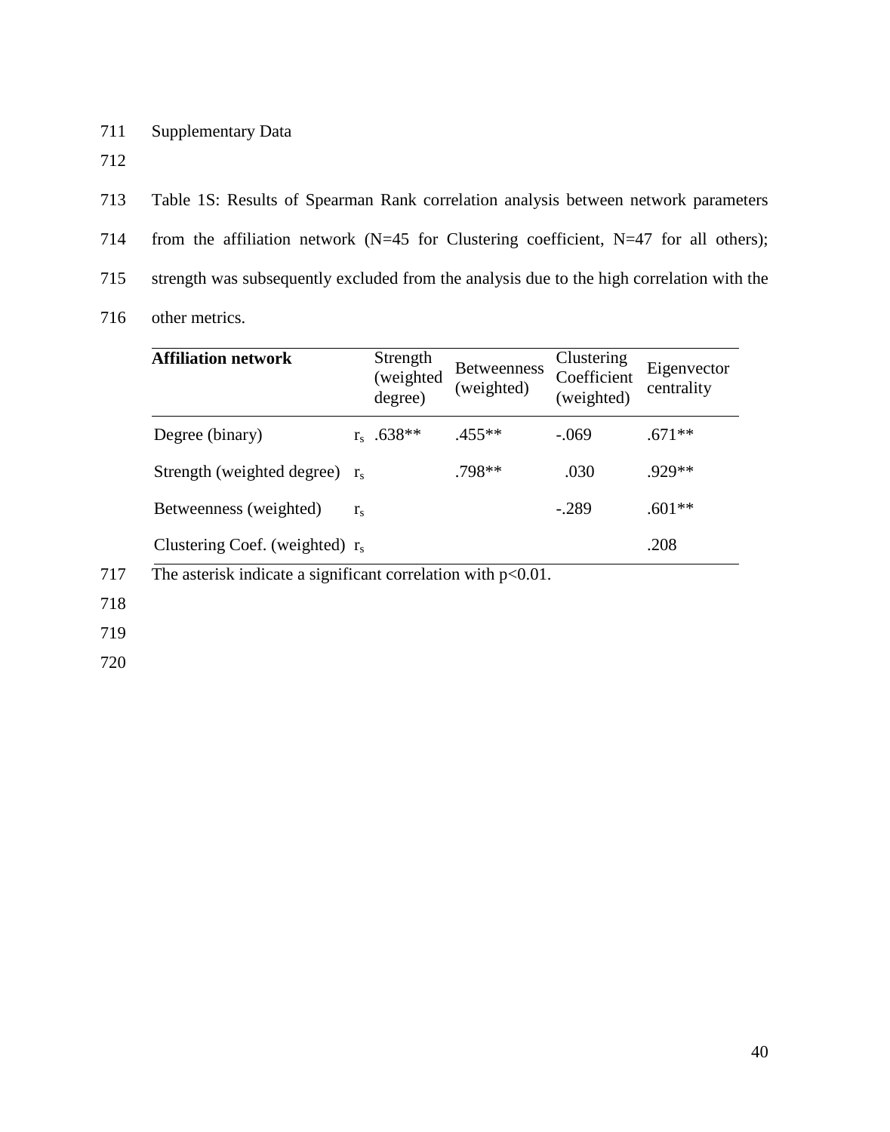711 Supplementary Data

712

713 Table 1S: Results of Spearman Rank correlation analysis between network parameters 714 from the affiliation network (N=45 for Clustering coefficient, N=47 for all others); 715 strength was subsequently excluded from the analysis due to the high correlation with the

716 other metrics.

| <b>Affiliation network</b>        |             | Strength<br>(weighted<br>degree) | <b>Betweenness</b><br>(weighted) | Clustering<br>Coefficient<br>(weighted) | Eigenvector<br>centrality |
|-----------------------------------|-------------|----------------------------------|----------------------------------|-----------------------------------------|---------------------------|
| Degree (binary)                   |             | $r_s$ .638**                     | $.455***$                        | $-.069$                                 | $.671**$                  |
| Strength (weighted degree) $r_s$  |             |                                  | $.798**$                         | .030                                    | $929**$                   |
| Betweenness (weighted)            | $r_{\rm s}$ |                                  |                                  | $-.289$                                 | $.601**$                  |
| Clustering Coef. (weighted) $r_s$ |             |                                  |                                  |                                         | .208                      |

717 The asterisk indicate a significant correlation with p<0.01.

718

719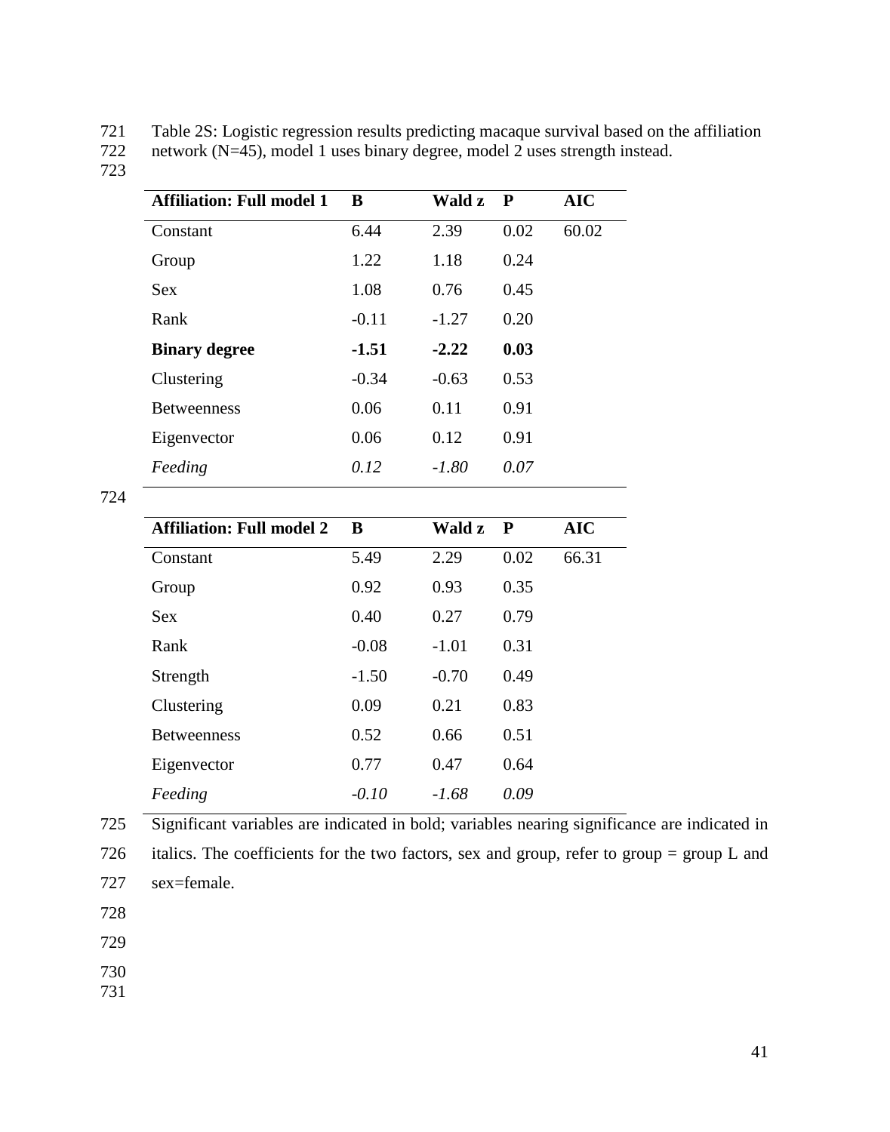721 Table 2S: Logistic regression results predicting macaque survival based on the affiliation<br>722 network (N=45), model 1 uses binary degree, model 2 uses strength instead.

network (N=45), model 1 uses binary degree, model 2 uses strength instead.

723

724

| <b>Affiliation: Full model 1</b> | B                    | Wald z               | ${\bf P}$   | <b>AIC</b> |
|----------------------------------|----------------------|----------------------|-------------|------------|
| Constant                         | 6.44                 | 2.39                 | 0.02        | 60.02      |
| Group                            | 1.22                 | 1.18                 | 0.24        |            |
| <b>Sex</b>                       | 1.08                 | 0.76                 | 0.45        |            |
| Rank                             | $-0.11$              | $-1.27$              | 0.20        |            |
| <b>Binary degree</b>             | $-1.51$              | $-2.22$              | 0.03        |            |
| Clustering                       | $-0.34$              | $-0.63$              | 0.53        |            |
| <b>Betweenness</b>               | 0.06                 | 0.11                 | 0.91        |            |
| Eigenvector                      | 0.06                 | 0.12                 | 0.91        |            |
| Feeding                          | 0.12                 | $-1.80$              | 0.07        |            |
|                                  |                      |                      |             |            |
| <b>Affiliation: Full model 2</b> | B                    | Wald z               | $\mathbf P$ | <b>AIC</b> |
| Constant                         | 5.49                 | 2.29                 | 0.02        | 66.31      |
|                                  | $\sim$ $\sim$ $\sim$ | $\sim$ $\sim$ $\sim$ |             |            |

| Constant           | 5.49    | 2.29    | 0.02 | 66.31 |
|--------------------|---------|---------|------|-------|
| Group              | 0.92    | 0.93    | 0.35 |       |
| <b>Sex</b>         | 0.40    | 0.27    | 0.79 |       |
| Rank               | $-0.08$ | $-1.01$ | 0.31 |       |
| Strength           | $-1.50$ | $-0.70$ | 0.49 |       |
| Clustering         | 0.09    | 0.21    | 0.83 |       |
| <b>Betweenness</b> | 0.52    | 0.66    | 0.51 |       |
| Eigenvector        | 0.77    | 0.47    | 0.64 |       |
| Feeding            | $-0.10$ | $-1.68$ | 0.09 |       |
|                    |         |         |      |       |

725 Significant variables are indicated in bold; variables nearing significance are indicated in

726 italics. The coefficients for the two factors, sex and group, refer to group = group L and 727 sex=female.

728

729

730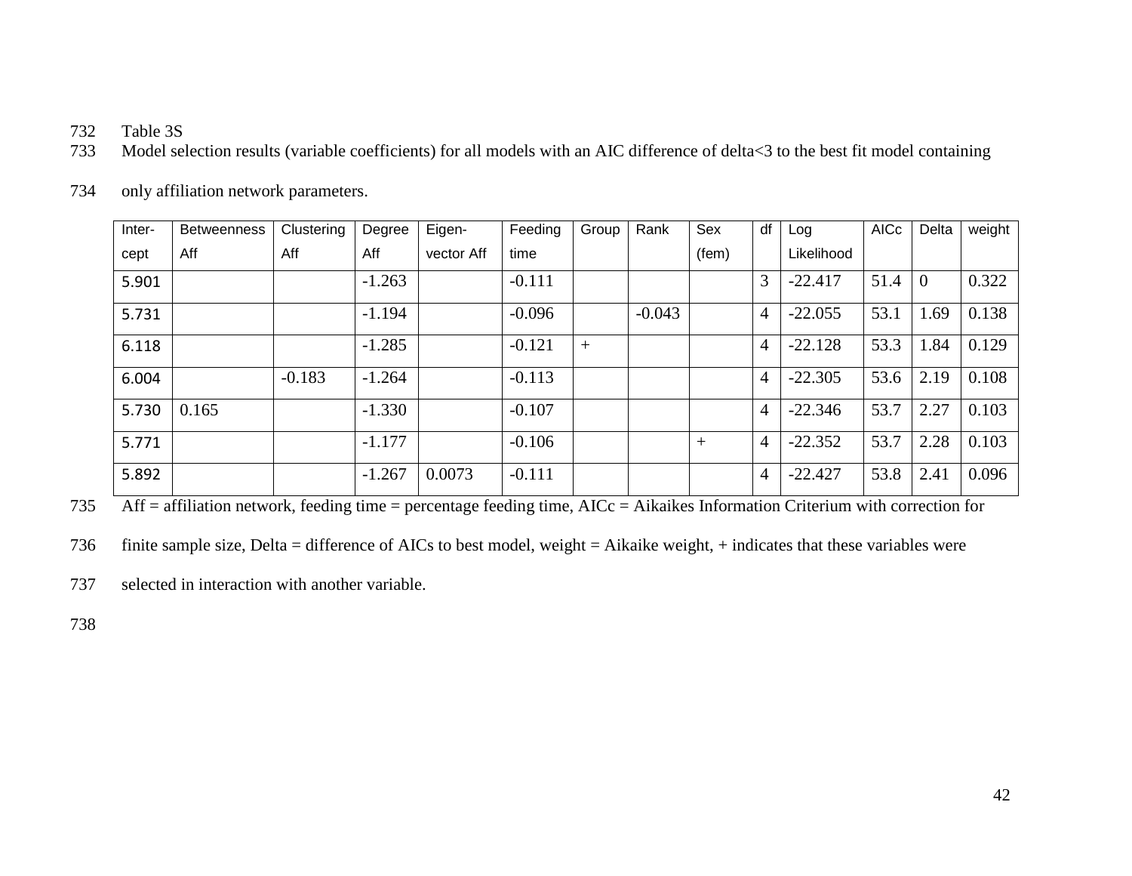- 732 Table 3S
- 733 Model selection results (variable coefficients) for all models with an AIC difference of delta<3 to the best fit model containing

| Inter- | <b>Betweenness</b> | Clustering | Degree   | Eigen-     | Feeding  | Group | Rank     | Sex   | df             | Log        | <b>AICc</b> | Delta          | weight |
|--------|--------------------|------------|----------|------------|----------|-------|----------|-------|----------------|------------|-------------|----------------|--------|
| cept   | Aff                | Aff        | Aff      | vector Aff | time     |       |          | (fem) |                | Likelihood |             |                |        |
| 5.901  |                    |            | $-1.263$ |            | $-0.111$ |       |          |       | 3              | $-22.417$  | 51.4        | $\overline{0}$ | 0.322  |
| 5.731  |                    |            | $-1.194$ |            | $-0.096$ |       | $-0.043$ |       | $\overline{4}$ | $-22.055$  | 53.1        | 1.69           | 0.138  |
| 6.118  |                    |            | $-1.285$ |            | $-0.121$ | $+$   |          |       | $\overline{4}$ | $-22.128$  | 53.3        | 1.84           | 0.129  |
| 6.004  |                    | $-0.183$   | $-1.264$ |            | $-0.113$ |       |          |       | $\overline{4}$ | $-22.305$  | 53.6        | 2.19           | 0.108  |
| 5.730  | 0.165              |            | $-1.330$ |            | $-0.107$ |       |          |       | $\overline{4}$ | $-22.346$  | 53.7        | 2.27           | 0.103  |
| 5.771  |                    |            | $-1.177$ |            | $-0.106$ |       |          | $+$   | $\overline{4}$ | $-22.352$  | 53.7        | 2.28           | 0.103  |
| 5.892  |                    |            | $-1.267$ | 0.0073     | $-0.111$ |       |          |       | $\overline{4}$ | $-22.427$  | 53.8        | 2.41           | 0.096  |

734 only affiliation network parameters.

735 Aff = affiliation network, feeding time = percentage feeding time, AICc = Aikaikes Information Criterium with correction for

736 finite sample size, Delta = difference of AICs to best model, weight = Aikaike weight, + indicates that these variables were

737 selected in interaction with another variable.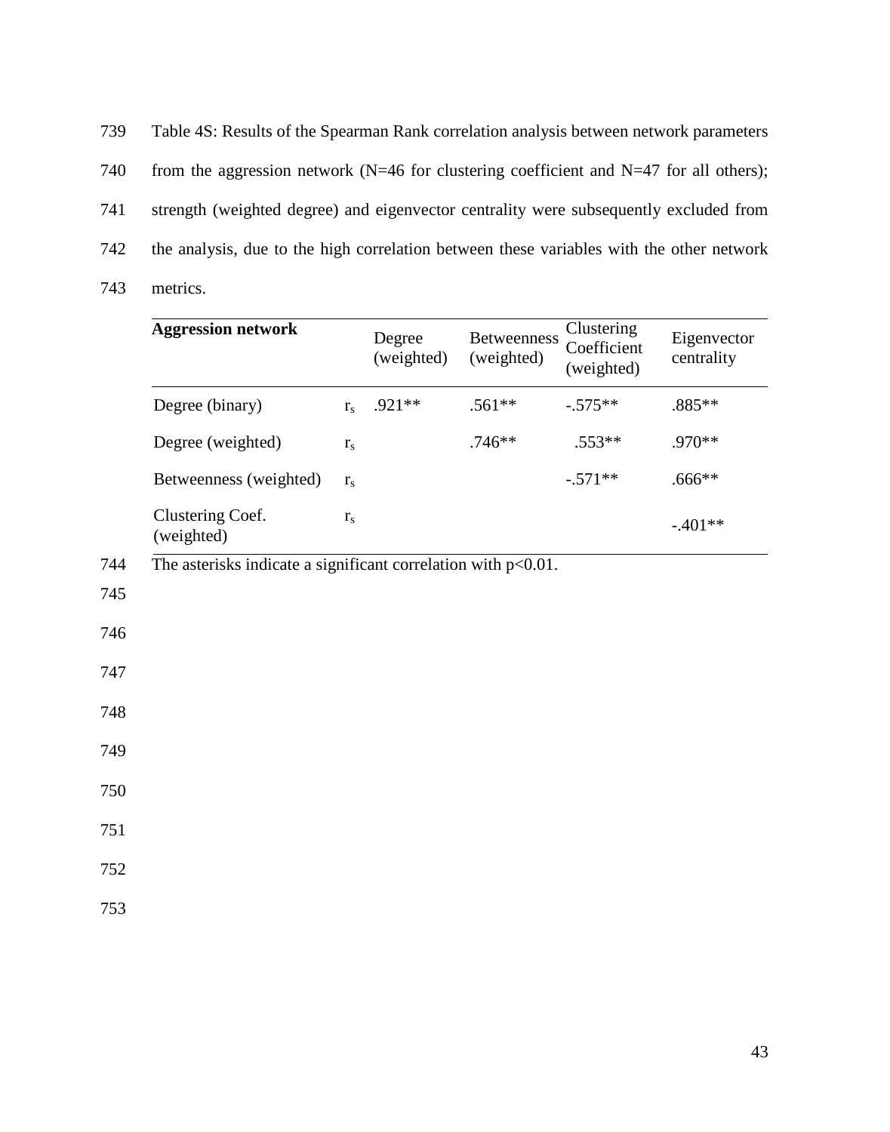739 Table 4S: Results of the Spearman Rank correlation analysis between network parameters 740 from the aggression network (N=46 for clustering coefficient and N=47 for all others); 741 strength (weighted degree) and eigenvector centrality were subsequently excluded from 742 the analysis, due to the high correlation between these variables with the other network 743 metrics.

|     | <b>Aggression network</b>                                        |                         | Degree<br>(weighted) | <b>Betweenness</b><br>(weighted) | Clustering<br>Coefficient<br>(weighted) | Eigenvector<br>centrality |
|-----|------------------------------------------------------------------|-------------------------|----------------------|----------------------------------|-----------------------------------------|---------------------------|
|     | Degree (binary)                                                  | $r_{\rm s}$             | .921**               | $.561**$                         | $-.575**$                               | .885**                    |
|     | Degree (weighted)                                                | $\mathbf{r}_\mathrm{s}$ |                      | $.746**$                         | $.553**$                                | .970**                    |
|     | Betweenness (weighted)                                           | $r_{\rm s}$             |                      |                                  | $-.571**$                               | $.666**$                  |
|     | Clustering Coef.<br>(weighted)                                   | $\mathbf{r}_\mathrm{s}$ |                      |                                  |                                         | $-.401**$                 |
| 744 | The asterisks indicate a significant correlation with $p<0.01$ . |                         |                      |                                  |                                         |                           |
| 745 |                                                                  |                         |                      |                                  |                                         |                           |
| 746 |                                                                  |                         |                      |                                  |                                         |                           |
| 747 |                                                                  |                         |                      |                                  |                                         |                           |
| 748 |                                                                  |                         |                      |                                  |                                         |                           |
| 749 |                                                                  |                         |                      |                                  |                                         |                           |
| 750 |                                                                  |                         |                      |                                  |                                         |                           |
| 751 |                                                                  |                         |                      |                                  |                                         |                           |
| 752 |                                                                  |                         |                      |                                  |                                         |                           |
| 753 |                                                                  |                         |                      |                                  |                                         |                           |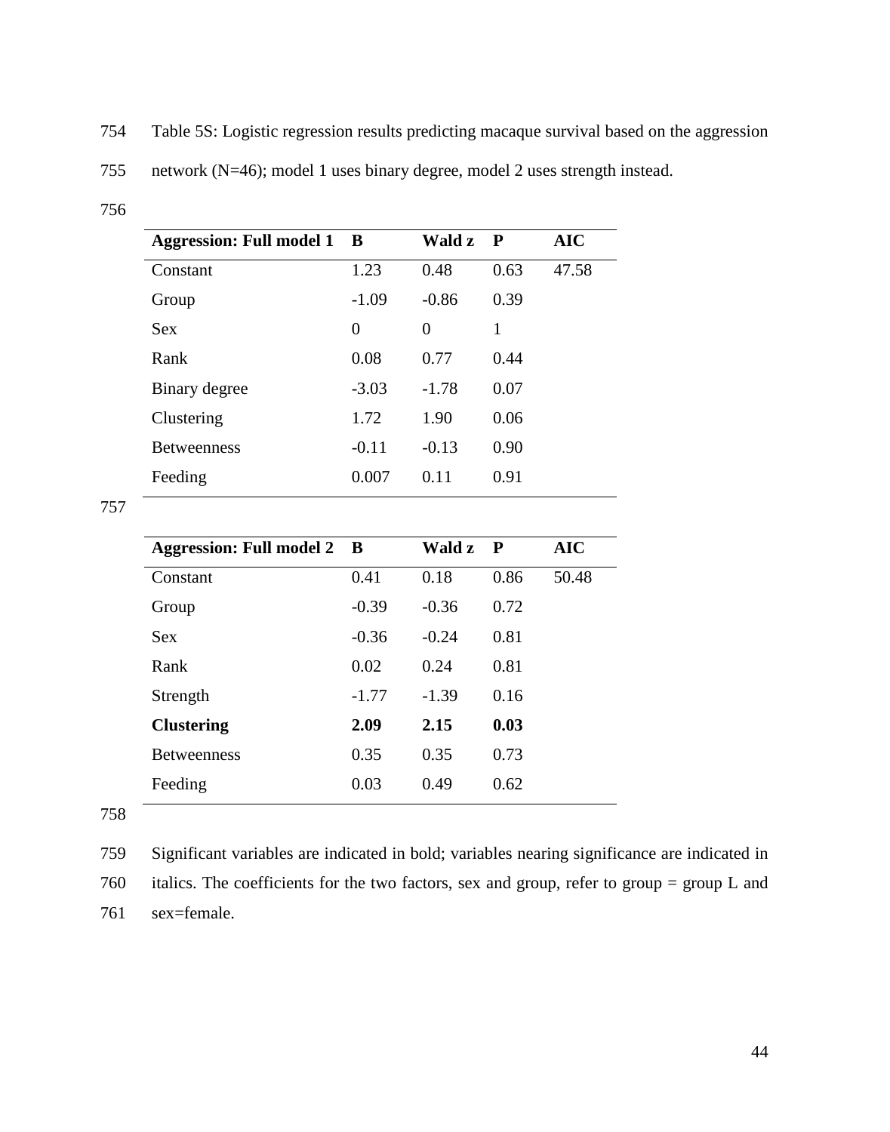754 Table 5S: Logistic regression results predicting macaque survival based on the aggression

<sup>756</sup>

| <b>Aggression: Full model 1 B</b> |         | Wald z         | $\mathbf P$ | <b>AIC</b> |
|-----------------------------------|---------|----------------|-------------|------------|
| Constant                          | 1.23    | 0.48           | 0.63        | 47.58      |
| Group                             | $-1.09$ | $-0.86$        | 0.39        |            |
| <b>Sex</b>                        | 0       | $\overline{0}$ | 1           |            |
| Rank                              | 0.08    | 0.77           | 0.44        |            |
| Binary degree                     | $-3.03$ | $-1.78$        | 0.07        |            |
| Clustering                        | 1.72    | 1.90           | 0.06        |            |
| <b>Betweenness</b>                | $-0.11$ | $-0.13$        | 0.90        |            |
| Feeding                           | 0.007   | 0.11           | 0.91        |            |

757

| <b>Aggression: Full model 2 B</b> |         | Wald z  | $\mathbf P$ | <b>AIC</b> |
|-----------------------------------|---------|---------|-------------|------------|
| Constant                          | 0.41    | 0.18    | 0.86        | 50.48      |
| Group                             | $-0.39$ | $-0.36$ | 0.72        |            |
| <b>Sex</b>                        | $-0.36$ | $-0.24$ | 0.81        |            |
| Rank                              | 0.02    | 0.24    | 0.81        |            |
| Strength                          | $-1.77$ | $-1.39$ | 0.16        |            |
| <b>Clustering</b>                 | 2.09    | 2.15    | 0.03        |            |
| <b>Betweenness</b>                | 0.35    | 0.35    | 0.73        |            |
| Feeding                           | 0.03    | 0.49    | 0.62        |            |

758

759 Significant variables are indicated in bold; variables nearing significance are indicated in

760 italics. The coefficients for the two factors, sex and group, refer to group = group L and 761 sex=female.

<sup>755</sup> network (N=46); model 1 uses binary degree, model 2 uses strength instead.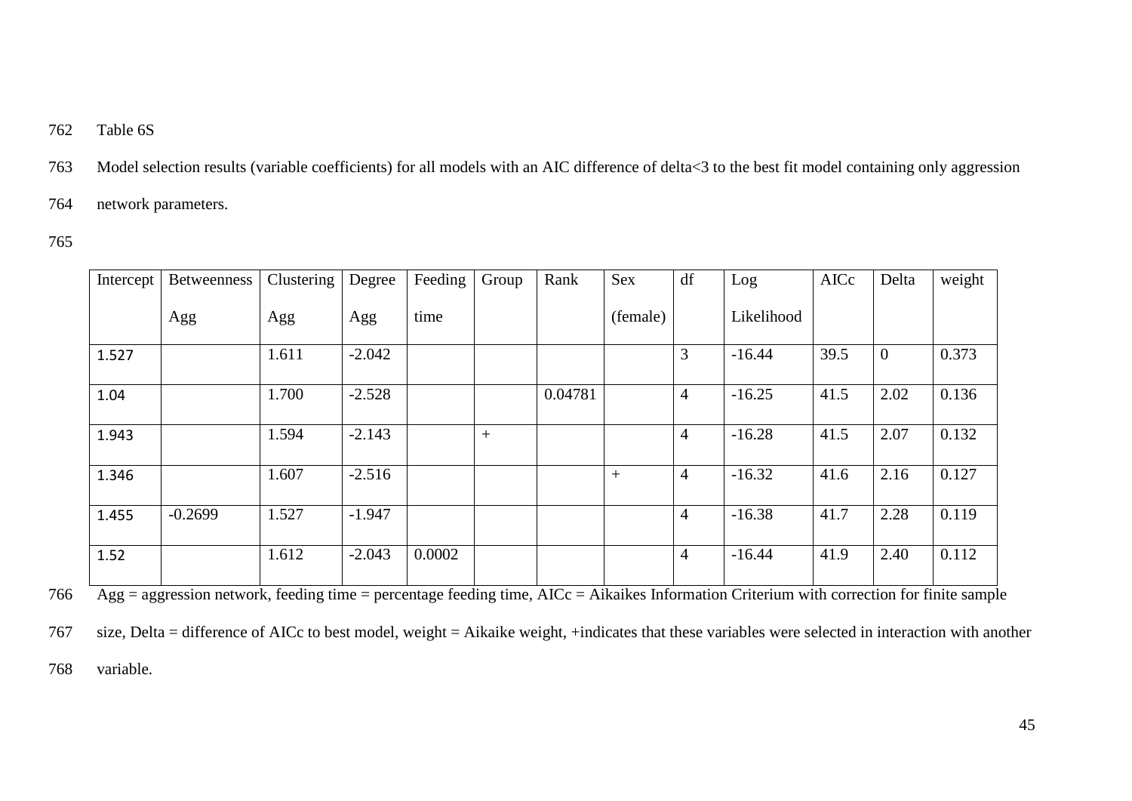### 762 Table 6S

763 Model selection results (variable coefficients) for all models with an AIC difference of delta<3 to the best fit model containing only aggression

764 network parameters.

765

| Intercept | <b>Betweenness</b> | Clustering | Degree   | Feeding | Group | Rank    | Sex      | df             | Log        | AICc | Delta            | weight |
|-----------|--------------------|------------|----------|---------|-------|---------|----------|----------------|------------|------|------------------|--------|
|           | Agg                | Agg        | Agg      | time    |       |         | (female) |                | Likelihood |      |                  |        |
| 1.527     |                    | 1.611      | $-2.042$ |         |       |         |          | 3              | $-16.44$   | 39.5 | $\boldsymbol{0}$ | 0.373  |
| 1.04      |                    | 1.700      | $-2.528$ |         |       | 0.04781 |          | $\overline{4}$ | $-16.25$   | 41.5 | 2.02             | 0.136  |
| 1.943     |                    | 1.594      | $-2.143$ |         | $+$   |         |          | $\overline{4}$ | $-16.28$   | 41.5 | 2.07             | 0.132  |
| 1.346     |                    | 1.607      | $-2.516$ |         |       |         | $^{+}$   | $\overline{4}$ | $-16.32$   | 41.6 | 2.16             | 0.127  |
| 1.455     | $-0.2699$          | 1.527      | $-1.947$ |         |       |         |          | $\overline{4}$ | $-16.38$   | 41.7 | 2.28             | 0.119  |
| 1.52      |                    | 1.612      | $-2.043$ | 0.0002  |       |         |          | $\overline{4}$ | $-16.44$   | 41.9 | 2.40             | 0.112  |

 $\frac{1}{\text{Agg}} = \frac{1}{\text{aggression network, feeding time}} = \frac{1}{\text{percentage feeding time, AICc}} = \text{Aikaikes Information Criterion with correction for finite sample}$ 

767 size, Delta = difference of AICc to best model, weight = Aikaike weight, +indicates that these variables were selected in interaction with another

768 variable.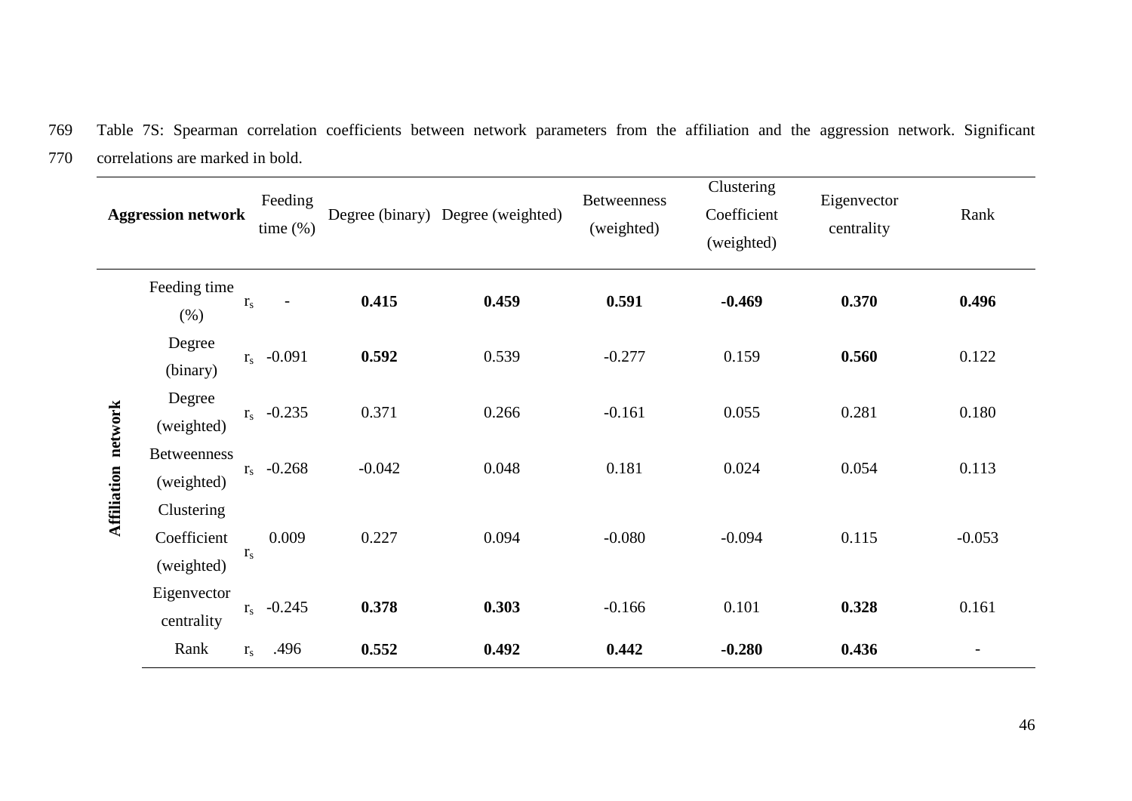769 Table 7S: Spearman correlation coefficients between network parameters from the affiliation and the aggression network. Significant 770 correlations are marked in bold.

|                            | <b>Aggression network</b>               |              | Feeding<br>time $(\%)$   |          | Degree (binary) Degree (weighted) | <b>Betweenness</b><br>(weighted) | Clustering<br>Coefficient<br>(weighted) | Eigenvector<br>centrality | Rank     |
|----------------------------|-----------------------------------------|--------------|--------------------------|----------|-----------------------------------|----------------------------------|-----------------------------------------|---------------------------|----------|
|                            | Feeding time<br>(%)                     | $r_{s}$      | $\overline{\phantom{0}}$ | 0.415    | 0.459                             | 0.591                            | $-0.469$                                | 0.370                     | 0.496    |
|                            | Degree<br>(binary)                      |              | $r_s$ -0.091             | 0.592    | 0.539                             | $-0.277$                         | 0.159                                   | 0.560                     | 0.122    |
|                            | Degree<br>(weighted)                    |              | $r_s$ -0.235             | 0.371    | 0.266                             | $-0.161$                         | 0.055                                   | 0.281                     | 0.180    |
| <b>Affiliation</b> network | <b>Betweenness</b><br>(weighted)        |              | $r_s$ -0.268             | $-0.042$ | 0.048                             | 0.181                            | 0.024                                   | 0.054                     | 0.113    |
|                            | Clustering<br>Coefficient<br>(weighted) | $\rm r_s$    | 0.009                    | 0.227    | 0.094                             | $-0.080$                         | $-0.094$                                | 0.115                     | $-0.053$ |
|                            | Eigenvector<br>centrality               | $r_s$ -0.245 |                          | 0.378    | 0.303                             | $-0.166$                         | 0.101                                   | 0.328                     | 0.161    |
|                            | Rank                                    | $r_{\rm s}$  | .496                     | 0.552    | 0.492                             | 0.442                            | $-0.280$                                | 0.436                     |          |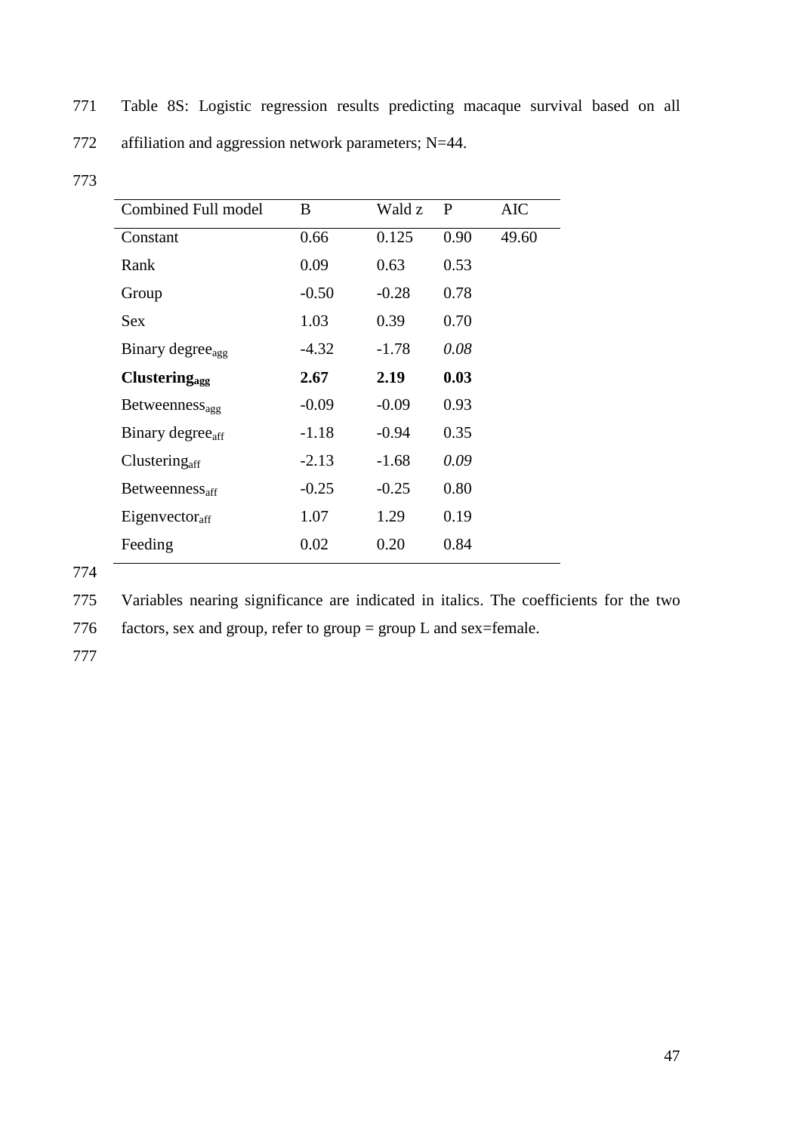771 Table 8S: Logistic regression results predicting macaque survival based on all

|  | 772 | affiliation and aggression network parameters; $N=44$ . |  |  |  |  |
|--|-----|---------------------------------------------------------|--|--|--|--|
|--|-----|---------------------------------------------------------|--|--|--|--|

| <b>Combined Full model</b>       | B       | Wald z  | P    | <b>AIC</b> |
|----------------------------------|---------|---------|------|------------|
| Constant                         | 0.66    | 0.125   | 0.90 | 49.60      |
| Rank                             | 0.09    | 0.63    | 0.53 |            |
| Group                            | $-0.50$ | $-0.28$ | 0.78 |            |
| <b>Sex</b>                       | 1.03    | 0.39    | 0.70 |            |
| Binary degree <sub>agg</sub>     | -4.32   | $-1.78$ | 0.08 |            |
| <b>Clustering</b> <sub>agg</sub> | 2.67    | 2.19    | 0.03 |            |
| Betweenness <sub>agg</sub>       | $-0.09$ | $-0.09$ | 0.93 |            |
| Binary degree <sub>aff</sub>     | $-1.18$ | $-0.94$ | 0.35 |            |
| Clustering <sub>aff</sub>        | $-2.13$ | $-1.68$ | 0.09 |            |
| $Betweenness_{\text{aff}}$       | $-0.25$ | $-0.25$ | 0.80 |            |
| Eigenvector <sub>aff</sub>       | 1.07    | 1.29    | 0.19 |            |
| Feeding                          | 0.02    | 0.20    | 0.84 |            |

774

775 Variables nearing significance are indicated in italics. The coefficients for the two

776 factors, sex and group, refer to group = group L and sex=female.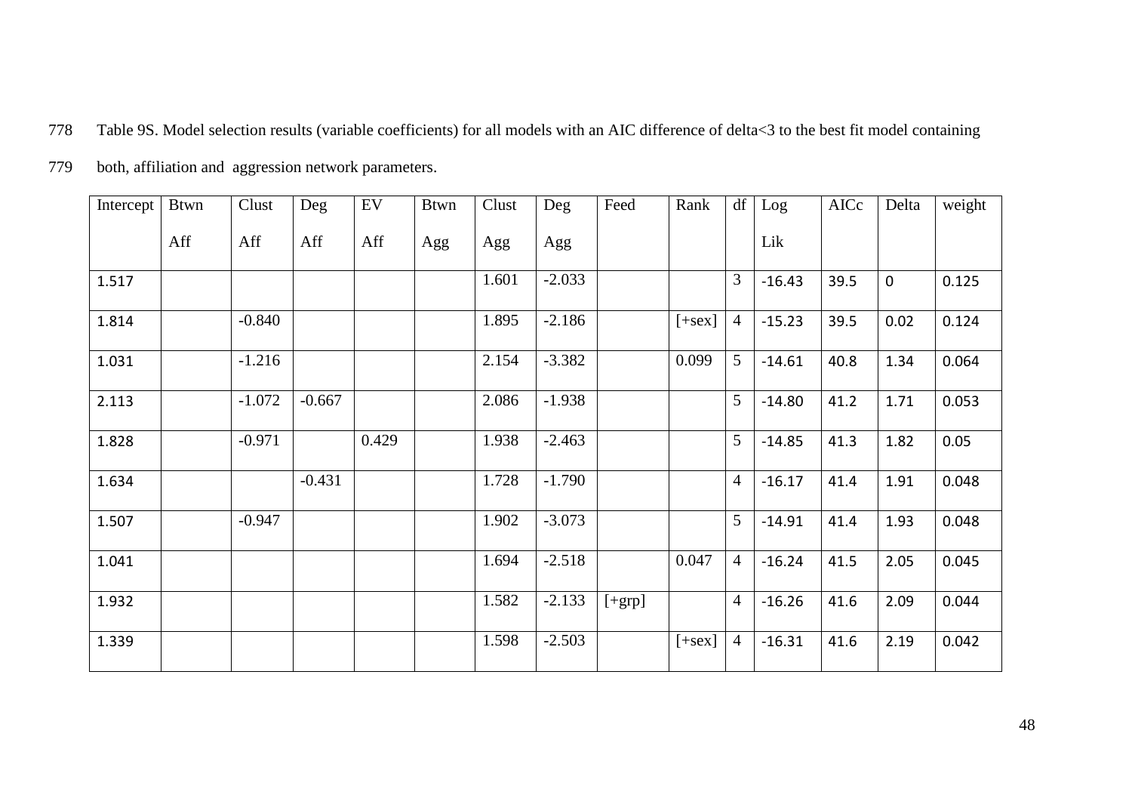778 Table 9S. Model selection results (variable coefficients) for all models with an AIC difference of delta<3 to the best fit model containing

| both, affiliation and aggression network parameters. | 779 |  |  |  |
|------------------------------------------------------|-----|--|--|--|
|------------------------------------------------------|-----|--|--|--|

| Intercept | <b>Btwn</b> | Clust    | Deg      | EV    | <b>Btwn</b> | Clust | Deg      | Feed     | Rank     | df             | Log      | AICc | Delta       | weight |
|-----------|-------------|----------|----------|-------|-------------|-------|----------|----------|----------|----------------|----------|------|-------------|--------|
|           | Aff         | Aff      | Aff      | Aff   | Agg         | Agg   | Agg      |          |          |                | Lik      |      |             |        |
| 1.517     |             |          |          |       |             | 1.601 | $-2.033$ |          |          | 3              | $-16.43$ | 39.5 | $\mathbf 0$ | 0.125  |
| 1.814     |             | $-0.840$ |          |       |             | 1.895 | $-2.186$ |          | $[+sex]$ | 4              | $-15.23$ | 39.5 | 0.02        | 0.124  |
| 1.031     |             | $-1.216$ |          |       |             | 2.154 | $-3.382$ |          | 0.099    | 5              | $-14.61$ | 40.8 | 1.34        | 0.064  |
| 2.113     |             | $-1.072$ | $-0.667$ |       |             | 2.086 | $-1.938$ |          |          | 5              | $-14.80$ | 41.2 | 1.71        | 0.053  |
| 1.828     |             | $-0.971$ |          | 0.429 |             | 1.938 | $-2.463$ |          |          | 5              | $-14.85$ | 41.3 | 1.82        | 0.05   |
| 1.634     |             |          | $-0.431$ |       |             | 1.728 | $-1.790$ |          |          | $\overline{4}$ | $-16.17$ | 41.4 | 1.91        | 0.048  |
| 1.507     |             | $-0.947$ |          |       |             | 1.902 | $-3.073$ |          |          | 5              | $-14.91$ | 41.4 | 1.93        | 0.048  |
| 1.041     |             |          |          |       |             | 1.694 | $-2.518$ |          | 0.047    | $\overline{4}$ | $-16.24$ | 41.5 | 2.05        | 0.045  |
| 1.932     |             |          |          |       |             | 1.582 | $-2.133$ | $[+grp]$ |          | $\overline{4}$ | $-16.26$ | 41.6 | 2.09        | 0.044  |
| 1.339     |             |          |          |       |             | 1.598 | $-2.503$ |          | $[+sex]$ | $\overline{4}$ | $-16.31$ | 41.6 | 2.19        | 0.042  |